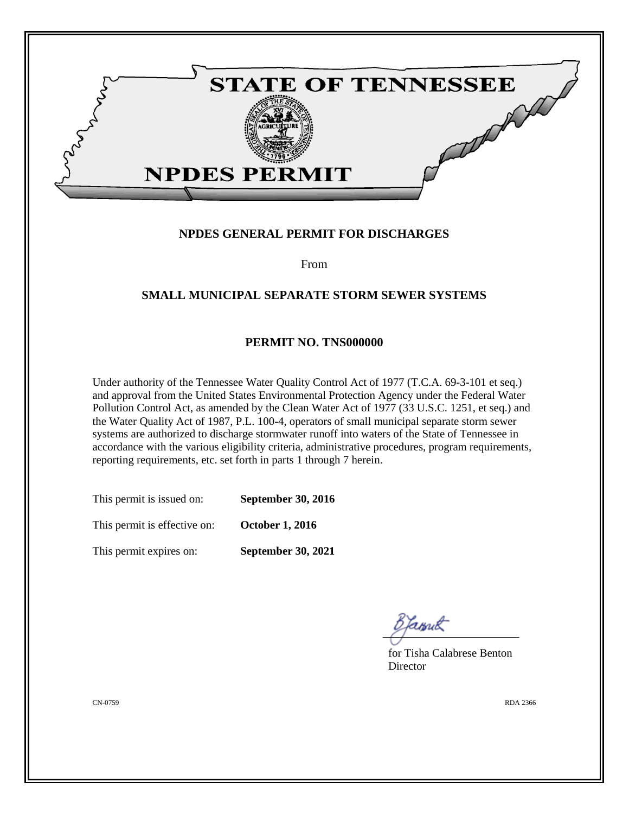

## **NPDES GENERAL PERMIT FOR DISCHARGES**

From

## **SMALL MUNICIPAL SEPARATE STORM SEWER SYSTEMS**

#### **PERMIT NO. TNS000000**

Under authority of the Tennessee Water Quality Control Act of 1977 (T.C.A. 69-3-101 et seq.) and approval from the United States Environmental Protection Agency under the Federal Water Pollution Control Act, as amended by the Clean Water Act of 1977 (33 U.S.C. 1251, et seq.) and the Water Quality Act of 1987, P.L. 100-4, operators of small municipal separate storm sewer systems are authorized to discharge stormwater runoff into waters of the State of Tennessee in accordance with the various eligibility criteria, administrative procedures, program requirements, reporting requirements, etc. set forth in parts [1](#page-3-0) through [7](#page-38-0) herein.

This permit is issued on: **September 30, 2016**

This permit is effective on: **October 1, 2016**

This permit expires on: **September 30, 2021**

Blank

for Tisha Calabrese Benton **Director** 

CN-0759 RDA 2366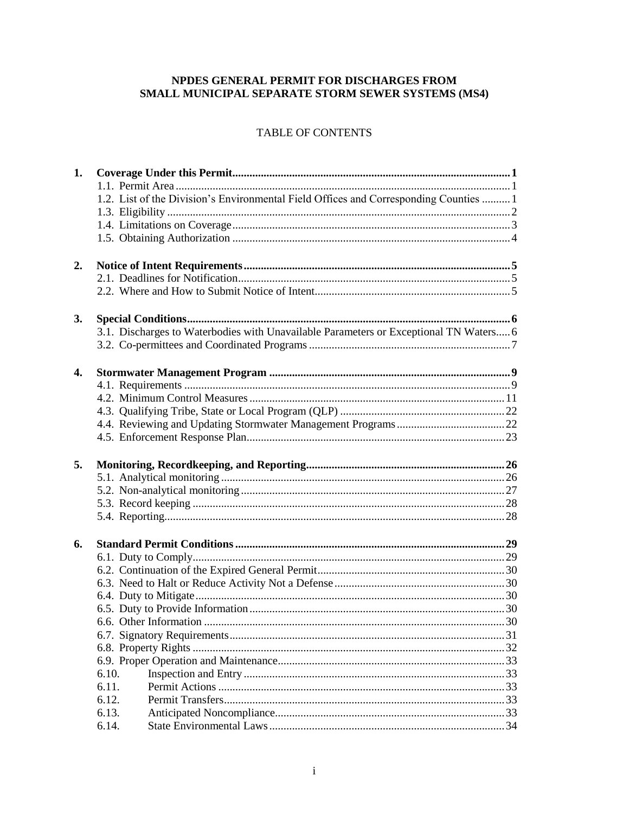# NPDES GENERAL PERMIT FOR DISCHARGES FROM<br>SMALL MUNICIPAL SEPARATE STORM SEWER SYSTEMS (MS4)

# **TABLE OF CONTENTS**

| 1.               |                                                                                       |  |
|------------------|---------------------------------------------------------------------------------------|--|
|                  |                                                                                       |  |
|                  | 1.2. List of the Division's Environmental Field Offices and Corresponding Counties  1 |  |
|                  |                                                                                       |  |
|                  |                                                                                       |  |
|                  |                                                                                       |  |
|                  |                                                                                       |  |
| 2.               |                                                                                       |  |
|                  |                                                                                       |  |
|                  |                                                                                       |  |
| 3.               |                                                                                       |  |
|                  | 3.1. Discharges to Waterbodies with Unavailable Parameters or Exceptional TN Waters 6 |  |
|                  |                                                                                       |  |
|                  |                                                                                       |  |
| $\overline{4}$ . |                                                                                       |  |
|                  |                                                                                       |  |
|                  |                                                                                       |  |
|                  |                                                                                       |  |
|                  |                                                                                       |  |
|                  |                                                                                       |  |
| 5.               |                                                                                       |  |
|                  |                                                                                       |  |
|                  |                                                                                       |  |
|                  |                                                                                       |  |
|                  |                                                                                       |  |
| 6.               |                                                                                       |  |
|                  |                                                                                       |  |
|                  |                                                                                       |  |
|                  |                                                                                       |  |
|                  |                                                                                       |  |
|                  |                                                                                       |  |
|                  |                                                                                       |  |
|                  |                                                                                       |  |
|                  |                                                                                       |  |
|                  |                                                                                       |  |
|                  | 6.10.                                                                                 |  |
|                  |                                                                                       |  |
|                  |                                                                                       |  |
|                  | 6.11.                                                                                 |  |
|                  | 6.12.<br>6.13.                                                                        |  |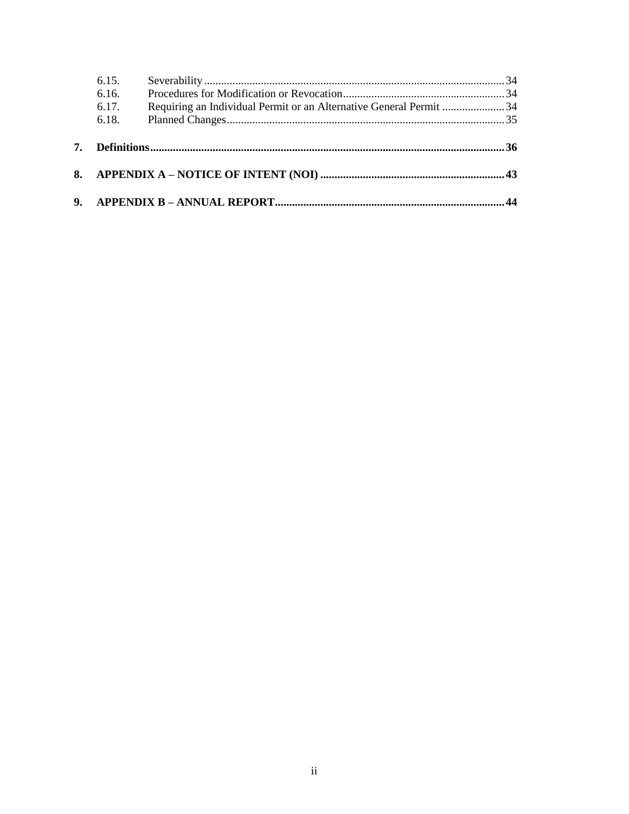|                | 6.15. |                                                                     |  |
|----------------|-------|---------------------------------------------------------------------|--|
|                | 6.16. |                                                                     |  |
|                | 6.17. | Requiring an Individual Permit or an Alternative General Permit  34 |  |
|                | 6.18. |                                                                     |  |
|                |       |                                                                     |  |
|                |       |                                                                     |  |
| $\mathbf{Q}_1$ |       |                                                                     |  |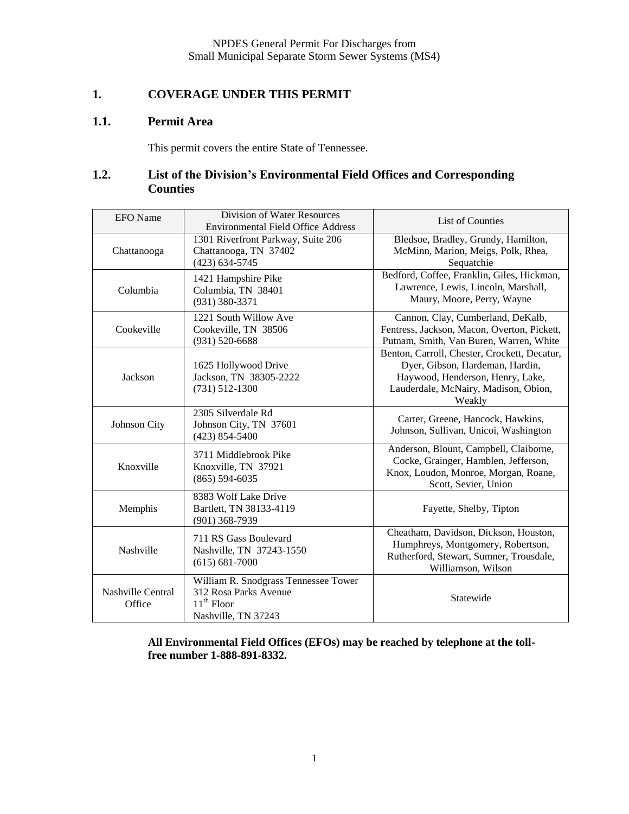# <span id="page-3-0"></span>**1. COVERAGE UNDER THIS PERMIT**

# <span id="page-3-1"></span>**1.1. Permit Area**

This permit covers the entire State of Tennessee.

# <span id="page-3-2"></span>**1.2. List of the Division's Environmental Field Offices and Corresponding Counties**

| <b>EFO</b> Name             | Division of Water Resources<br><b>Environmental Field Office Address</b>                             | List of Counties                                                                                                                                                      |
|-----------------------------|------------------------------------------------------------------------------------------------------|-----------------------------------------------------------------------------------------------------------------------------------------------------------------------|
| Chattanooga                 | 1301 Riverfront Parkway, Suite 206<br>Chattanooga, TN 37402<br>$(423) 634 - 5745$                    | Bledsoe, Bradley, Grundy, Hamilton,<br>McMinn, Marion, Meigs, Polk, Rhea,<br>Sequatchie                                                                               |
| Columbia                    | 1421 Hampshire Pike<br>Columbia, TN 38401<br>(931) 380-3371                                          | Bedford, Coffee, Franklin, Giles, Hickman,<br>Lawrence, Lewis, Lincoln, Marshall,<br>Maury, Moore, Perry, Wayne                                                       |
| Cookeville                  | 1221 South Willow Ave<br>Cookeville, TN 38506<br>$(931) 520 - 6688$                                  | Cannon, Clay, Cumberland, DeKalb,<br>Fentress, Jackson, Macon, Overton, Pickett,<br>Putnam, Smith, Van Buren, Warren, White                                           |
| Jackson                     | 1625 Hollywood Drive<br>Jackson, TN 38305-2222<br>$(731)$ 512-1300                                   | Benton, Carroll, Chester, Crockett, Decatur,<br>Dyer, Gibson, Hardeman, Hardin,<br>Haywood, Henderson, Henry, Lake,<br>Lauderdale, McNairy, Madison, Obion,<br>Weakly |
| Johnson City                | 2305 Silverdale Rd<br>Johnson City, TN 37601<br>$(423)$ 854-5400                                     | Carter, Greene, Hancock, Hawkins,<br>Johnson, Sullivan, Unicoi, Washington                                                                                            |
| Knoxville                   | 3711 Middlebrook Pike<br>Knoxville, TN 37921<br>$(865) 594 - 6035$                                   | Anderson, Blount, Campbell, Claiborne,<br>Cocke, Grainger, Hamblen, Jefferson,<br>Knox, Loudon, Monroe, Morgan, Roane,<br>Scott, Sevier, Union                        |
| Memphis                     | 8383 Wolf Lake Drive<br>Bartlett, TN 38133-4119<br>$(901)$ 368-7939                                  | Fayette, Shelby, Tipton                                                                                                                                               |
| Nashville                   | 711 RS Gass Boulevard<br>Nashville, TN 37243-1550<br>$(615) 681 - 7000$                              | Cheatham, Davidson, Dickson, Houston,<br>Humphreys, Montgomery, Robertson,<br>Rutherford, Stewart, Sumner, Trousdale,<br>Williamson, Wilson                           |
| Nashville Central<br>Office | William R. Snodgrass Tennessee Tower<br>312 Rosa Parks Avenue<br>$11th$ Floor<br>Nashville, TN 37243 | Statewide                                                                                                                                                             |

**All Environmental Field Offices (EFOs) may be reached by telephone at the tollfree number 1-888-891-8332.**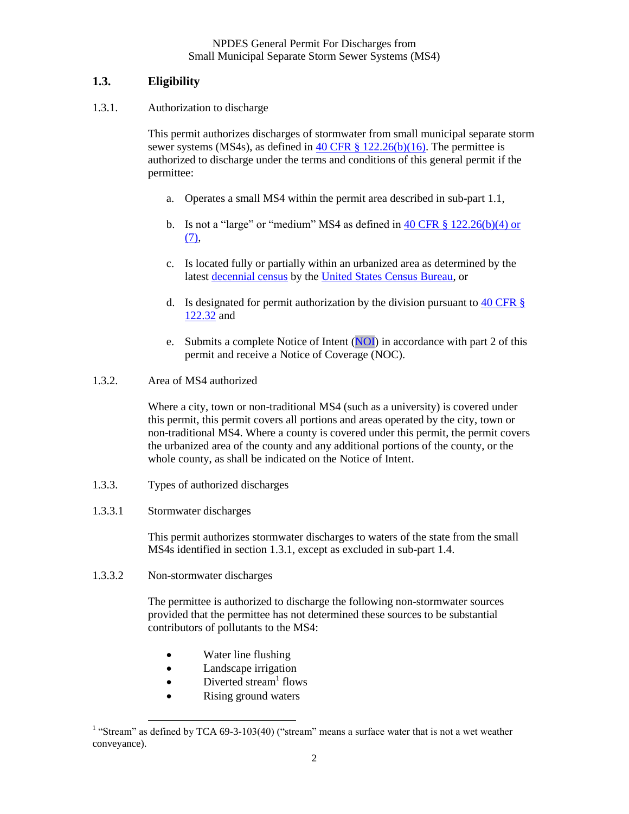# <span id="page-4-0"></span>**1.3. Eligibility**

# <span id="page-4-1"></span>1.3.1. Authorization to discharge

This permit authorizes discharges of stormwater from small municipal separate storm sewer systems (MS4s), as defined in  $40 \text{ CFR } \frac{8}{3}$  [122.26\(b\)\(16\).](http://www.ecfr.gov/cgi-bin/text-idx?SID=a6fcb55c5690cdc1e073774b6d49ad0f&node=40:22.0.1.1.12&rgn=div5#se40.22.122_126) The permittee is authorized to discharge under the terms and conditions of this general permit if the permittee:

- a. Operates a small MS4 within the permit area described in sub-part [1.1,](#page-3-1)
- b. Is not a "large" or "medium" MS4 as defined in 40 CFR  $\S$  122.26(b)(4) or [\(7\),](http://www.ecfr.gov/cgi-bin/text-idx?SID=a6fcb55c5690cdc1e073774b6d49ad0f&node=40:22.0.1.1.12&rgn=div5#se40.22.122_126)
- c. Is located fully or partially within an urbanized area as determined by the latest [decennial census](https://www.census.gov/history/www/programs/demographic/decennial_census.html) by the [United States Census Bureau,](https://www.census.gov/en.html) or
- d. Is designated for permit authorization by the division pursuant to [40 CFR §](http://www.ecfr.gov/cgi-bin/text-idx?SID=a6fcb55c5690cdc1e073774b6d49ad0f&node=40:22.0.1.1.12&rgn=div5#se40.22.122_132) [122.32](http://www.ecfr.gov/cgi-bin/text-idx?SID=a6fcb55c5690cdc1e073774b6d49ad0f&node=40:22.0.1.1.12&rgn=div5#se40.22.122_132) and
- e. Submits a complete Notice of Intent [\(NOI\)](http://www.tn.gov/environment/wpc/forms/cn1295.pdf) in accordance with part [2](#page-7-0) of this permit and receive a Notice of Coverage (NOC).
- 1.3.2. Area of MS4 authorized

Where a city, town or non-traditional MS4 (such as a university) is covered under this permit, this permit covers all portions and areas operated by the city, town or non-traditional MS4. Where a county is covered under this permit, the permit covers the urbanized area of the county and any additional portions of the county, or the whole county, as shall be indicated on the Notice of Intent.

- 1.3.3. Types of authorized discharges
- 1.3.3.1 Stormwater discharges

This permit authorizes stormwater discharges to waters of the state from the small MS4s identified in section [1.3.1,](#page-4-1) except as excluded in sub-part [1.4.](#page-5-0)

<span id="page-4-2"></span>1.3.3.2 Non-stormwater discharges

l

The permittee is authorized to discharge the following non-stormwater sources provided that the permittee has not determined these sources to be substantial contributors of pollutants to the MS4:

- Water line flushing
- Landscape irrigation
- $\bullet$  Diverted stream<sup>1</sup> flows
- Rising ground waters

<sup>&</sup>lt;sup>1</sup> "Stream" as defined by TCA 69-3-103(40) ("stream" means a surface water that is not a wet weather conveyance).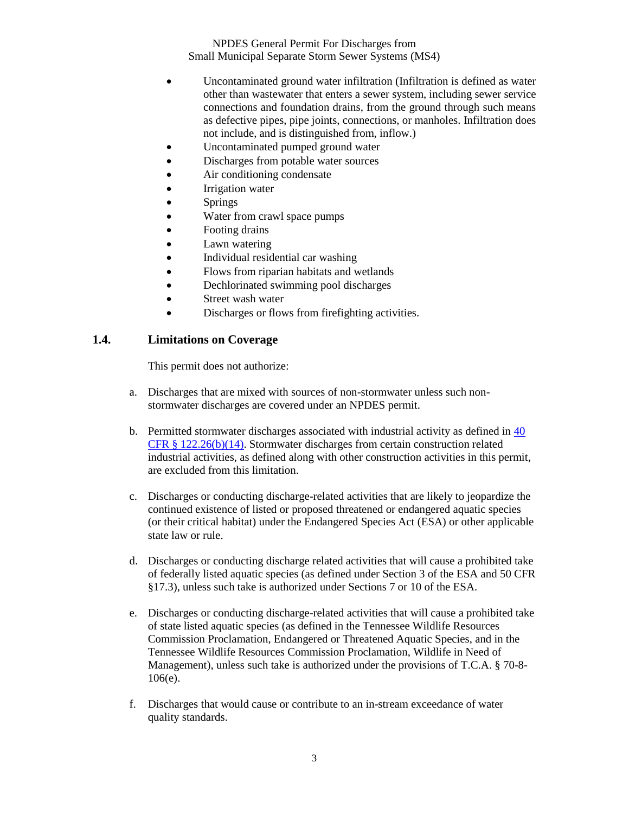- Uncontaminated ground water infiltration (Infiltration is defined as water other than wastewater that enters a sewer system, including sewer service connections and foundation drains, from the ground through such means as defective pipes, pipe joints, connections, or manholes. Infiltration does not include, and is distinguished from, inflow.)
- Uncontaminated pumped ground water
- Discharges from potable water sources
- Air conditioning condensate
- Irrigation water
- Springs
- Water from crawl space pumps
- Footing drains
- Lawn watering
- Individual residential car washing
- Flows from riparian habitats and wetlands
- Dechlorinated swimming pool discharges
- Street wash water
- Discharges or flows from firefighting activities.

# <span id="page-5-0"></span>**1.4. Limitations on Coverage**

This permit does not authorize:

- a. Discharges that are mixed with sources of non-stormwater unless such nonstormwater discharges are covered under an NPDES permit.
- b. Permitted stormwater discharges associated with industrial activity as defined in [40](http://www.ecfr.gov/cgi-bin/text-idx?SID=a6fcb55c5690cdc1e073774b6d49ad0f&node=40:22.0.1.1.12&rgn=div5#se40.22.122_126)  CFR § [122.26\(b\)\(14\).](http://www.ecfr.gov/cgi-bin/text-idx?SID=a6fcb55c5690cdc1e073774b6d49ad0f&node=40:22.0.1.1.12&rgn=div5#se40.22.122_126) Stormwater discharges from certain construction related industrial activities, as defined along with other construction activities in this permit, are excluded from this limitation.
- c. Discharges or conducting discharge-related activities that are likely to jeopardize the continued existence of listed or proposed threatened or endangered aquatic species (or their critical habitat) under the Endangered Species Act (ESA) or other applicable state law or rule.
- d. Discharges or conducting discharge related activities that will cause a prohibited take of federally listed aquatic species (as defined under Section 3 of the ESA an[d 50 CFR](http://edocket.access.gpo.gov/cfr_2002/octqtr/pdf/50cfr17.3.pdf)  [§17.3\)](http://edocket.access.gpo.gov/cfr_2002/octqtr/pdf/50cfr17.3.pdf), unless such take is authorized under Sections 7 or 10 of the ESA.
- e. Discharges or conducting discharge-related activities that will cause a prohibited take of state listed aquatic species (as defined in the Tennessee Wildlife Resources Commission Proclamation, Endangered or Threatened Aquatic Species, and in the Tennessee Wildlife Resources Commission Proclamation, Wildlife in Need of Management), unless such take is authorized under the provisions of T.C.A. § 70-8- 106(e).
- f. Discharges that would cause or contribute to an in-stream exceedance of water quality standards.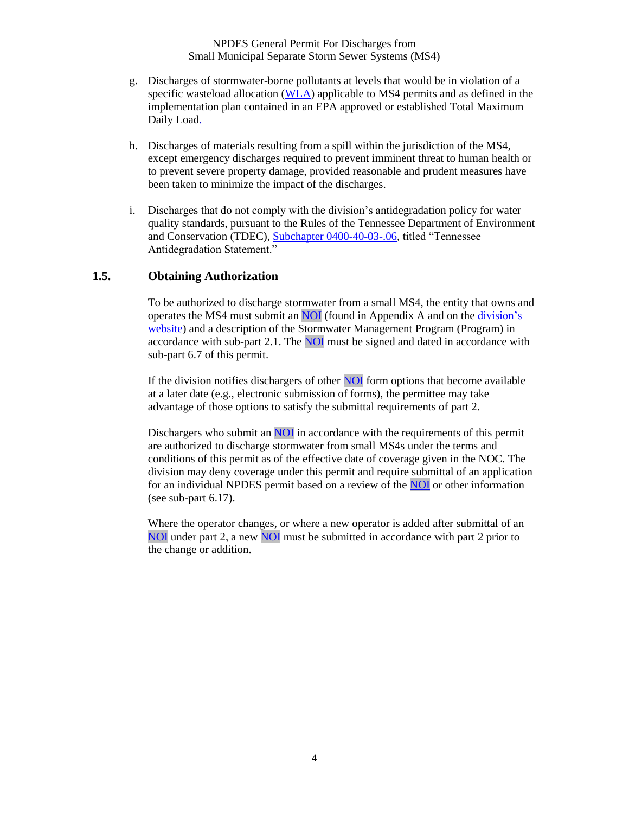- g. Discharges of stormwater-borne pollutants at levels that would be in violation of a specific wasteload allocation [\(WLA\)](#page-43-0) applicable to MS4 permits and as defined in the implementation plan contained in an EPA approved or established Total Maximum Daily Load.
- h. Discharges of materials resulting from a spill within the jurisdiction of the MS4, except emergency discharges required to prevent imminent threat to human health or to prevent severe property damage, provided reasonable and prudent measures have been taken to minimize the impact of the discharges.
- i. Discharges that do not comply with the division's antidegradation policy for water quality standards, pursuant to the Rules of the [Tennessee Department of Environment](http://www.state.tn.us/environment/)  [and Conservation](http://www.state.tn.us/environment/) (TDEC), [Subchapter 0400-40-03-.06,](http://tn.gov/environment/article/wr-wq-water-quality-reports-publications) titled "Tennessee Antidegradation Statement."

#### <span id="page-6-0"></span>**1.5. Obtaining Authorization**

To be authorized to discharge stormwater from a small MS4, the entity that owns and operates the MS4 must submit an [NOI](http://tn.gov/environment/article/permit-water-stormwater-discharges-permitting) (found in Appendix A and on the [division's](http://www.tn.gov/environment/article/permit-water-stormwater-discharges-permitting)  [website\)](http://www.tn.gov/environment/article/permit-water-stormwater-discharges-permitting) and a description of the Stormwater Management Program (Program) in accordance with sub-part [2.1.](#page-7-1) The **NOI** must be signed and dated in accordance with sub-part [6.7](#page-33-0) of this permit.

If the division notifies dischargers of other [NOI](http://tn.gov/environment/article/permit-water-stormwater-discharges-permitting) form options that become available at a later date (e.g., electronic submission of forms), the permittee may take advantage of those options to satisfy the submittal requirements of part [2.](#page-7-0)

Dischargers who submit an **[NOI](http://tn.gov/environment/article/permit-water-stormwater-discharges-permitting)** in accordance with the requirements of this permit are authorized to discharge stormwater from small MS4s under the terms and conditions of this permit as of the effective date of coverage given in the NOC. The division may deny coverage under this permit and require submittal of an application for an individual NPDES permit based on a review of the [NOI](http://tn.gov/environment/article/permit-water-stormwater-discharges-permitting) or other information (see sub-part [6.17\)](#page-36-3).

Where the operator changes, or where a new operator is added after submittal of an [NOI](http://tn.gov/environment/article/permit-water-stormwater-discharges-permitting) under part [2,](#page-7-0) a ne[w NOI](http://tn.gov/environment/article/permit-water-stormwater-discharges-permitting) must be submitted in accordance with part [2](#page-7-0) prior to the change or addition.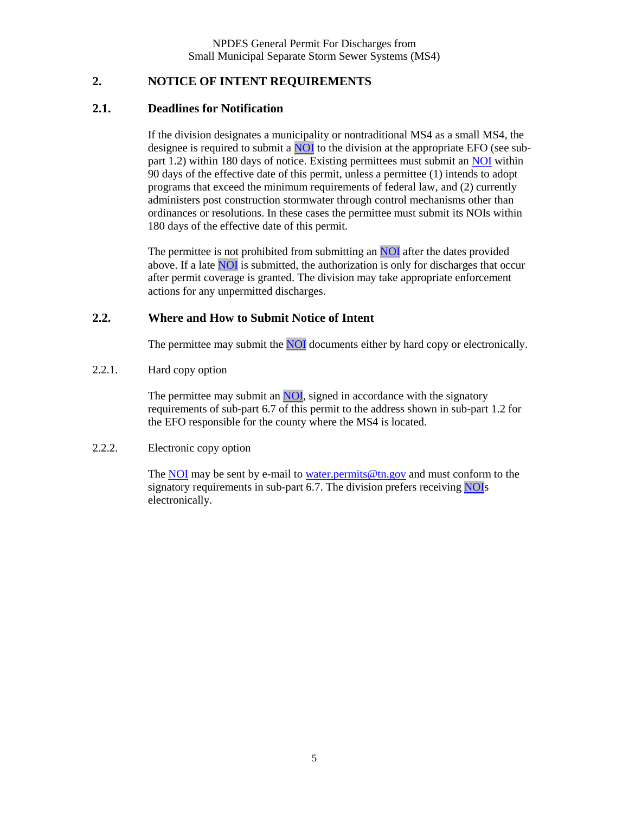# <span id="page-7-0"></span>**2. NOTICE OF INTENT REQUIREMENTS**

# <span id="page-7-1"></span>**2.1. Deadlines for Notification**

If the division designates a municipality or nontraditional MS4 as a small MS4, the designee is required to submit a **NOI** to the division at the appropriate EFO (see subpart [1.2\)](#page-3-2) within 180 days of notice. Existing permittees must submit an [NOI](http://tn.gov/environment/article/permit-water-stormwater-discharges-permitting) within 90 days of the effective date of this permit, unless a permittee (1) intends to adopt programs that exceed the minimum requirements of federal law, and (2) currently administers post construction stormwater through control mechanisms other than ordinances or resolutions. In these cases the permittee must submit its NOIs within 180 days of the effective date of this permit.

The permittee is not prohibited from submitting an [NOI](http://tn.gov/environment/article/permit-water-stormwater-discharges-permitting) after the dates provided above. If a late **NOI** is submitted, the authorization is only for discharges that occur after permit coverage is granted. The division may take appropriate enforcement actions for any unpermitted discharges.

## <span id="page-7-2"></span>**2.2. Where and How to Submit Notice of Intent**

The permittee may submit the **[NOI](http://tn.gov/environment/article/permit-water-stormwater-discharges-permitting)** documents either by hard copy or electronically.

## 2.2.1. Hard copy option

The permittee may submit an **NOI**, signed in accordance with the signatory requirements of sub-part [6.7](#page-33-0) of this permit to the address shown in sub-part [1.2](#page-3-2) for the EFO responsible for the county where the MS4 is located.

#### 2.2.2. Electronic copy option

The [NOI](http://tdec.tn.gov/etdec/DownloadFile.aspx?row_id=CN-1295) may be sent by e-mail to [water.permits@tn.gov](mailto:water.permits@tn.gov) and must conform to the signatory requirements in sub-part 6.7. The division prefers receiving **NOIs** electronically.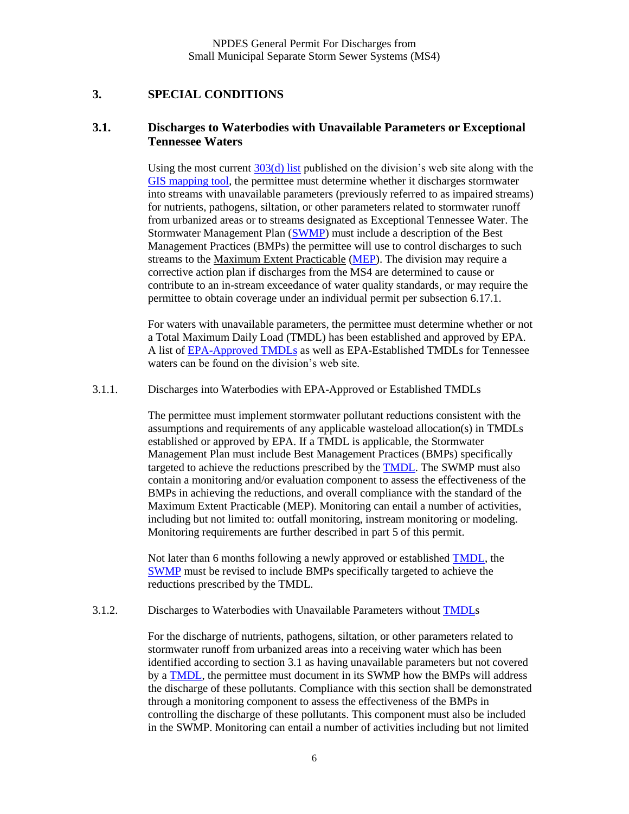# <span id="page-8-0"></span>**3. SPECIAL CONDITIONS**

## <span id="page-8-1"></span>**3.1. Discharges to Waterbodies with Unavailable Parameters or Exceptional Tennessee Waters**

Using the most current  $303(d)$  list published on the division's web site along with the [GIS mapping tool,](http://tdeconline.tn.gov/dwr/) the permittee must determine whether it discharges stormwater into streams with unavailable parameters (previously referred to as impaired streams) for nutrients, pathogens, siltation, or other parameters related to stormwater runoff from urbanized areas or to streams designated as Exceptional Tennessee Water. The Stormwater Management Plan [\(SWMP\)](#page-42-0) must include a description of the Best Management Practices (BMPs) the permittee will use to control discharges to such streams to the Maximum Extent Practicable (MEP). The division may require a corrective action plan if discharges from the MS4 are determined to cause or contribute to an in-stream exceedance of water quality standards, or may require the permittee to obtain coverage under an individual permit per subsection [6.17.1.](#page-36-4)

For waters with unavailable parameters, the permittee must determine whether or not a Total Maximum Daily Load (TMDL) has been established and approved by EPA. A list of **EPA-Approved TMDLs** as well as **EPA-Established TMDLs** for Tennessee waters can be found on the division's web site.

#### <span id="page-8-2"></span>3.1.1. Discharges into Waterbodies with EPA-Approved or Established TMDLs

The permittee must implement stormwater pollutant reductions consistent with the assumptions and requirements of any applicable wasteload allocation(s) in TMDLs established or approved by EPA. If a TMDL is applicable, the Stormwater Management Plan must include Best Management Practices (BMPs) specifically targeted to achieve the reductions prescribed by the [TMDL.](http://www.tennessee.gov/environment/article/wr-ws-tennessees-total-maximum-daily-load-tmdl-program) The SWMP must also contain a monitoring and/or evaluation component to assess the effectiveness of the BMPs in achieving the reductions, and overall compliance with the standard of the Maximum Extent Practicable (MEP). Monitoring can entail a number of activities, including but not limited to: outfall monitoring, instream monitoring or modeling. Monitoring requirements are further described in part [5](#page-28-0) of this permit.

Not later than 6 months following a newly approved or established [TMDL,](http://www.tennessee.gov/environment/article/wr-ws-tennessees-total-maximum-daily-load-tmdl-program) the [SWMP](#page-42-0) must be revised to include BMPs specifically targeted to achieve the reductions prescribed by the TMDL.

#### 3.1.2. Discharges to Waterbodies with Unavailable Parameters without **TMDLs**

For the discharge of nutrients, pathogens, siltation, or other parameters related to stormwater runoff from urbanized areas into a receiving water which has been identified according to section [3.1](#page-8-1) as having unavailable parameters but not covered by a [TMDL,](http://www.tennessee.gov/environment/article/wr-ws-tennessees-total-maximum-daily-load-tmdl-program) the permittee must document in its SWMP how the BMPs will address the discharge of these pollutants. Compliance with this section shall be demonstrated through a monitoring component to assess the effectiveness of the BMPs in controlling the discharge of these pollutants. This component must also be included in the SWMP. Monitoring can entail a number of activities including but not limited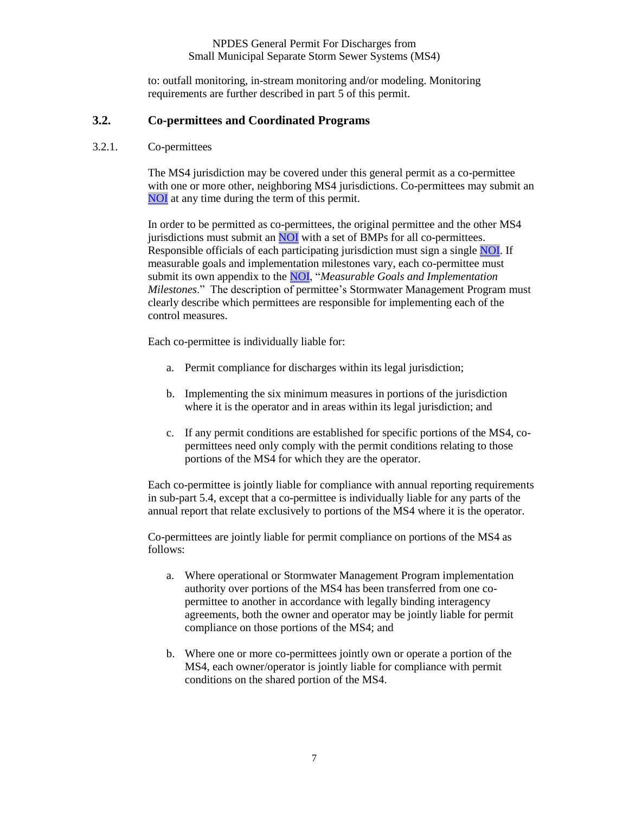to: outfall monitoring, in-stream monitoring and/or modeling. Monitoring requirements are further described in part [5](#page-28-0) of this permit.

# <span id="page-9-0"></span>**3.2. Co-permittees and Coordinated Programs**

#### 3.2.1. Co-permittees

The MS4 jurisdiction may be covered under this general permit as a co-permittee with one or more other, neighboring MS4 jurisdictions. Co-permittees may submit an [NOI](http://tn.gov/environment/article/permit-water-stormwater-discharges-permitting) at any time during the term of this permit.

In order to be permitted as co-permittees, the original permittee and the other MS4 jurisdictions must submit an **NOI** with a set of BMPs for all co-permittees. Responsible officials of each participating jurisdiction must sign a single [NOI.](http://tn.gov/environment/article/permit-water-stormwater-discharges-permitting) If measurable goals and implementation milestones vary, each co-permittee must submit its own appendix to the [NOI,](http://tn.gov/environment/article/permit-water-stormwater-discharges-permitting) "*Measurable Goals and Implementation Milestones*." The description of permittee's Stormwater Management Program must clearly describe which permittees are responsible for implementing each of the control measures.

Each co-permittee is individually liable for:

- a. Permit compliance for discharges within its legal jurisdiction;
- b. Implementing the six minimum measures in portions of the jurisdiction where it is the operator and in areas within its legal jurisdiction; and
- c. If any permit conditions are established for specific portions of the MS4, copermittees need only comply with the permit conditions relating to those portions of the MS4 for which they are the operator.

Each co-permittee is jointly liable for compliance with annual reporting requirements in sub-part [5.4,](#page-30-1) except that a co-permittee is individually liable for any parts of the annual report that relate exclusively to portions of the MS4 where it is the operator.

Co-permittees are jointly liable for permit compliance on portions of the MS4 as follows:

- a. Where operational or Stormwater Management Program implementation authority over portions of the MS4 has been transferred from one copermittee to another in accordance with legally binding interagency agreements, both the owner and operator may be jointly liable for permit compliance on those portions of the MS4; and
- b. Where one or more co-permittees jointly own or operate a portion of the MS4, each owner/operator is jointly liable for compliance with permit conditions on the shared portion of the MS4.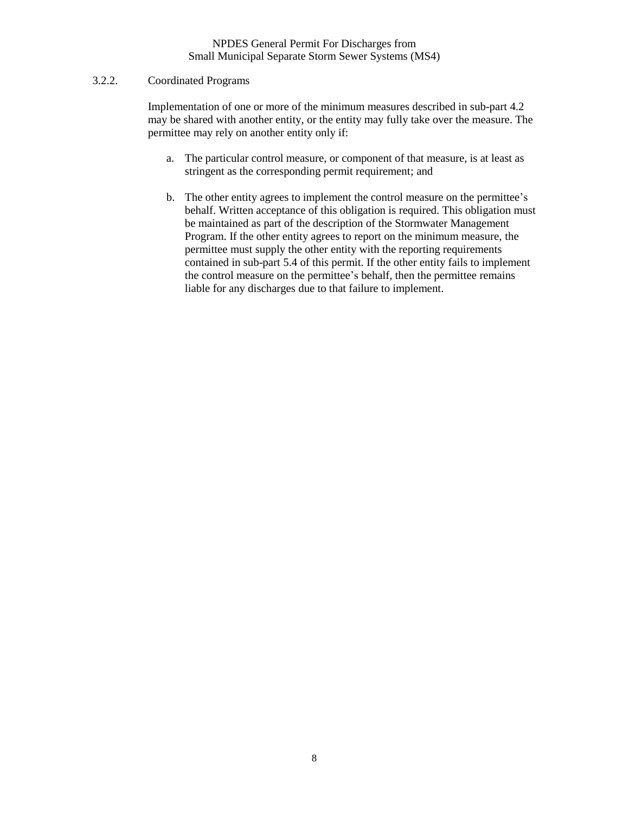## 3.2.2. Coordinated Programs

Implementation of one or more of the minimum measures described in sub-part [4.2](#page-13-0) may be shared with another entity, or the entity may fully take over the measure. The permittee may rely on another entity only if:

- a. The particular control measure, or component of that measure, is at least as stringent as the corresponding permit requirement; and
- b. The other entity agrees to implement the control measure on the permittee's behalf. Written acceptance of this obligation is required. This obligation must be maintained as part of the description of the Stormwater Management Program. If the other entity agrees to report on the minimum measure, the permittee must supply the other entity with the reporting requirements contained in sub-part [5.4](#page-30-1) of this permit. If the other entity fails to implement the control measure on the permittee's behalf, then the permittee remains liable for any discharges due to that failure to implement.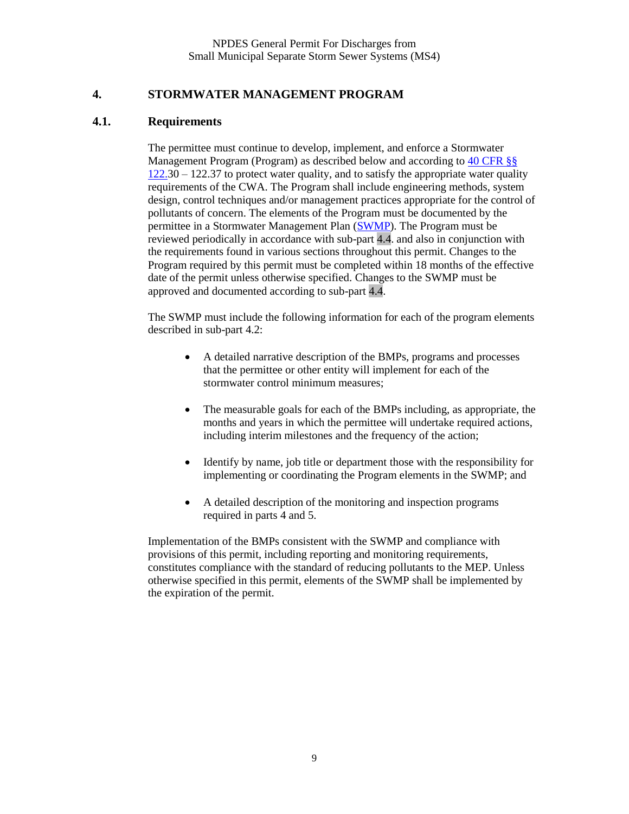# <span id="page-11-0"></span>**4. STORMWATER MANAGEMENT PROGRAM**

# <span id="page-11-1"></span>**4.1. Requirements**

The permittee must continue to develop, implement, and enforce a Stormwater Management Program (Program) as described below and according to [40 CFR §§](http://www.ecfr.gov/cgi-bin/text-idx?SID=3eff9095cca142d19588b6b34c440ea8&mc=true&node=pt40.22.122&rgn=div5#se40.22.122_126) [122.3](http://www.ecfr.gov/cgi-bin/text-idx?SID=3eff9095cca142d19588b6b34c440ea8&mc=true&node=pt40.22.122&rgn=div5#se40.22.122_126)0 – 122.37 to protect water quality, and to satisfy the appropriate water quality requirements of the CWA. The Program shall include engineering methods, system design, control techniques and/or management practices appropriate for the control of pollutants of concern. The elements of the Program must be documented by the permittee in a Stormwater Management Plan [\(SWMP\)](#page-42-0). The Program must be reviewed periodically in accordance with sub-part [4.4.](#page-24-1) and also in conjunction with the requirements found in various sections throughout this permit. Changes to the Program required by this permit must be completed within 18 months of the effective date of the permit unless otherwise specified. Changes to the SWMP must be approved and documented according to sub-part [4.4.](#page-24-1)

The SWMP must include the following information for each of the program elements described in sub-part [4.2:](#page-13-0)

- A detailed narrative description of the BMPs, programs and processes that the permittee or other entity will implement for each of the stormwater control minimum measures;
- The measurable goals for each of the BMPs including, as appropriate, the months and years in which the permittee will undertake required actions, including interim milestones and the frequency of the action;
- Identify by name, job title or department those with the responsibility for implementing or coordinating the Program elements in the SWMP; and
- A detailed description of the monitoring and inspection programs required in parts [4](#page-11-0) and [5.](#page-28-0)

Implementation of the BMPs consistent with the SWMP and compliance with provisions of this permit, including reporting and monitoring requirements, constitutes compliance with the standard of reducing pollutants to the MEP. Unless otherwise specified in this permit, elements of the SWMP shall be implemented by the expiration of the permit.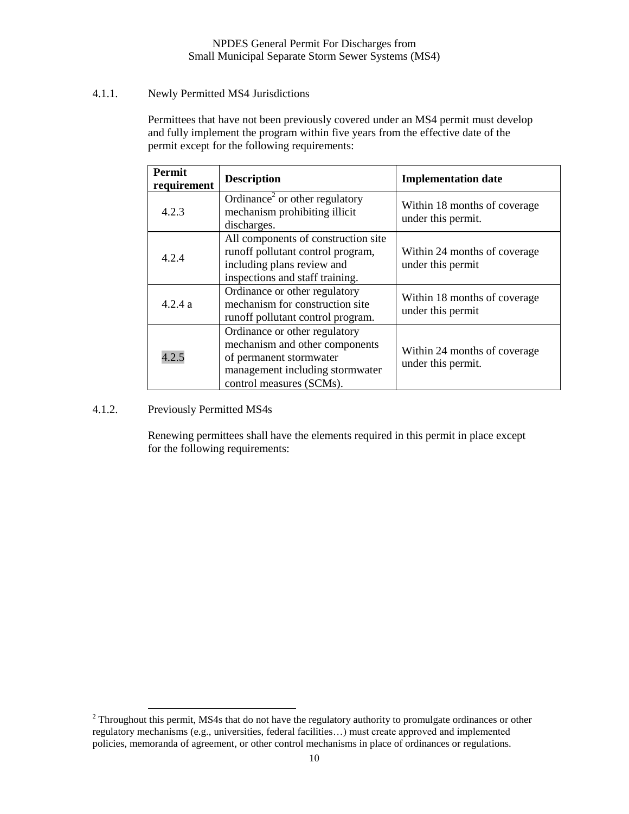## 4.1.1. Newly Permitted MS4 Jurisdictions

Permittees that have not been previously covered under an MS4 permit must develop and fully implement the program within five years from the effective date of the permit except for the following requirements:

| <b>Permit</b><br>requirement | <b>Description</b>                                                                                                                                        | <b>Implementation date</b>                         |
|------------------------------|-----------------------------------------------------------------------------------------------------------------------------------------------------------|----------------------------------------------------|
| 4.2.3                        | Ordinance <sup>2</sup> or other regulatory<br>mechanism prohibiting illicit<br>discharges.                                                                | Within 18 months of coverage<br>under this permit. |
| 4.2.4                        | All components of construction site<br>runoff pollutant control program,<br>including plans review and<br>inspections and staff training.                 | Within 24 months of coverage<br>under this permit  |
| 4.2.4a                       | Ordinance or other regulatory<br>mechanism for construction site<br>runoff pollutant control program.                                                     | Within 18 months of coverage<br>under this permit  |
| 4.2.5                        | Ordinance or other regulatory<br>mechanism and other components<br>of permanent stormwater<br>management including stormwater<br>control measures (SCMs). | Within 24 months of coverage<br>under this permit. |

## <span id="page-12-0"></span>4.1.2. Previously Permitted MS4s

l

Renewing permittees shall have the elements required in this permit in place except for the following requirements:

<sup>&</sup>lt;sup>2</sup> Throughout this permit, MS4s that do not have the regulatory authority to promulgate ordinances or other regulatory mechanisms (e.g., universities, federal facilities…) must create approved and implemented policies, memoranda of agreement, or other control mechanisms in place of ordinances or regulations.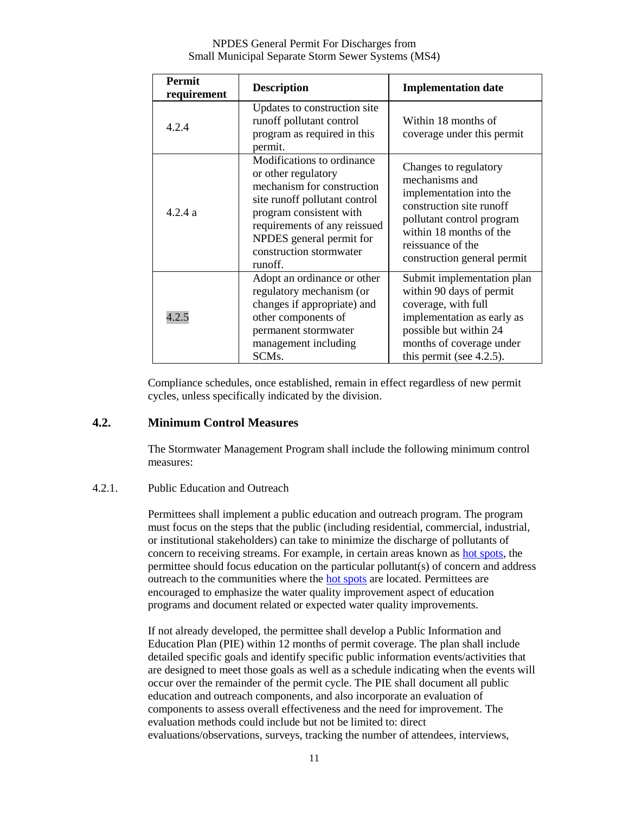| <b>Permit</b><br>requirement | <b>Description</b>                                                                                                                                                                                                                            | <b>Implementation date</b>                                                                                                                                                                                 |
|------------------------------|-----------------------------------------------------------------------------------------------------------------------------------------------------------------------------------------------------------------------------------------------|------------------------------------------------------------------------------------------------------------------------------------------------------------------------------------------------------------|
| 4.2.4                        | Updates to construction site<br>runoff pollutant control<br>program as required in this<br>permit.                                                                                                                                            | Within 18 months of<br>coverage under this permit                                                                                                                                                          |
| 4.2.4a                       | Modifications to ordinance<br>or other regulatory<br>mechanism for construction<br>site runoff pollutant control<br>program consistent with<br>requirements of any reissued<br>NPDES general permit for<br>construction stormwater<br>runoff. | Changes to regulatory<br>mechanisms and<br>implementation into the<br>construction site runoff<br>pollutant control program<br>within 18 months of the<br>reissuance of the<br>construction general permit |
| 4.2.5                        | Adopt an ordinance or other<br>regulatory mechanism (or<br>changes if appropriate) and<br>other components of<br>permanent stormwater<br>management including<br>SCM <sub>s</sub> .                                                           | Submit implementation plan<br>within 90 days of permit<br>coverage, with full<br>implementation as early as<br>possible but within 24<br>months of coverage under<br>this permit (see $4.2.5$ ).           |

Compliance schedules, once established, remain in effect regardless of new permit cycles, unless specifically indicated by the division.

#### <span id="page-13-0"></span>**4.2. Minimum Control Measures**

The Stormwater Management Program shall include the following minimum control measures:

#### 4.2.1. Public Education and Outreach

Permittees shall implement a public education and outreach program. The program must focus on the steps that the public (including residential, commercial, industrial, or institutional stakeholders) can take to minimize the discharge of pollutants of concern to receiving streams. For example, in certain areas known as [hot spots,](#page-40-0) the permittee should focus education on the particular pollutant(s) of concern and address outreach to the communities where the [hot spots](#page-40-0) are located. Permittees are encouraged to emphasize the water quality improvement aspect of education programs and document related or expected water quality improvements.

If not already developed, the permittee shall develop a Public Information and Education Plan (PIE) within 12 months of permit coverage. The plan shall include detailed specific goals and identify specific public information events/activities that are designed to meet those goals as well as a schedule indicating when the events will occur over the remainder of the permit cycle. The PIE shall document all public education and outreach components, and also incorporate an evaluation of components to assess overall effectiveness and the need for improvement. The evaluation methods could include but not be limited to: direct evaluations/observations, surveys, tracking the number of attendees, interviews,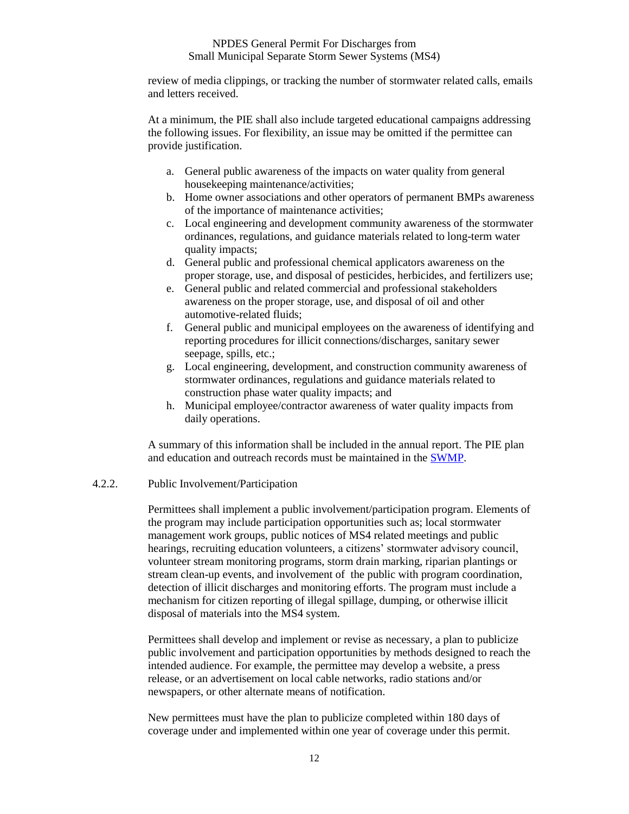review of media clippings, or tracking the number of stormwater related calls, emails and letters received.

At a minimum, the PIE shall also include targeted educational campaigns addressing the following issues. For flexibility, an issue may be omitted if the permittee can provide justification.

- a. General public awareness of the impacts on water quality from general housekeeping maintenance/activities;
- b. Home owner associations and other operators of permanent BMPs awareness of the importance of maintenance activities;
- c. Local engineering and development community awareness of the stormwater ordinances, regulations, and guidance materials related to long-term water quality impacts;
- d. General public and professional chemical applicators awareness on the proper storage, use, and disposal of pesticides, herbicides, and fertilizers use;
- e. General public and related commercial and professional stakeholders awareness on the proper storage, use, and disposal of oil and other automotive-related fluids;
- f. General public and municipal employees on the awareness of identifying and reporting procedures for illicit connections/discharges, sanitary sewer seepage, spills, etc.;
- g. Local engineering, development, and construction community awareness of stormwater ordinances, regulations and guidance materials related to construction phase water quality impacts; and
- h. Municipal employee/contractor awareness of water quality impacts from daily operations.

A summary of this information shall be included in the annual report. The PIE plan and education and outreach records must be maintained in the [SWMP.](#page-42-0)

#### <span id="page-14-0"></span>4.2.2. Public Involvement/Participation

Permittees shall implement a public involvement/participation program. Elements of the program may include participation opportunities such as; local stormwater management work groups, public notices of MS4 related meetings and public hearings, recruiting education volunteers, a citizens' stormwater advisory council, volunteer stream monitoring programs, storm drain marking, riparian plantings or stream clean-up events, and involvement of the public with program coordination, detection of illicit discharges and monitoring efforts. The program must include a mechanism for citizen reporting of illegal spillage, dumping, or otherwise illicit disposal of materials into the MS4 system.

Permittees shall develop and implement or revise as necessary, a plan to publicize public involvement and participation opportunities by methods designed to reach the intended audience. For example, the permittee may develop a website, a press release, or an advertisement on local cable networks, radio stations and/or newspapers, or other alternate means of notification.

New permittees must have the plan to publicize completed within 180 days of coverage under and implemented within one year of coverage under this permit.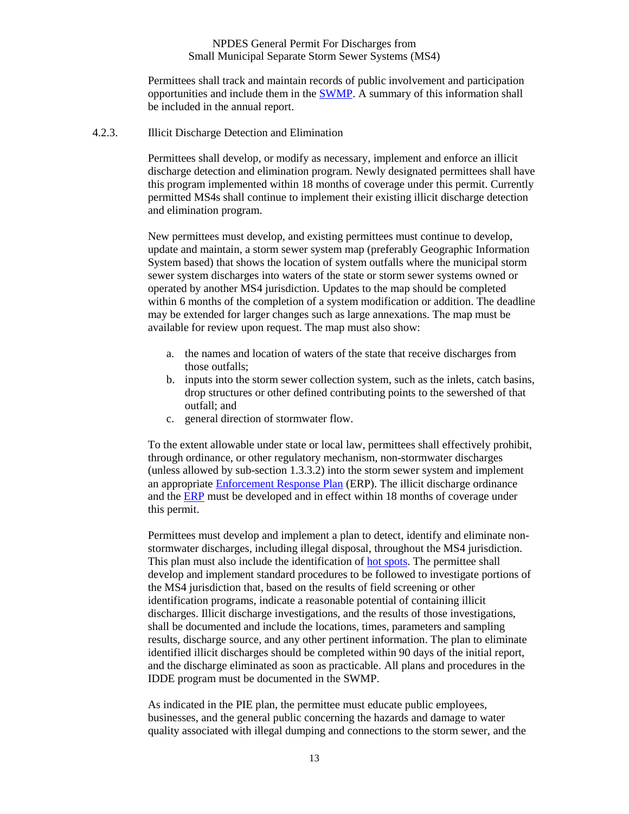Permittees shall track and maintain records of public involvement and participation opportunities and include them in the [SWMP.](#page-42-0) A summary of this information shall be included in the annual report.

#### <span id="page-15-0"></span>4.2.3. Illicit Discharge Detection and Elimination

Permittees shall develop, or modify as necessary, implement and enforce an illicit discharge detection and elimination program. Newly designated permittees shall have this program implemented within 18 months of coverage under this permit. Currently permitted MS4s shall continue to implement their existing illicit discharge detection and elimination program.

New permittees must develop, and existing permittees must continue to develop, update and maintain, a storm sewer system map (preferably Geographic Information System based) that shows the location of system outfalls where the municipal storm sewer system discharges into waters of the state or storm sewer systems owned or operated by another MS4 jurisdiction. Updates to the map should be completed within 6 months of the completion of a system modification or addition. The deadline may be extended for larger changes such as large annexations. The map must be available for review upon request. The map must also show:

- a. the names and location of waters of the state that receive discharges from those outfalls;
- b. inputs into the storm sewer collection system, such as the inlets, catch basins, drop structures or other defined contributing points to the sewershed of that outfall; and
- c. general direction of stormwater flow.

To the extent allowable under state or local law, permittees shall effectively prohibit, through ordinance, or other regulatory mechanism, non-stormwater discharges (unless allowed by sub-section 1.3.3.2) into the storm sewer system and implement an appropriate **Enforcement Response Plan** (ERP). The illicit discharge ordinance and the [ERP](#page-39-0) must be developed and in effect within 18 months of coverage under this permit.

Permittees must develop and implement a plan to detect, identify and eliminate nonstormwater discharges, including illegal disposal, throughout the MS4 jurisdiction. This plan must also include the identification of [hot spots.](#page-40-0) The permittee shall develop and implement standard procedures to be followed to investigate portions of the MS4 jurisdiction that, based on the results of field screening or other identification programs, indicate a reasonable potential of containing illicit discharges. Illicit discharge investigations, and the results of those investigations, shall be documented and include the locations, times, parameters and sampling results, discharge source, and any other pertinent information. The plan to eliminate identified illicit discharges should be completed within 90 days of the initial report, and the discharge eliminated as soon as practicable. All plans and procedures in the IDDE program must be documented in the SWMP.

As indicated in the PIE plan, the permittee must educate public employees, businesses, and the general public concerning the hazards and damage to water quality associated with illegal dumping and connections to the storm sewer, and the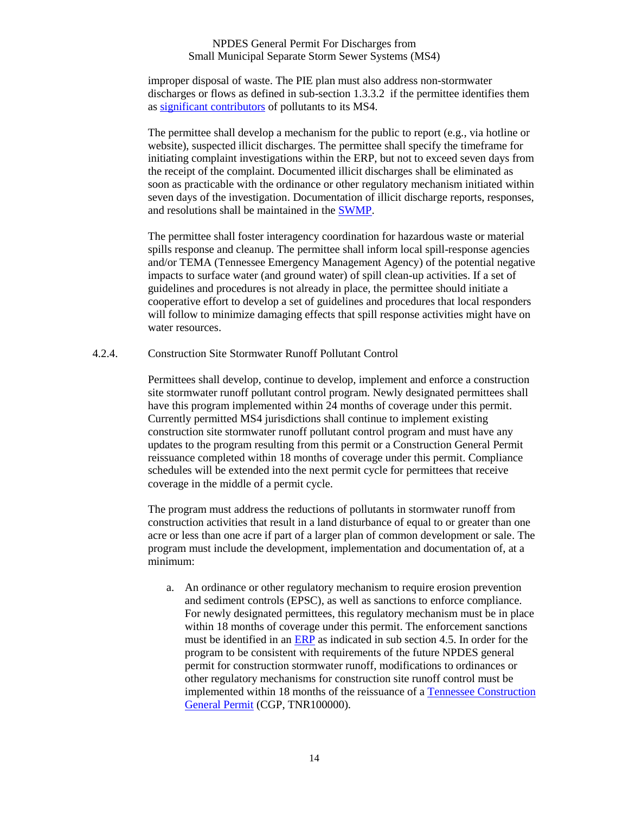improper disposal of waste. The PIE plan must also address non-stormwater discharges or flows as defined in sub-section [1.3.3.2](#page-4-2) if the permittee identifies them as [significant contributors](#page-42-1) of pollutants to its MS4.

The permittee shall develop a mechanism for the public to report (e.g., via hotline or website), suspected illicit discharges. The permittee shall specify the timeframe for initiating complaint investigations within the ERP, but not to exceed seven days from the receipt of the complaint. Documented illicit discharges shall be eliminated as soon as practicable with the ordinance or other regulatory mechanism initiated within seven days of the investigation. Documentation of illicit discharge reports, responses, and resolutions shall be maintained in the [SWMP.](#page-42-0)

The permittee shall foster interagency coordination for hazardous waste or material spills response and cleanup. The permittee shall inform local spill-response agencies and/or TEMA (Tennessee Emergency Management Agency) of the potential negative impacts to surface water (and ground water) of spill clean-up activities. If a set of guidelines and procedures is not already in place, the permittee should initiate a cooperative effort to develop a set of guidelines and procedures that local responders will follow to minimize damaging effects that spill response activities might have on water resources.

#### <span id="page-16-0"></span>4.2.4. Construction Site Stormwater Runoff Pollutant Control

Permittees shall develop, continue to develop, implement and enforce a construction site stormwater runoff pollutant control program. Newly designated permittees shall have this program implemented within 24 months of coverage under this permit. Currently permitted MS4 jurisdictions shall continue to implement existing construction site stormwater runoff pollutant control program and must have any updates to the program resulting from this permit or a Construction General Permit reissuance completed within 18 months of coverage under this permit. Compliance schedules will be extended into the next permit cycle for permittees that receive coverage in the middle of a permit cycle.

The program must address the reductions of pollutants in stormwater runoff from construction activities that result in a land disturbance of equal to or greater than one acre or less than one acre if part of a larger plan of common development or sale. The program must include the development, implementation and documentation of, at a minimum:

a. An ordinance or other regulatory mechanism to require erosion prevention and sediment controls (EPSC), as well as sanctions to enforce compliance. For newly designated permittees, this regulatory mechanism must be in place within 18 months of coverage under this permit. The enforcement sanctions must be identified in a[n ERP](#page-39-0) as indicated in sub section [4.5.](#page-25-0) In order for the program to be consistent with requirements of the future NPDES general permit for construction stormwater runoff, modifications to ordinances or other regulatory mechanisms for construction site runoff control must be implemented within 18 months of the reissuance of a [Tennessee Construction](http://tn.gov/environment/article/permit-water-npdes-stormwater-construction-permit)  [General Permit](http://tn.gov/environment/article/permit-water-npdes-stormwater-construction-permit) (CGP, TNR100000).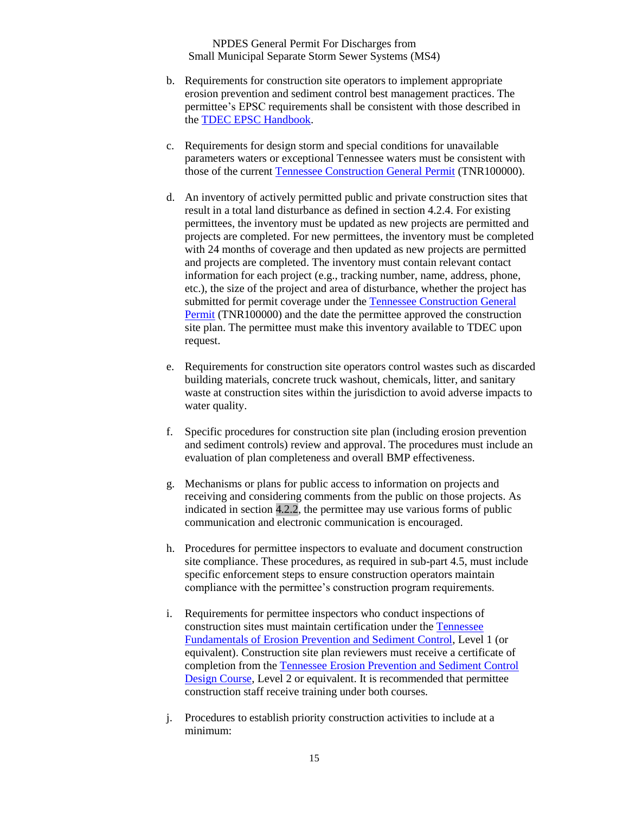- b. Requirements for construction site operators to implement appropriate erosion prevention and sediment control best management practices. The permittee's EPSC requirements shall be consistent with those described in the [TDEC EPSC Handbook.](http://tnepsc.org/handbook.asp)
- c. Requirements for design storm and special conditions for unavailable parameters waters or exceptional Tennessee waters must be consistent with those of the current [Tennessee Construction General Permit](http://tn.gov/environment/article/permit-water-npdes-stormwater-construction-permit) (TNR100000).
- d. An inventory of actively permitted public and private construction sites that result in a total land disturbance as defined in section [4.2.4.](#page-16-0) For existing permittees, the inventory must be updated as new projects are permitted and projects are completed. For new permittees, the inventory must be completed with 24 months of coverage and then updated as new projects are permitted and projects are completed. The inventory must contain relevant contact information for each project (e.g., tracking number, name, address, phone, etc.), the size of the project and area of disturbance, whether the project has submitted for permit coverage under the [Tennessee Construction General](http://tn.gov/environment/article/permit-water-npdes-stormwater-construction-permit)  [Permit](http://tn.gov/environment/article/permit-water-npdes-stormwater-construction-permit) (TNR100000) and the date the permittee approved the construction site plan. The permittee must make this inventory available to TDEC upon request.
- e. Requirements for construction site operators control wastes such as discarded building materials, concrete truck washout, chemicals, litter, and sanitary waste at construction sites within the jurisdiction to avoid adverse impacts to water quality.
- f. Specific procedures for construction site plan (including erosion prevention and sediment controls) review and approval. The procedures must include an evaluation of plan completeness and overall BMP effectiveness.
- g. Mechanisms or plans for public access to information on projects and receiving and considering comments from the public on those projects. As indicated in section [4.2.2,](#page-14-0) the permittee may use various forms of public communication and electronic communication is encouraged.
- h. Procedures for permittee inspectors to evaluate and document construction site compliance. These procedures, as required in sub-part 4.5, must include specific enforcement steps to ensure construction operators maintain compliance with the permittee's construction program requirements.
- i. Requirements for permittee inspectors who conduct inspections of construction sites must maintain certification under th[e Tennessee](http://www.tnepsc.org/)  [Fundamentals of Erosion Prevention and Sediment Control,](http://www.tnepsc.org/) Level 1 (or equivalent). Construction site plan reviewers must receive a certificate of completion from the Tennessee [Erosion Prevention and Sediment Control](http://www.tnepsc.org/)  [Design Course,](http://www.tnepsc.org/) Level 2 or equivalent. It is recommended that permittee construction staff receive training under both courses.
- j. Procedures to establish priority construction activities to include at a minimum: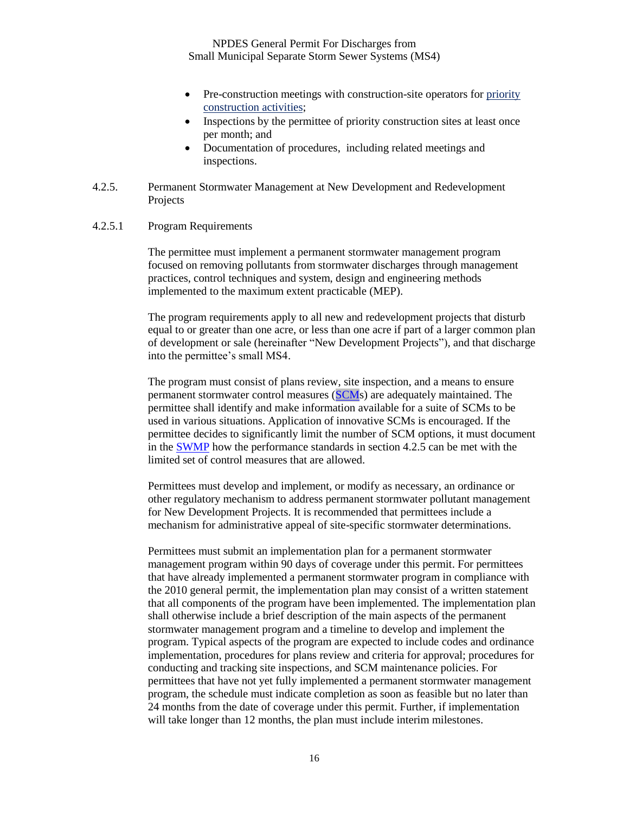- Pre-construction meetings with construction-site operators for [priority](#page-41-0)  [construction activiti](#page-41-0)es;
- Inspections by the permittee of priority construction sites at least once per month; and
- Documentation of procedures, including related meetings and inspections.
- <span id="page-18-1"></span>4.2.5. Permanent Stormwater Management at New Development and Redevelopment Projects
- <span id="page-18-0"></span>4.2.5.1 Program Requirements

The permittee must implement a permanent stormwater management program focused on removing pollutants from stormwater discharges through management practices, control techniques and system, design and engineering methods implemented to the maximum extent practicable (MEP).

The program requirements apply to all new and redevelopment projects that disturb equal to or greater than one acre, or less than one acre if part of a larger common plan of development or sale (hereinafter "New Development Projects"), and that discharge into the permittee's small MS4.

The program must consist of plans review, site inspection, and a means to ensure permanent stormwater control measures [\(SCMs](#page-42-2)) are adequately maintained. The permittee shall identify and make information available for a suite of SCMs to be used in various situations. Application of innovative SCMs is encouraged. If the permittee decides to significantly limit the number of SCM options, it must document in the [SWMP](#page-42-0) how the performance standards in section 4.2.5 can be met with the limited set of control measures that are allowed.

Permittees must develop and implement, or modify as necessary, an ordinance or other regulatory mechanism to address permanent stormwater pollutant management for New Development Projects. It is recommended that permittees include a mechanism for administrative appeal of site-specific stormwater determinations.

Permittees must submit an implementation plan for a permanent stormwater management program within 90 days of coverage under this permit. For permittees that have already implemented a permanent stormwater program in compliance with the 2010 general permit, the implementation plan may consist of a written statement that all components of the program have been implemented. The implementation plan shall otherwise include a brief description of the main aspects of the permanent stormwater management program and a timeline to develop and implement the program. Typical aspects of the program are expected to include codes and ordinance implementation, procedures for plans review and criteria for approval; procedures for conducting and tracking site inspections, and SCM maintenance policies. For permittees that have not yet fully implemented a permanent stormwater management program, the schedule must indicate completion as soon as feasible but no later than 24 months from the date of coverage under this permit. Further, if implementation will take longer than 12 months, the plan must include interim milestones.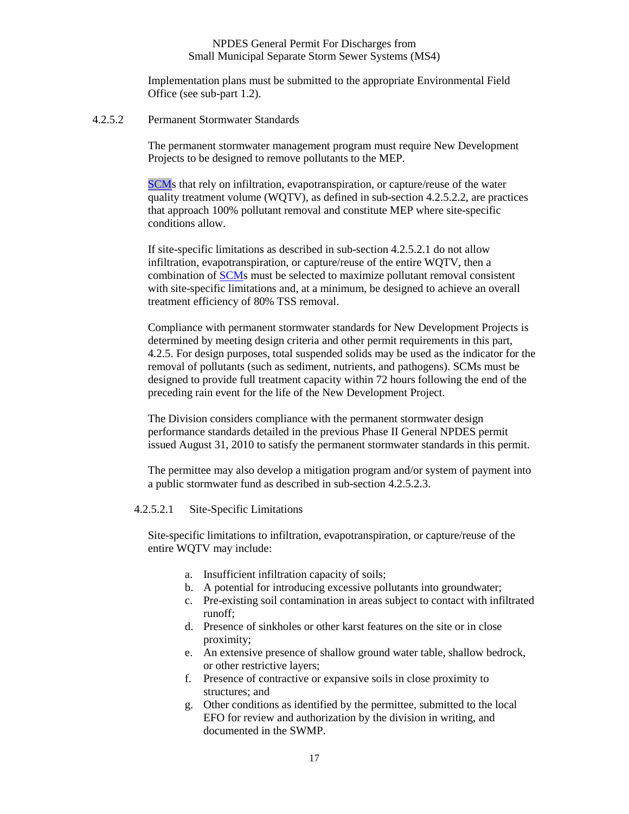Implementation plans must be submitted to the appropriate Environmental Field Office (see sub-part [1.2\)](#page-3-2).

#### <span id="page-19-1"></span>4.2.5.2 Permanent Stormwater Standards

The permanent stormwater management program must require New Development Projects to be designed to remove pollutants to the MEP.

[SCMs](#page-42-2) that rely on infiltration, evapotranspiration, or capture/reuse of the water quality treatment volume (WQTV), as defined in sub-section [4.2.5.2.2,](#page-20-0) are practices that approach 100% pollutant removal and constitute MEP where site-specific conditions allow.

If site-specific limitations as described in sub-sectio[n 4.2.5.2.1](#page-19-0) do not allow infiltration, evapotranspiration, or capture/reuse of the entire WQTV, then a combination o[f SCMs](#page-42-2) must be selected to maximize pollutant removal consistent with site-specific limitations and, at a minimum, be designed to achieve an overall treatment efficiency of 80% TSS removal.

Compliance with permanent stormwater standards for New Development Projects is determined by meeting design criteria and other permit requirements in this part, 4.2.5. For design purposes, total suspended solids may be used as the indicator for the removal of pollutants (such as sediment, nutrients, and pathogens). SCMs must be designed to provide full treatment capacity within 72 hours following the end of the preceding rain event for the life of the New Development Project.

The Division considers compliance with the permanent stormwater design performance standards detailed in the previous Phase II General NPDES permit issued August 31, 2010 to satisfy the permanent stormwater standards in this permit.

The permittee may also develop a mitigation program and/or system of payment into a public stormwater fund as described in sub-section [4.2.5.2.3.](#page-20-1)

#### <span id="page-19-0"></span>4.2.5.2.1 Site-Specific Limitations

Site-specific limitations to infiltration, evapotranspiration, or capture/reuse of the entire WQTV may include:

- a. Insufficient infiltration capacity of soils;
- b. A potential for introducing excessive pollutants into groundwater;
- c. Pre-existing soil contamination in areas subject to contact with infiltrated runoff;
- d. Presence of sinkholes or other karst features on the site or in close proximity;
- e. An extensive presence of shallow ground water table, shallow bedrock, or other restrictive layers;
- f. Presence of contractive or expansive soils in close proximity to structures; and
- g. Other conditions as identified by the permittee, submitted to the local EFO for review and authorization by the division in writing, and documented in the SWMP.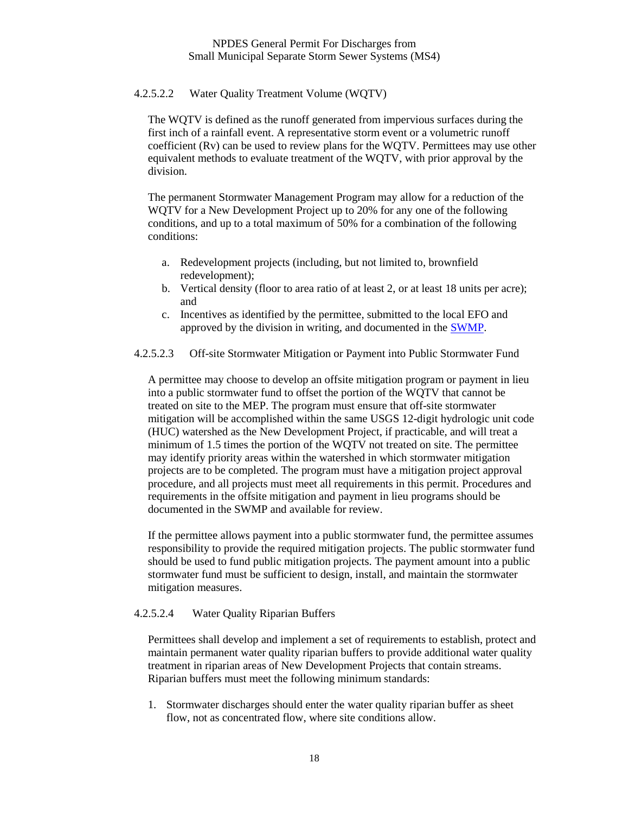## <span id="page-20-0"></span>4.2.5.2.2 Water Quality Treatment Volume (WQTV)

The WQTV is defined as the runoff generated from impervious surfaces during the first inch of a rainfall event. A representative storm event or a volumetric runoff coefficient (Rv) can be used to review plans for the WQTV. Permittees may use other equivalent methods to evaluate treatment of the WQTV, with prior approval by the division.

The permanent Stormwater Management Program may allow for a reduction of the WQTV for a New Development Project up to 20% for any one of the following conditions, and up to a total maximum of 50% for a combination of the following conditions:

- a. Redevelopment projects (including, but not limited to, brownfield redevelopment);
- b. Vertical density (floor to area ratio of at least 2, or at least 18 units per acre); and
- c. Incentives as identified by the permittee, submitted to the local EFO and approved by the division in writing, and documented in the [SWMP.](#page-42-0)

#### <span id="page-20-1"></span>4.2.5.2.3 Off-site Stormwater Mitigation or Payment into Public Stormwater Fund

A permittee may choose to develop an offsite mitigation program or payment in lieu into a public stormwater fund to offset the portion of the WQTV that cannot be treated on site to the MEP. The program must ensure that off-site stormwater mitigation will be accomplished within the same USGS 12-digit hydrologic unit code (HUC) watershed as the New Development Project, if practicable, and will treat a minimum of 1.5 times the portion of the WQTV not treated on site. The permittee may identify priority areas within the watershed in which stormwater mitigation projects are to be completed. The program must have a mitigation project approval procedure, and all projects must meet all requirements in this permit. Procedures and requirements in the offsite mitigation and payment in lieu programs should be documented in the SWMP and available for review.

If the permittee allows payment into a public stormwater fund, the permittee assumes responsibility to provide the required mitigation projects. The public stormwater fund should be used to fund public mitigation projects. The payment amount into a public stormwater fund must be sufficient to design, install, and maintain the stormwater mitigation measures.

#### <span id="page-20-2"></span>4.2.5.2.4 Water Quality Riparian Buffers

Permittees shall develop and implement a set of requirements to establish, protect and maintain permanent water quality riparian buffers to provide additional water quality treatment in riparian areas of New Development Projects that contain streams. Riparian buffers must meet the following minimum standards:

1. Stormwater discharges should enter the water quality riparian buffer as sheet flow, not as concentrated flow, where site conditions allow.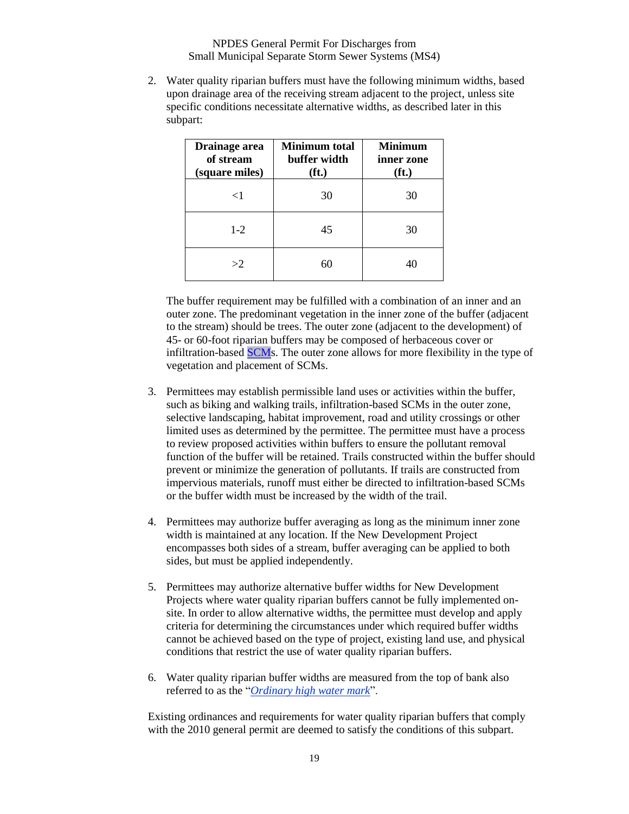2. Water quality riparian buffers must have the following minimum widths, based upon drainage area of the receiving stream adjacent to the project, unless site specific conditions necessitate alternative widths, as described later in this subpart:

| Drainage area<br>of stream<br>(square miles) | Minimum total<br>buffer width<br>(f <sub>t</sub> ) | <b>Minimum</b><br>inner zone<br>(f <sub>t</sub> ) |
|----------------------------------------------|----------------------------------------------------|---------------------------------------------------|
| $<$ 1                                        | 30                                                 | 30                                                |
| $1-2$                                        | 45                                                 | 30                                                |
| >2                                           | 60                                                 | 40                                                |

The buffer requirement may be fulfilled with a combination of an inner and an outer zone. The predominant vegetation in the inner zone of the buffer (adjacent to the stream) should be trees. The outer zone (adjacent to the development) of 45- or 60-foot riparian buffers may be composed of herbaceous cover or infiltration-based [SCMs](#page-42-2). The outer zone allows for more flexibility in the type of vegetation and placement of SCMs.

- 3. Permittees may establish permissible land uses or activities within the buffer, such as biking and walking trails, infiltration-based SCMs in the outer zone, selective landscaping, habitat improvement, road and utility crossings or other limited uses as determined by the permittee. The permittee must have a process to review proposed activities within buffers to ensure the pollutant removal function of the buffer will be retained. Trails constructed within the buffer should prevent or minimize the generation of pollutants. If trails are constructed from impervious materials, runoff must either be directed to infiltration-based SCMs or the buffer width must be increased by the width of the trail.
- 4. Permittees may authorize buffer averaging as long as the minimum inner zone width is maintained at any location. If the New Development Project encompasses both sides of a stream, buffer averaging can be applied to both sides, but must be applied independently.
- 5. Permittees may authorize alternative buffer widths for New Development Projects where water quality riparian buffers cannot be fully implemented onsite. In order to allow alternative widths, the permittee must develop and apply criteria for determining the circumstances under which required buffer widths cannot be achieved based on the type of project, existing land use, and physical conditions that restrict the use of water quality riparian buffers.
- 6. Water quality riparian buffer widths are measured from the top of bank also referred to as the "*[Ordinary high water mark](#page-41-1)*".

Existing ordinances and requirements for water quality riparian buffers that comply with the 2010 general permit are deemed to satisfy the conditions of this subpart.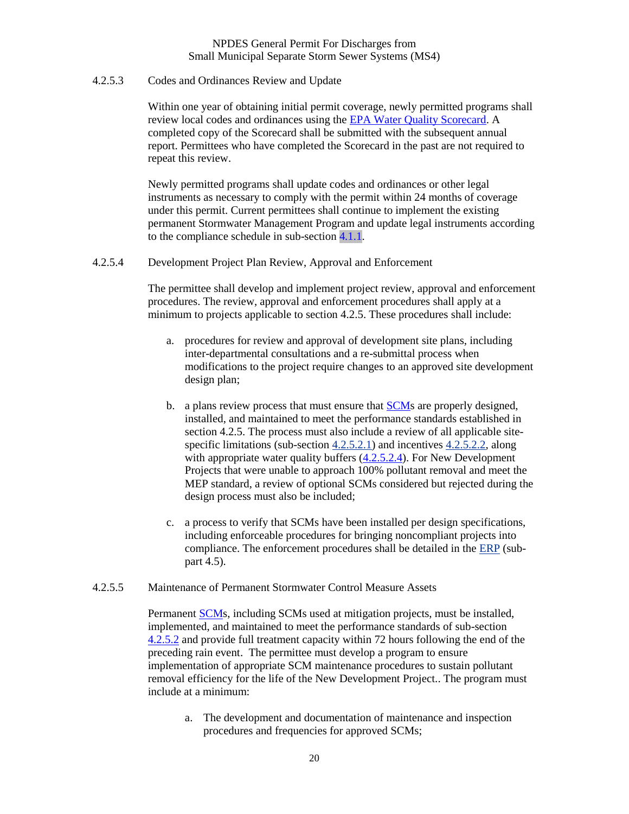#### 4.2.5.3 Codes and Ordinances Review and Update

Within one year of obtaining initial permit coverage, newly permitted programs shall review local codes and ordinances using the [EPA Water Quality Scorecard.](http://www2.epa.gov/smartgrowth/water-quality-scorecard-incorporating-green-infrastructure-practices-municipal) A completed copy of the Scorecard shall be submitted with the subsequent annual report. Permittees who have completed the Scorecard in the past are not required to repeat this review.

Newly permitted programs shall update codes and ordinances or other legal instruments as necessary to comply with the permit within 24 months of coverage under this permit. Current permittees shall continue to implement the existing permanent Stormwater Management Program and update legal instruments according to the compliance schedule in sub-section [4.1.1.](#page-12-0)

#### 4.2.5.4 Development Project Plan Review, Approval and Enforcement

The permittee shall develop and implement project review, approval and enforcement procedures. The review, approval and enforcement procedures shall apply at a minimum to projects applicable to section 4.2.5. These procedures shall include:

- a. procedures for review and approval of development site plans, including inter-departmental consultations and a re-submittal process when modifications to the project require changes to an approved site development design plan;
- b. a plans review process that must ensure that **SCMs** are properly designed, installed, and maintained to meet the performance standards established in section [4.2.5.](#page-18-1) The process must also include a review of all applicable site-specific limitations (sub-section [4.2.5.2.1\)](#page-19-0) and incentives [4.2.5.2.2,](#page-20-0) along with appropriate water quality buffers  $(4.2.5.2.4)$ . For New Development Projects that were unable to approach 100% pollutant removal and meet the MEP standard, a review of optional SCMs considered but rejected during the design process must also be included;
- c. a process to verify that SCMs have been installed per design specifications, including enforceable procedures for bringing noncompliant projects into compliance. The enforcement procedures shall be detailed in the [ERP](#page-39-0) (subpart [4.5\)](#page-25-0).

#### 4.2.5.5 Maintenance of Permanent Stormwater Control Measure Assets

Permanent [SCMs](#page-42-2), including SCMs used at mitigation projects, must be installed, implemented, and maintained to meet the performance standards of sub-section [4.2.5.2](#page-19-1) and provide full treatment capacity within 72 hours following the end of the preceding rain event. The permittee must develop a program to ensure implementation of appropriate SCM maintenance procedures to sustain pollutant removal efficiency for the life of the New Development Project.. The program must include at a minimum:

a. The development and documentation of maintenance and inspection procedures and frequencies for approved SCMs;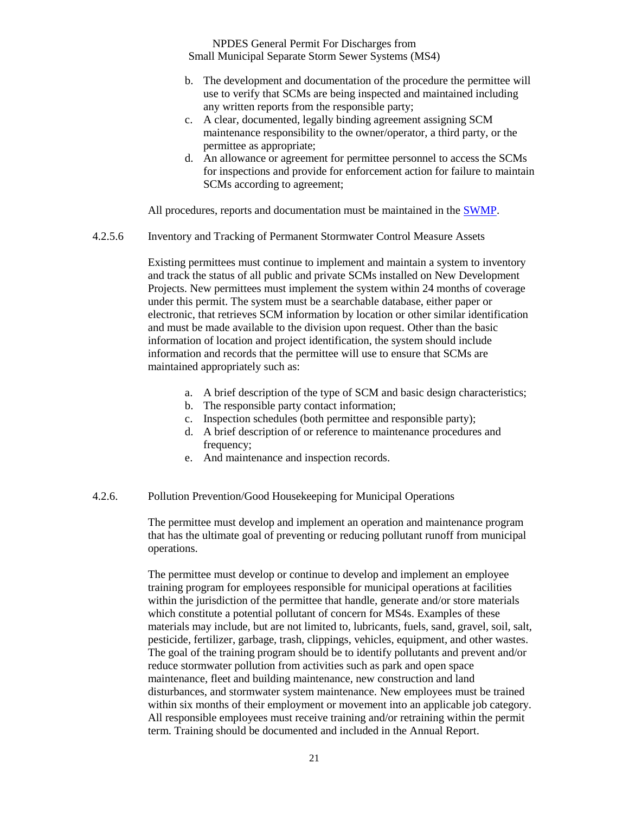- b. The development and documentation of the procedure the permittee will use to verify that SCMs are being inspected and maintained including any written reports from the responsible party;
- c. A clear, documented, legally binding agreement assigning SCM maintenance responsibility to the owner/operator, a third party, or the permittee as appropriate;
- d. An allowance or agreement for permittee personnel to access the SCMs for inspections and provide for enforcement action for failure to maintain SCMs according to agreement;

All procedures, reports and documentation must be maintained in the [SWMP.](#page-42-0)

4.2.5.6 Inventory and Tracking of Permanent Stormwater Control Measure Assets

Existing permittees must continue to implement and maintain a system to inventory and track the status of all public and private SCMs installed on New Development Projects. New permittees must implement the system within 24 months of coverage under this permit. The system must be a searchable database, either paper or electronic, that retrieves SCM information by location or other similar identification and must be made available to the division upon request. Other than the basic information of location and project identification, the system should include information and records that the permittee will use to ensure that SCMs are maintained appropriately such as:

- a. A brief description of the type of SCM and basic design characteristics;
- b. The responsible party contact information;
- c. Inspection schedules (both permittee and responsible party);
- d. A brief description of or reference to maintenance procedures and frequency;
- e. And maintenance and inspection records.

#### 4.2.6. Pollution Prevention/Good Housekeeping for Municipal Operations

The permittee must develop and implement an operation and maintenance program that has the ultimate goal of preventing or reducing pollutant runoff from municipal operations.

The permittee must develop or continue to develop and implement an employee training program for employees responsible for municipal operations at facilities within the jurisdiction of the permittee that handle, generate and/or store materials which constitute a potential pollutant of concern for MS4s. Examples of these materials may include, but are not limited to, lubricants, fuels, sand, gravel, soil, salt, pesticide, fertilizer, garbage, trash, clippings, vehicles, equipment, and other wastes. The goal of the training program should be to identify pollutants and prevent and/or reduce stormwater pollution from activities such as park and open space maintenance, fleet and building maintenance, new construction and land disturbances, and stormwater system maintenance. New employees must be trained within six months of their employment or movement into an applicable job category. All responsible employees must receive training and/or retraining within the permit term. Training should be documented and included in the Annual Report.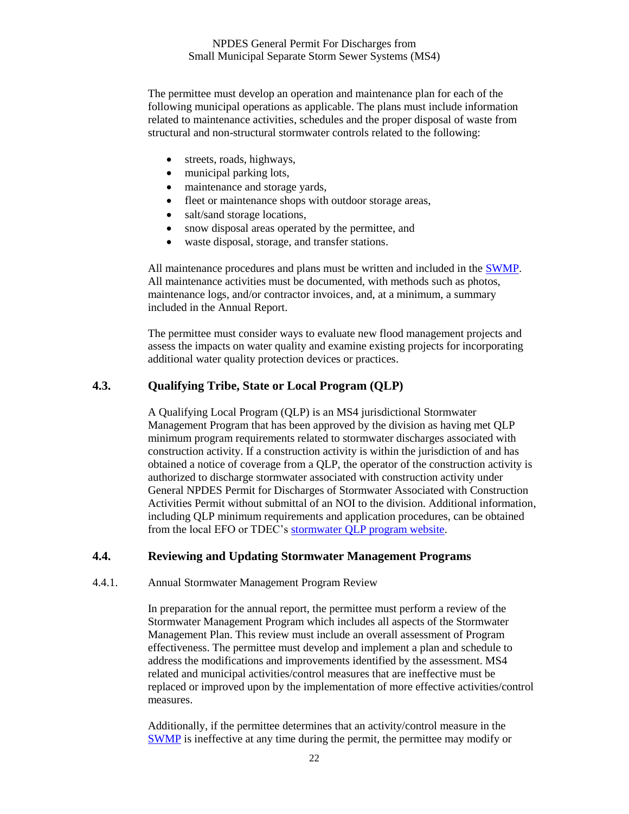The permittee must develop an operation and maintenance plan for each of the following municipal operations as applicable. The plans must include information related to maintenance activities, schedules and the proper disposal of waste from structural and non-structural stormwater controls related to the following:

- streets, roads, highways,
- municipal parking lots,
- maintenance and storage yards,
- fleet or maintenance shops with outdoor storage areas,
- salt/sand storage locations,
- snow disposal areas operated by the permittee, and
- waste disposal, storage, and transfer stations.

All maintenance procedures and plans must be written and included in th[e SWMP.](#page-42-0) All maintenance activities must be documented, with methods such as photos, maintenance logs, and/or contractor invoices, and, at a minimum, a summary included in the Annual Report.

The permittee must consider ways to evaluate new flood management projects and assess the impacts on water quality and examine existing projects for incorporating additional water quality protection devices or practices.

# <span id="page-24-0"></span>**4.3. Qualifying Tribe, State or Local Program (QLP)**

A [Qualifying Local Program \(QLP\) i](#page-41-2)s an MS4 jurisdictional Stormwater Management Program that has been approved by the division as having met QLP minimum program requirements related to stormwater discharges associated with construction activity. If a construction activity is within the jurisdiction of and has obtained a notice of coverage from a QLP, the operator of the construction activity is authorized to discharge stormwater associated with construction activity under General NPDES Permit for Discharges of Stormwater Associated with Construction Activities Permit without submittal of an NOI to the division. Additional information, including QLP minimum requirements and application procedures, can be obtained from the local EFO or TDEC's [stormwater QLP program website.](http://tn.gov/environment/article/tennessee-qualifying-local-program)

## <span id="page-24-1"></span>**4.4. Reviewing and Updating Stormwater Management Programs**

4.4.1. Annual Stormwater Management Program Review

In preparation for the annual report, the permittee must perform a review of the Stormwater Management Program which includes all aspects of the Stormwater Management Plan. This review must include an overall assessment of Program effectiveness. The permittee must develop and implement a plan and schedule to address the modifications and improvements identified by the assessment. MS4 related and municipal activities/control measures that are ineffective must be replaced or improved upon by the implementation of more effective activities/control measures.

Additionally, if the permittee determines that an activity/control measure in the [SWMP](#page-42-0) is ineffective at any time during the permit, the permittee may modify or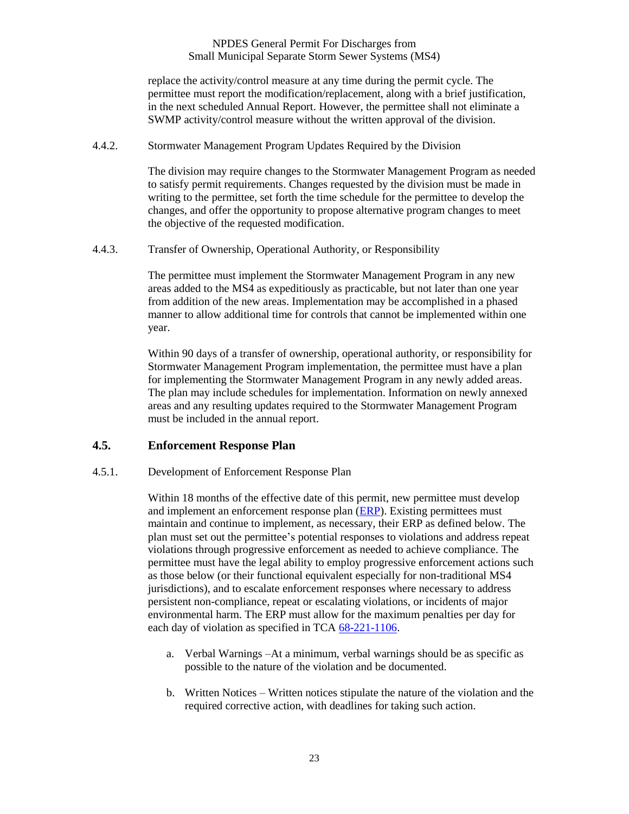replace the activity/control measure at any time during the permit cycle. The permittee must report the modification/replacement, along with a brief justification, in the next scheduled Annual Report. However, the permittee shall not eliminate a SWMP activity/control measure without the written approval of the division.

4.4.2. Stormwater Management Program Updates Required by the Division

The division may require changes to the Stormwater Management Program as needed to satisfy permit requirements. Changes requested by the division must be made in writing to the permittee, set forth the time schedule for the permittee to develop the changes, and offer the opportunity to propose alternative program changes to meet the objective of the requested modification.

4.4.3. Transfer of Ownership, Operational Authority, or Responsibility

The permittee must implement the Stormwater Management Program in any new areas added to the MS4 as expeditiously as practicable, but not later than one year from addition of the new areas. Implementation may be accomplished in a phased manner to allow additional time for controls that cannot be implemented within one year.

Within 90 days of a transfer of ownership, operational authority, or responsibility for Stormwater Management Program implementation, the permittee must have a plan for implementing the Stormwater Management Program in any newly added areas. The plan may include schedules for implementation. Information on newly annexed areas and any resulting updates required to the Stormwater Management Program must be included in the annual report.

## <span id="page-25-0"></span>**4.5. Enforcement Response Plan**

4.5.1. Development of Enforcement Response Plan

Within 18 months of the effective date of this permit, new permittee must develop and implement an enforcement response plan [\(ERP\)](#page-39-0). Existing permittees must maintain and continue to implement, as necessary, their ERP as defined below. The plan must set out the permittee's potential responses to violations and address repeat violations through progressive enforcement as needed to achieve compliance. The permittee must have the legal ability to employ progressive enforcement actions such as those below (or their functional equivalent especially for non-traditional MS4 jurisdictions), and to escalate enforcement responses where necessary to address persistent non-compliance, repeat or escalating violations, or incidents of major environmental harm. The ERP must allow for the maximum penalties per day for each day of violation as specified in TC[A 68-221-1106.](http://www.michie.com/tennessee/lpext.dll?f=templates&fn=main-h.htm&cp=)

- a. Verbal Warnings –At a minimum, verbal warnings should be as specific as possible to the nature of the violation and be documented.
- b. Written Notices Written notices stipulate the nature of the violation and the required corrective action, with deadlines for taking such action.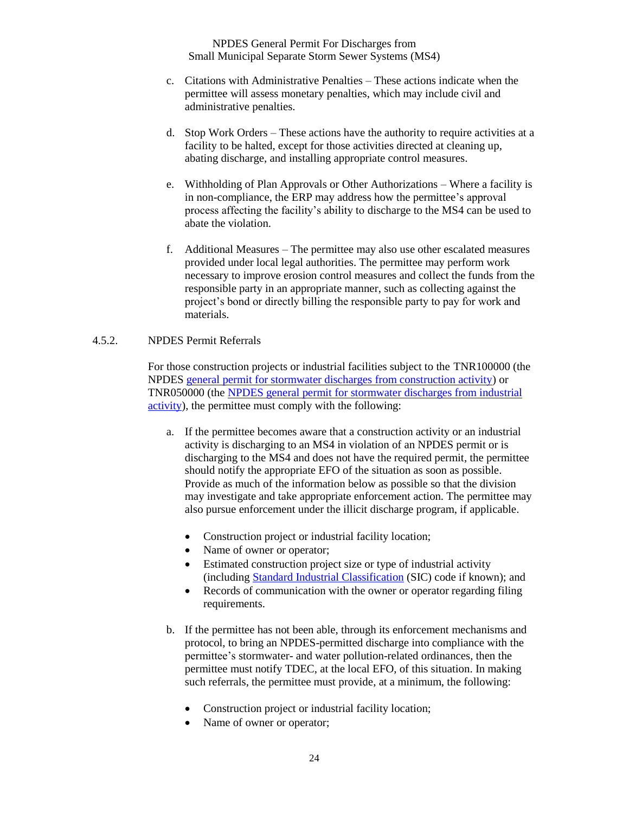- c. Citations with Administrative Penalties These actions indicate when the permittee will assess monetary penalties, which may include civil and administrative penalties.
- d. Stop Work Orders These actions have the authority to require activities at a facility to be halted, except for those activities directed at cleaning up, abating discharge, and installing appropriate control measures.
- e. Withholding of Plan Approvals or Other Authorizations Where a facility is in non-compliance, the ERP may address how the permittee's approval process affecting the facility's ability to discharge to the MS4 can be used to abate the violation.
- f. Additional Measures The permittee may also use other escalated measures provided under local legal authorities. The permittee may perform work necessary to improve erosion control measures and collect the funds from the responsible party in an appropriate manner, such as collecting against the project's bond or directly billing the responsible party to pay for work and materials.

#### 4.5.2. NPDES Permit Referrals

For those construction projects or industrial facilities subject to the TNR100000 (the NPDES [general permit for stormwater discharges from construction activity\)](http://tn.gov/environment/article/permit-water-npdes-stormwater-construction-permit) or TNR050000 (the [NPDES general permit for stormwater discharges from industrial](http://tn.gov/environment/article/permit-water-npdes-industrial-stormwater-general-permit)  [activity\)](http://tn.gov/environment/article/permit-water-npdes-industrial-stormwater-general-permit), the permittee must comply with the following:

- a. If the permittee becomes aware that a construction activity or an industrial activity is discharging to an MS4 in violation of an NPDES permit or is discharging to the MS4 and does not have the required permit, the permittee should notify the appropriate EFO of the situation as soon as possible. Provide as much of the information below as possible so that the division may investigate and take appropriate enforcement action. The permittee may also pursue enforcement under the illicit discharge program, if applicable.
	- Construction project or industrial facility location;
	- Name of owner or operator:
	- Estimated construction project size or type of industrial activity (including [Standard Industrial Classification](https://www.osha.gov/pls/imis/sicsearch.html?p_sic=8051&p_search=) (SIC) code if known); and
	- Records of communication with the owner or operator regarding filing requirements.
- b. If the permittee has not been able, through its enforcement mechanisms and protocol, to bring an NPDES-permitted discharge into compliance with the permittee's stormwater- and water pollution-related ordinances, then the permittee must notify TDEC, at the local EFO, of this situation. In making such referrals, the permittee must provide, at a minimum, the following:
	- Construction project or industrial facility location;
	- Name of owner or operator;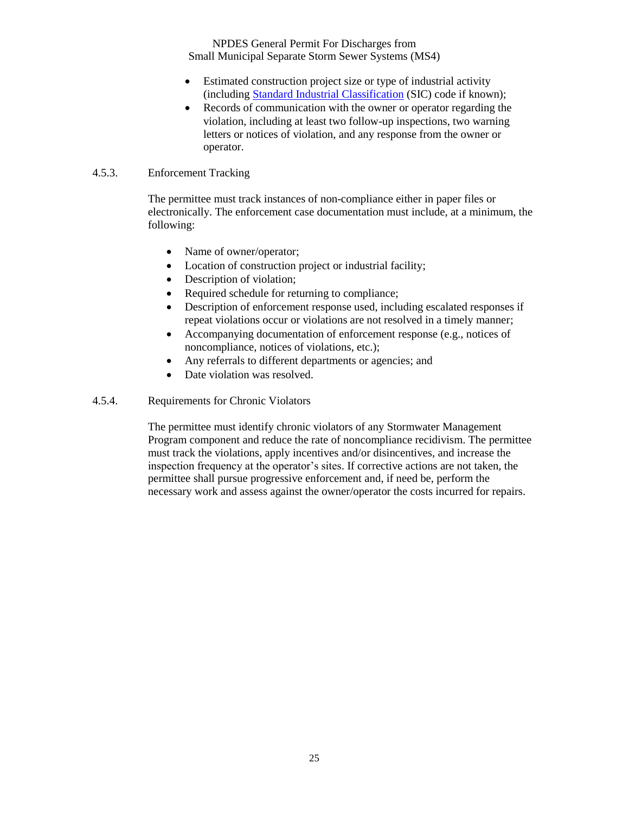- Estimated construction project size or type of industrial activity (including [Standard Industrial Classification](https://www.osha.gov/pls/imis/sicsearch.html?p_sic=8051&p_search=) (SIC) code if known);
- Records of communication with the owner or operator regarding the violation, including at least two follow-up inspections, two warning letters or notices of violation, and any response from the owner or operator.

## 4.5.3. Enforcement Tracking

The permittee must track instances of non-compliance either in paper files or electronically. The enforcement case documentation must include, at a minimum, the following:

- Name of owner/operator;
- Location of construction project or industrial facility;
- Description of violation;
- Required schedule for returning to compliance;
- Description of enforcement response used, including escalated responses if repeat violations occur or violations are not resolved in a timely manner;
- Accompanying documentation of enforcement response (e.g., notices of noncompliance, notices of violations, etc.);
- Any referrals to different departments or agencies; and
- Date violation was resolved.

#### 4.5.4. Requirements for Chronic Violators

The permittee must identify chronic violators of any Stormwater Management Program component and reduce the rate of noncompliance recidivism. The permittee must track the violations, apply incentives and/or disincentives, and increase the inspection frequency at the operator's sites. If corrective actions are not taken, the permittee shall pursue progressive enforcement and, if need be, perform the necessary work and assess against the owner/operator the costs incurred for repairs.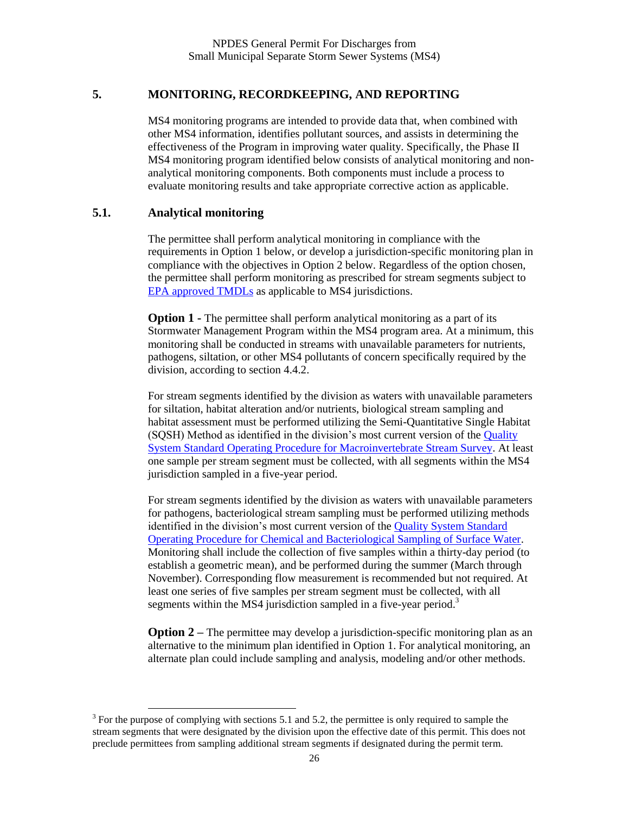# <span id="page-28-0"></span>**5. MONITORING, RECORDKEEPING, AND REPORTING**

MS4 monitoring programs are intended to provide data that, when combined with other MS4 information, identifies pollutant sources, and assists in determining the effectiveness of the Program in improving water quality. Specifically, the Phase II MS4 monitoring program identified below consists of analytical monitoring and nonanalytical monitoring components. Both components must include a process to evaluate monitoring results and take appropriate corrective action as applicable.

## <span id="page-28-1"></span>**5.1. [Analytical monitoring](#page-38-1)**

l

The permittee shall perform analytical monitoring in compliance with the requirements in Option 1 below, or develop a jurisdiction-specific monitoring plan in compliance with the objectives in Option 2 below. Regardless of the option chosen, the permittee shall perform monitoring as prescribed for stream segments subject to [EPA approved TMDLs](http://tn.gov/environment/article/wr-ws-tennessees-total-maximum-daily-load-tmdl-program) as applicable to MS4 jurisdictions.

**Option 1 -** The permittee shall perform analytical monitoring as a part of its Stormwater Management Program within the MS4 program area. At a minimum, this monitoring shall be conducted in streams with unavailable parameters for nutrients, pathogens, siltation, or other MS4 pollutants of concern specifically required by the division, according to section 4.4.2.

For stream segments identified by the division as waters with unavailable parameters for siltation, habitat alteration and/or nutrients, biological stream sampling and habitat assessment must be performed utilizing the Semi-Quantitative Single Habitat (SQSH) Method as identified in the division's most current version of the [Quality](http://www.tn.gov/assets/entities/environment/attachments/bugsop11.pdf)  [System Standard Operating Procedure for Macroinvertebrate Stream Survey.](http://www.tn.gov/assets/entities/environment/attachments/bugsop11.pdf) At least one sample per stream segment must be collected, with all segments within the MS4 jurisdiction sampled in a five-year period.

For stream segments identified by the division as waters with unavailable parameters for pathogens, bacteriological stream sampling must be performed utilizing methods identified in the division's most current version of the [Quality System](http://www.tn.gov/assets/entities/environment/attachments/ChemSOP03QUAP.pdf) Standard [Operating Procedure for Chemical and Bacteriological Sampling of Surface Water.](http://www.tn.gov/assets/entities/environment/attachments/ChemSOP03QUAP.pdf) Monitoring shall include the collection of five samples within a thirty-day period (to establish a geometric mean), and be performed during the summer (March through November). Corresponding flow measurement is recommended but not required. At least one series of five samples per stream segment must be collected, with all segments within the MS4 jurisdiction sampled in a five-year period.<sup>3</sup>

**Option 2 –** The permittee may develop a jurisdiction-specific monitoring plan as an alternative to the minimum plan identified in Option 1. For analytical monitoring, an alternate plan could include sampling and analysis, modeling and/or other methods.

 $3$  For the purpose of complying with sections [5.1](#page-28-1) and [5.2,](#page-29-0) the permittee is only required to sample the stream segments that were designated by the division upon the effective date of this permit. This does not preclude permittees from sampling additional stream segments if designated during the permit term.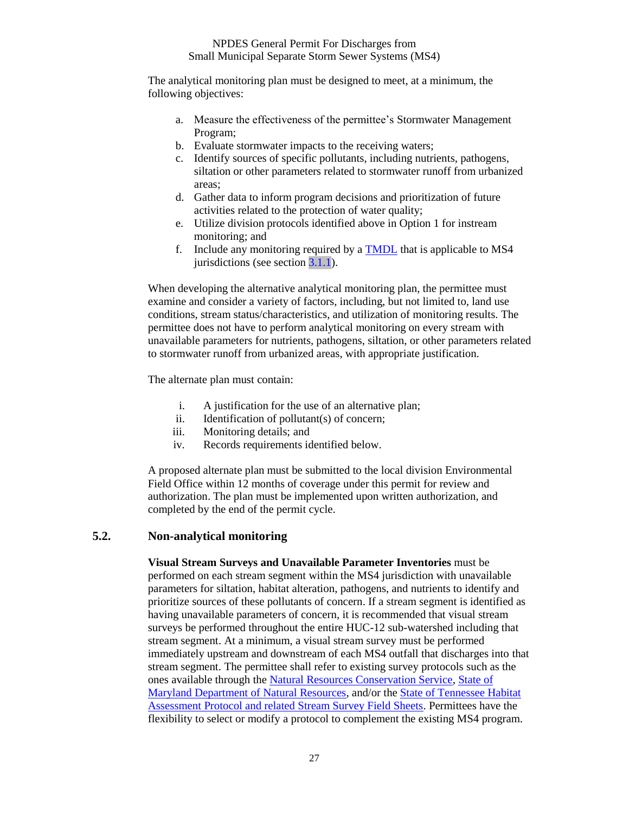The analytical monitoring plan must be designed to meet, at a minimum, the following objectives:

- a. Measure the effectiveness of the permittee's Stormwater Management Program;
- b. Evaluate stormwater impacts to the receiving waters;
- c. Identify sources of specific pollutants, including nutrients, pathogens, siltation or other parameters related to stormwater runoff from urbanized areas;
- d. Gather data to inform program decisions and prioritization of future activities related to the protection of water quality;
- e. Utilize division protocols identified above in Option 1 for instream monitoring; and
- f. Include any monitoring required by a [TMDL](http://www.tennessee.gov/environment/article/wr-ws-tennessees-total-maximum-daily-load-tmdl-program) that is applicable to MS4 jurisdictions (see section [3.1.1\)](#page-8-2).

When developing the alternative analytical monitoring plan, the permittee must examine and consider a variety of factors, including, but not limited to, land use conditions, stream status/characteristics, and utilization of monitoring results. The permittee does not have to perform analytical monitoring on every stream with unavailable parameters for nutrients, pathogens, siltation, or other parameters related to stormwater runoff from urbanized areas, with appropriate justification.

The alternate plan must contain:

- i. A justification for the use of an alternative plan;
- ii. Identification of pollutant(s) of concern;
- iii. Monitoring details; and
- iv. Records requirements identified below.

A proposed alternate plan must be submitted to the local division Environmental Field Office within 12 months of coverage under this permit for review and authorization. The plan must be implemented upon written authorization, and completed by the end of the permit cycle.

## <span id="page-29-0"></span>**5.2. [Non-analytical monitoring](#page-40-1)**

**Visual Stream Surveys and Unavailable Parameter Inventories** must be performed on each stream segment within the MS4 jurisdiction with unavailable parameters for siltation, habitat alteration, pathogens, and nutrients to identify and prioritize sources of these pollutants of concern. If a stream segment is identified as having unavailable parameters of concern, it is recommended that visual stream surveys be performed throughout the entire HUC-12 sub-watershed including that stream segment. At a minimum, a visual stream survey must be performed immediately upstream and downstream of each MS4 outfall that discharges into that stream segment. The permittee shall refer to existing survey protocols such as the ones available through the [Natural Resources Conservation Service,](http://www.nrcs.usda.gov/Internet/FSE_DOCUMENTS/stelprdb1044776.pdf) [State of](http://www.dnr.state.md.us/irc/docs/00005291.pdf)  [Maryland Department of Natural Resources,](http://www.dnr.state.md.us/irc/docs/00005291.pdf) and/or the [State of Tennessee Habitat](https://www.tn.gov/assets/entities/environment/attachments/bugsop11.pdf)  [Assessment Protocol and related Stream Survey Field Sheets.](https://www.tn.gov/assets/entities/environment/attachments/bugsop11.pdf) Permittees have the flexibility to select or modify a protocol to complement the existing MS4 program.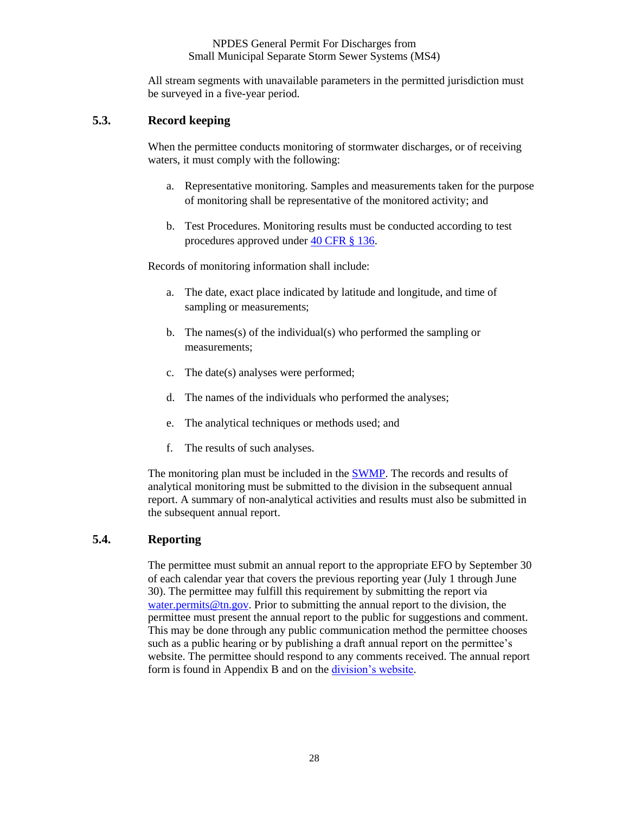All stream segments with unavailable parameters in the permitted jurisdiction must be surveyed in a five-year period.

# <span id="page-30-0"></span>**5.3. Record keeping**

When the permittee conducts monitoring of stormwater discharges, or of receiving waters, it must comply with the following:

- a. Representative monitoring. Samples and measurements taken for the purpose of monitoring shall be representative of the monitored activity; and
- b. Test Procedures. Monitoring results must be conducted according to test procedures approved under [40 CFR §](http://www.ecfr.gov/cgi-bin/text-idx?SID=a43df88a68c8a00debff5197f7b473bf&mc=true&node=pt40.23.136&rgn=div5) 136.

Records of monitoring information shall include:

- a. The date, exact place indicated by latitude and longitude, and time of sampling or measurements:
- b. The names(s) of the individual(s) who performed the sampling or measurements;
- c. The date(s) analyses were performed;
- d. The names of the individuals who performed the analyses;
- e. The analytical techniques or methods used; and
- f. The results of such analyses.

The monitoring plan must be included in the [SWMP.](#page-42-0) The records and results of analytical monitoring must be submitted to the division in the subsequent annual report. A summary of non-analytical activities and results must also be submitted in the subsequent annual report.

## <span id="page-30-1"></span>**5.4. Reporting**

The permittee must submit an annual report to the appropriate EFO by September 30 of each calendar year that covers the previous reporting year (July 1 through June 30). The permittee may fulfill this requirement by submitting the report via [water.permits@tn.gov.](mailto:water.permits@tn.gov) Prior to submitting the annual report to the division, the permittee must present the annual report to the public for suggestions and comment. This may be done through any public communication method the permittee chooses such as a public hearing or by publishing a draft annual report on the permittee's website. The permittee should respond to any comments received. The annual report form is found in Appendix B and on th[e division's website.](http://www.tn.gov/environment/article/permit-water-stormwater-discharges-permitting)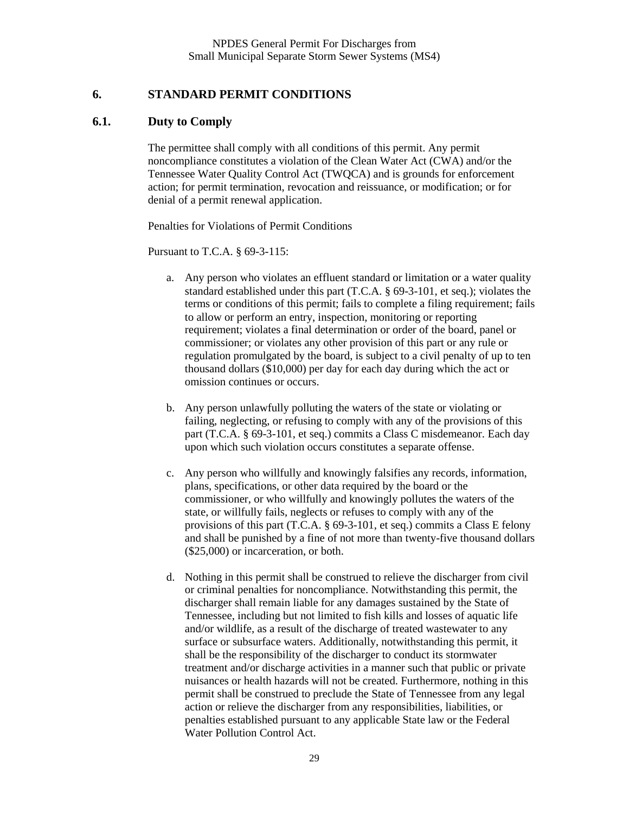# <span id="page-31-0"></span>**6. STANDARD PERMIT CONDITIONS**

# <span id="page-31-1"></span>**6.1. Duty to Comply**

The permittee shall comply with all conditions of this permit. Any permit noncompliance constitutes a violation of the Clean Water Act (CWA) and/or the Tennessee Water Quality Control Act (TWQCA) and is grounds for enforcement action; for permit termination, revocation and reissuance, or modification; or for denial of a permit renewal application.

Penalties for Violations of Permit Conditions

Pursuant to T.C.A. § 69-3-115:

- a. Any person who violates an effluent standard or limitation or a water quality standard established under this part (T.C.A. § 69-3-101, et seq.); violates the terms or conditions of this permit; fails to complete a filing requirement; fails to allow or perform an entry, inspection, monitoring or reporting requirement; violates a final determination or order of the board, panel or commissioner; or violates any other provision of this part or any rule or regulation promulgated by the board, is subject to a civil penalty of up to ten thousand dollars (\$10,000) per day for each day during which the act or omission continues or occurs.
- b. Any person unlawfully polluting the waters of the state or violating or failing, neglecting, or refusing to comply with any of the provisions of this part (T.C.A. § 69-3-101, et seq.) commits a Class C misdemeanor. Each day upon which such violation occurs constitutes a separate offense.
- c. Any person who willfully and knowingly falsifies any records, information, plans, specifications, or other data required by the board or the commissioner, or who willfully and knowingly pollutes the waters of the state, or willfully fails, neglects or refuses to comply with any of the provisions of this part (T.C.A. § 69-3-101, et seq.) commits a Class E felony and shall be punished by a fine of not more than twenty-five thousand dollars (\$25,000) or incarceration, or both.
- d. Nothing in this permit shall be construed to relieve the discharger from civil or criminal penalties for noncompliance. Notwithstanding this permit, the discharger shall remain liable for any damages sustained by the State of Tennessee, including but not limited to fish kills and losses of aquatic life and/or wildlife, as a result of the discharge of treated wastewater to any surface or subsurface waters. Additionally, notwithstanding this permit, it shall be the responsibility of the discharger to conduct its stormwater treatment and/or discharge activities in a manner such that public or private nuisances or health hazards will not be created. Furthermore, nothing in this permit shall be construed to preclude the State of Tennessee from any legal action or relieve the discharger from any responsibilities, liabilities, or penalties established pursuant to any applicable State law or the Federal Water Pollution Control Act.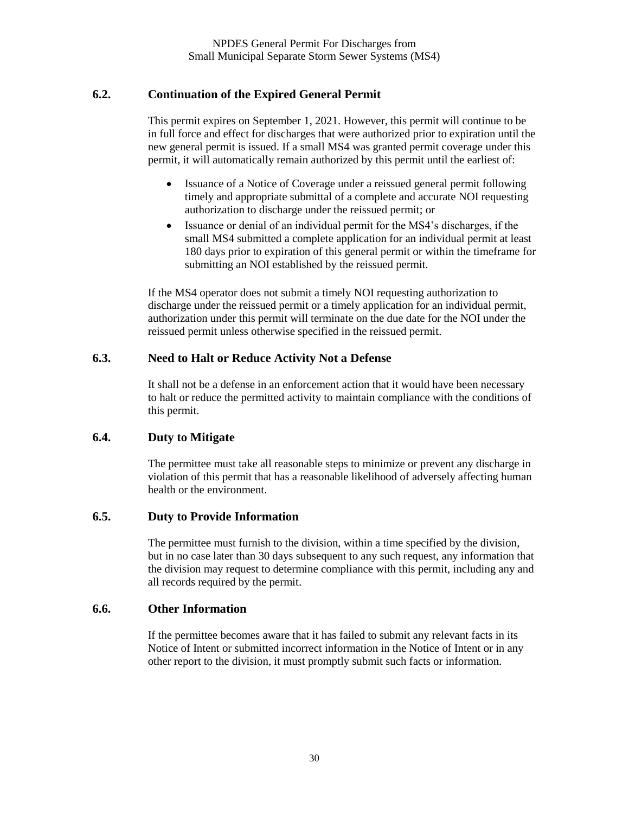# <span id="page-32-0"></span>**6.2. Continuation of the Expired General Permit**

This permit expires on September 1, 2021. However, this permit will continue to be in full force and effect for discharges that were authorized prior to expiration until the new general permit is issued. If a small MS4 was granted permit coverage under this permit, it will automatically remain authorized by this permit until the earliest of:

- Issuance of a Notice of Coverage under a reissued general permit following timely and appropriate submittal of a complete and accurate NOI requesting authorization to discharge under the reissued permit; or
- Issuance or denial of an individual permit for the MS4's discharges, if the small MS4 submitted a complete application for an individual permit at least 180 days prior to expiration of this general permit or within the timeframe for submitting an NOI established by the reissued permit.

If the MS4 operator does not submit a timely NOI requesting authorization to discharge under the reissued permit or a timely application for an individual permit, authorization under this permit will terminate on the due date for the NOI under the reissued permit unless otherwise specified in the reissued permit.

## <span id="page-32-1"></span>**6.3. Need to Halt or Reduce Activity Not a Defense**

It shall not be a defense in an enforcement action that it would have been necessary to halt or reduce the permitted activity to maintain compliance with the conditions of this permit.

## <span id="page-32-2"></span>**6.4. Duty to Mitigate**

The permittee must take all reasonable steps to minimize or prevent any discharge in violation of this permit that has a reasonable likelihood of adversely affecting human health or the environment.

## <span id="page-32-3"></span>**6.5. Duty to Provide Information**

The permittee must furnish to the division, within a time specified by the division, but in no case later than 30 days subsequent to any such request, any information that the division may request to determine compliance with this permit, including any and all records required by the permit.

## <span id="page-32-4"></span>**6.6. Other Information**

If the permittee becomes aware that it has failed to submit any relevant facts in its Notice of Intent or submitted incorrect information in the Notice of Intent or in any other report to the division, it must promptly submit such facts or information.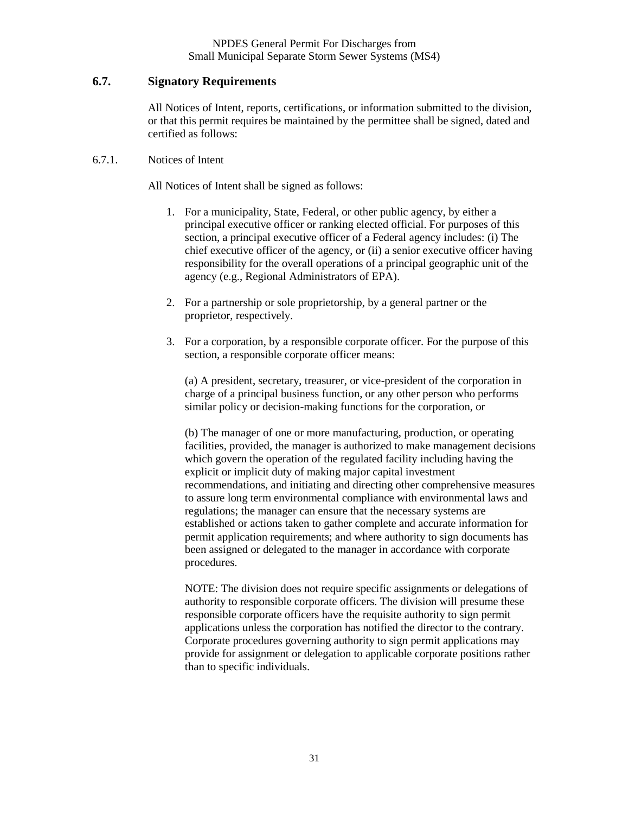## <span id="page-33-0"></span>**6.7. Signatory Requirements**

All Notices of Intent, reports, certifications, or information submitted to the division, or that this permit requires be maintained by the permittee shall be signed, dated and certified as follows:

#### <span id="page-33-1"></span>6.7.1. Notices of Intent

All Notices of Intent shall be signed as follows:

- 1. For a municipality, State, Federal, or other public agency, by either a principal executive officer or ranking elected official. For purposes of this section, a principal executive officer of a Federal agency includes: (i) The chief executive officer of the agency, or (ii) a senior executive officer having responsibility for the overall operations of a principal geographic unit of the agency (e.g., Regional Administrators of EPA).
- 2. For a partnership or sole proprietorship, by a general partner or the proprietor, respectively.
- 3. For a corporation, by a responsible corporate officer. For the purpose of this section, a responsible corporate officer means:

(a) A president, secretary, treasurer, or vice-president of the corporation in charge of a principal business function, or any other person who performs similar policy or decision-making functions for the corporation, or

(b) The manager of one or more manufacturing, production, or operating facilities, provided, the manager is authorized to make management decisions which govern the operation of the regulated facility including having the explicit or implicit duty of making major capital investment recommendations, and initiating and directing other comprehensive measures to assure long term environmental compliance with environmental laws and regulations; the manager can ensure that the necessary systems are established or actions taken to gather complete and accurate information for permit application requirements; and where authority to sign documents has been assigned or delegated to the manager in accordance with corporate procedures.

NOTE: The division does not require specific assignments or delegations of authority to responsible corporate officers. The division will presume these responsible corporate officers have the requisite authority to sign permit applications unless the corporation has notified the director to the contrary. Corporate procedures governing authority to sign permit applications may provide for assignment or delegation to applicable corporate positions rather than to specific individuals.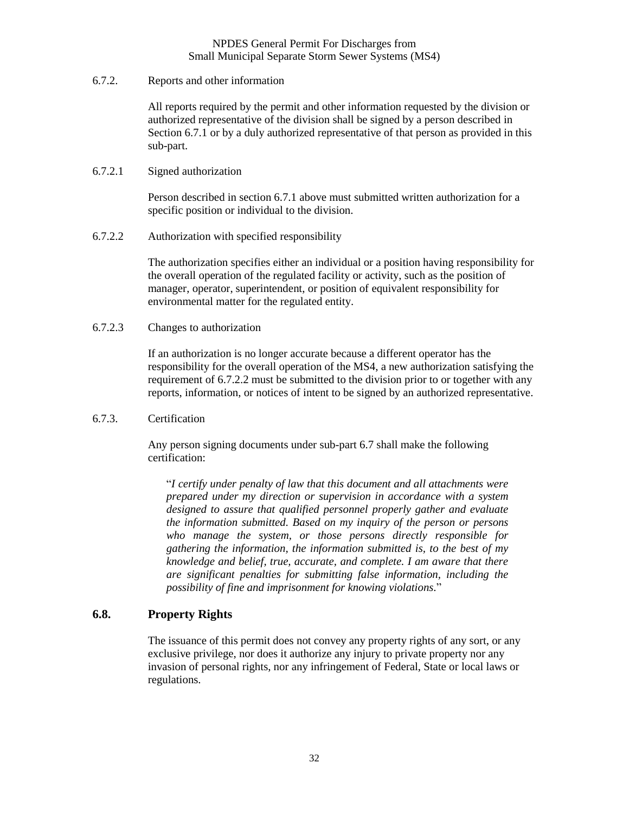#### 6.7.2. Reports and other information

All reports required by the permit and other information requested by the division or authorized representative of the division shall be signed by a person described in Section 6.7.1 or by a duly authorized representative of that person as provided in this sub-part.

#### 6.7.2.1 Signed authorization

Person described in section [6.7.1 above](#page-33-1) must submitted written authorization for a specific position or individual to the division.

<span id="page-34-1"></span>6.7.2.2 Authorization with specified responsibility

The authorization specifies either an individual or a position having responsibility for the overall operation of the regulated facility or activity, such as the position of manager, operator, superintendent, or position of equivalent responsibility for environmental matter for the regulated entity.

#### 6.7.2.3 Changes to authorization

If an authorization is no longer accurate because a different operator has the responsibility for the overall operation of the MS4, a new authorization satisfying the requirement of [6.7.2.2](#page-34-1) must be submitted to the division prior to or together with any reports, information, or notices of intent to be signed by an authorized representative.

#### 6.7.3. Certification

Any person signing documents under sub-part [6.7](#page-33-0) shall make the following certification:

"*I certify under penalty of law that this document and all attachments were prepared under my direction or supervision in accordance with a system designed to assure that qualified personnel properly gather and evaluate the information submitted. Based on my inquiry of the person or persons who manage the system, or those persons directly responsible for gathering the information, the information submitted is, to the best of my knowledge and belief, true, accurate, and complete. I am aware that there are significant penalties for submitting false information, including the possibility of fine and imprisonment for knowing violations.*"

## <span id="page-34-0"></span>**6.8. Property Rights**

The issuance of this permit does not convey any property rights of any sort, or any exclusive privilege, nor does it authorize any injury to private property nor any invasion of personal rights, nor any infringement of Federal, State or local laws or regulations.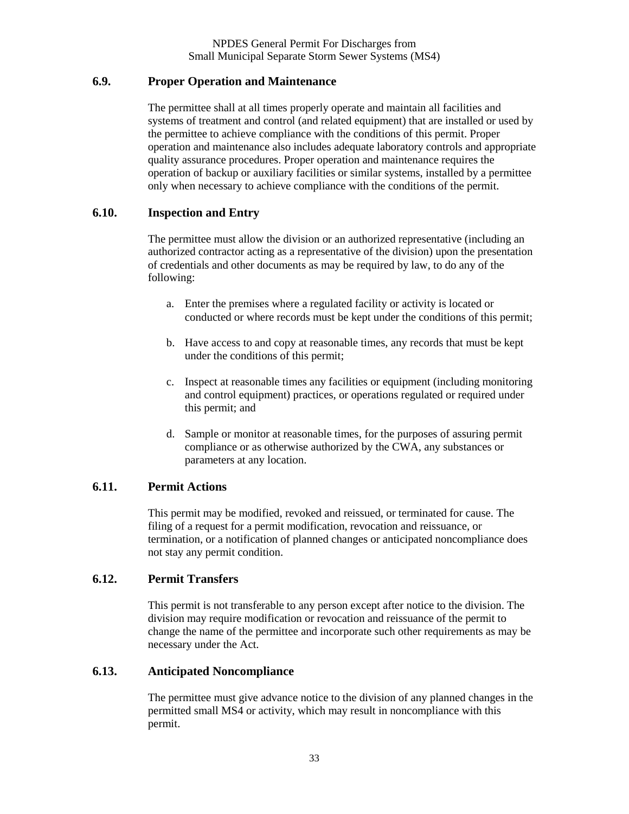## <span id="page-35-0"></span>**6.9. Proper Operation and Maintenance**

The permittee shall at all times properly operate and maintain all facilities and systems of treatment and control (and related equipment) that are installed or used by the permittee to achieve compliance with the conditions of this permit. Proper operation and maintenance also includes adequate laboratory controls and appropriate quality assurance procedures. Proper operation and maintenance requires the operation of backup or auxiliary facilities or similar systems, installed by a permittee only when necessary to achieve compliance with the conditions of the permit.

## <span id="page-35-1"></span>**6.10. Inspection and Entry**

The permittee must allow the division or an authorized representative (including an authorized contractor acting as a representative of the division) upon the presentation of credentials and other documents as may be required by law, to do any of the following:

- a. Enter the premises where a regulated facility or activity is located or conducted or where records must be kept under the conditions of this permit;
- b. Have access to and copy at reasonable times, any records that must be kept under the conditions of this permit;
- c. Inspect at reasonable times any facilities or equipment (including monitoring and control equipment) practices, or operations regulated or required under this permit; and
- d. Sample or monitor at reasonable times, for the purposes of assuring permit compliance or as otherwise authorized by the CWA, any substances or parameters at any location.

## <span id="page-35-2"></span>**6.11. Permit Actions**

This permit may be modified, revoked and reissued, or terminated for cause. The filing of a request for a permit modification, revocation and reissuance, or termination, or a notification of planned changes or anticipated noncompliance does not stay any permit condition.

#### <span id="page-35-3"></span>**6.12. Permit Transfers**

This permit is not transferable to any person except after notice to the division. The division may require modification or revocation and reissuance of the permit to change the name of the permittee and incorporate such other requirements as may be necessary under the Act.

#### <span id="page-35-4"></span>**6.13. Anticipated Noncompliance**

The permittee must give advance notice to the division of any planned changes in the permitted small MS4 or activity, which may result in noncompliance with this permit.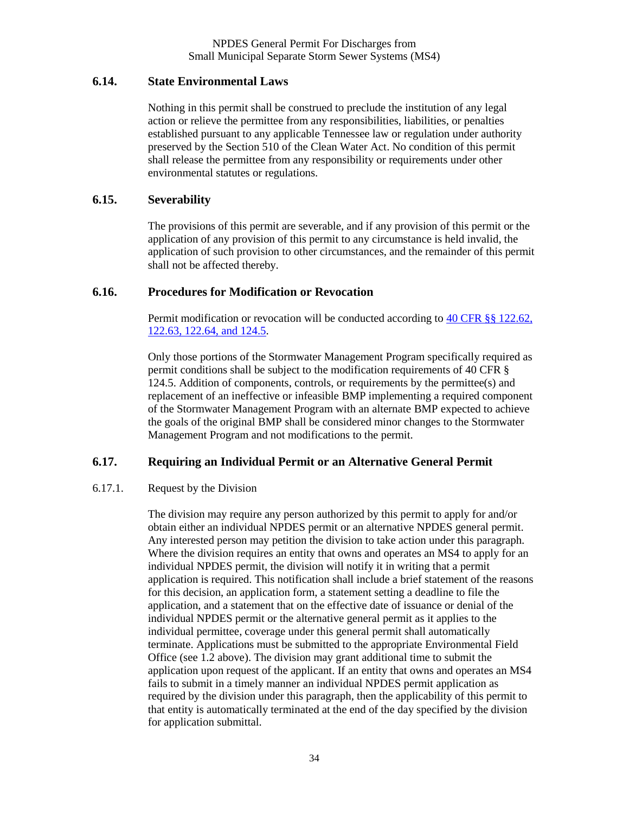## **6.14. State Environmental Laws**

Nothing in this permit shall be construed to preclude the institution of any legal action or relieve the permittee from any responsibilities, liabilities, or penalties established pursuant to any applicable Tennessee law or regulation under authority preserved by the Section 510 of the Clean Water Act. No condition of this permit shall release the permittee from any responsibility or requirements under other environmental statutes or regulations.

## **6.15. Severability**

The provisions of this permit are severable, and if any provision of this permit or the application of any provision of this permit to any circumstance is held invalid, the application of such provision to other circumstances, and the remainder of this permit shall not be affected thereby.

## **6.16. Procedures for Modification or Revocation**

Permit modification or revocation will be conducted according to [40 CFR §§ 122.62,](http://www.ecfr.gov/cgi-bin/text-idx?SID=0d1f6c2fbc60396a197459ed7f47cec2&mc=true&node=pt40.22.122&rgn=div5)  [122.63, 122.64, and 124.5.](http://www.ecfr.gov/cgi-bin/text-idx?SID=0d1f6c2fbc60396a197459ed7f47cec2&mc=true&node=pt40.22.122&rgn=div5)

Only those portions of the Stormwater Management Program specifically required as permit conditions shall be subject to the modification requirements of 40 CFR § 124.5. Addition of components, controls, or requirements by the permittee(s) and replacement of an ineffective or infeasible BMP implementing a required component of the Stormwater Management Program with an alternate BMP expected to achieve the goals of the original BMP shall be considered minor changes to the Stormwater Management Program and not modifications to the permit.

## **6.17. Requiring an Individual Permit or an Alternative General Permit**

## 6.17.1. Request by the Division

The division may require any person authorized by this permit to apply for and/or obtain either an individual NPDES permit or an alternative NPDES general permit. Any interested person may petition the division to take action under this paragraph. Where the division requires an entity that owns and operates an MS4 to apply for an individual NPDES permit, the division will notify it in writing that a permit application is required. This notification shall include a brief statement of the reasons for this decision, an application form, a statement setting a deadline to file the application, and a statement that on the effective date of issuance or denial of the individual NPDES permit or the alternative general permit as it applies to the individual permittee, coverage under this general permit shall automatically terminate. Applications must be submitted to the appropriate Environmental Field Office (see [1.2 above\)](#page-3-0). The division may grant additional time to submit the application upon request of the applicant. If an entity that owns and operates an MS4 fails to submit in a timely manner an individual NPDES permit application as required by the division under this paragraph, then the applicability of this permit to that entity is automatically terminated at the end of the day specified by the division for application submittal.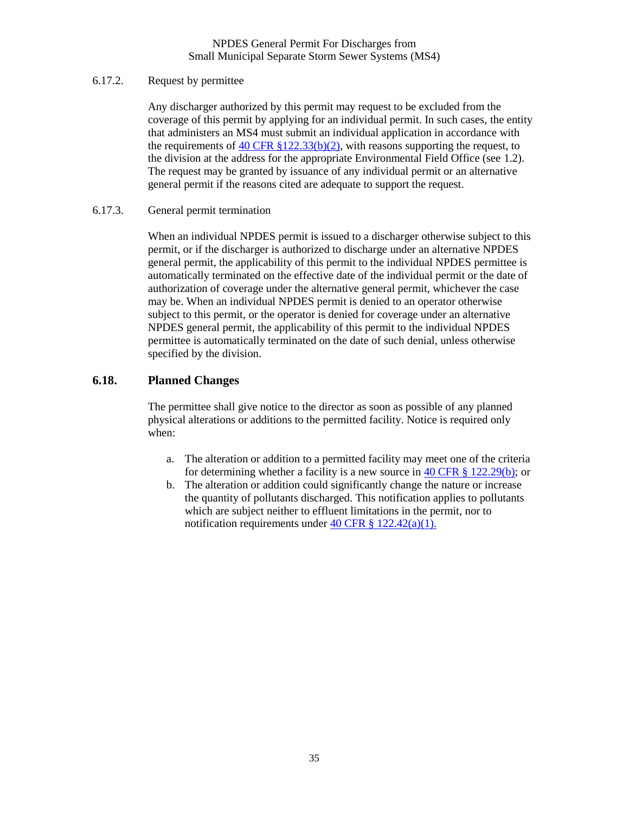## 6.17.2. Request by permittee

Any discharger authorized by this permit may request to be excluded from the coverage of this permit by applying for an individual permit. In such cases, the entity that administers an MS4 must submit an individual application in accordance with the requirements of 40 CFR  $\S 122.33(b)(2)$ , with reasons supporting the request, to the division at the address for the appropriate Environmental Field Office (see [1.2\)](#page-3-0). The request may be granted by issuance of any individual permit or an alternative general permit if the reasons cited are adequate to support the request.

## 6.17.3. General permit termination

When an individual NPDES permit is issued to a discharger otherwise subject to this permit, or if the discharger is authorized to discharge under an alternative NPDES general permit, the applicability of this permit to the individual NPDES permittee is automatically terminated on the effective date of the individual permit or the date of authorization of coverage under the alternative general permit, whichever the case may be. When an individual NPDES permit is denied to an operator otherwise subject to this permit, or the operator is denied for coverage under an alternative NPDES general permit, the applicability of this permit to the individual NPDES permittee is automatically terminated on the date of such denial, unless otherwise specified by the division.

## **6.18. Planned Changes**

The permittee shall give notice to the director as soon as possible of any planned physical alterations or additions to the permitted facility. Notice is required only when:

- a. The alteration or addition to a permitted facility may meet one of the criteria for determining whether a facility is a new source i[n 40 CFR § 122.29\(b\);](http://www.ecfr.gov/cgi-bin/text-idx?SID=2706d394e1c2c369fc10cc75d611d788&mc=true&node=pt40.22.122&rgn=div5#se40.22.122_129) or
- b. The alteration or addition could significantly change the nature or increase the quantity of pollutants discharged. This notification applies to pollutants which are subject neither to effluent limitations in the permit, nor to notification requirements under  $40$  CFR §  $122.42(a)(1)$ .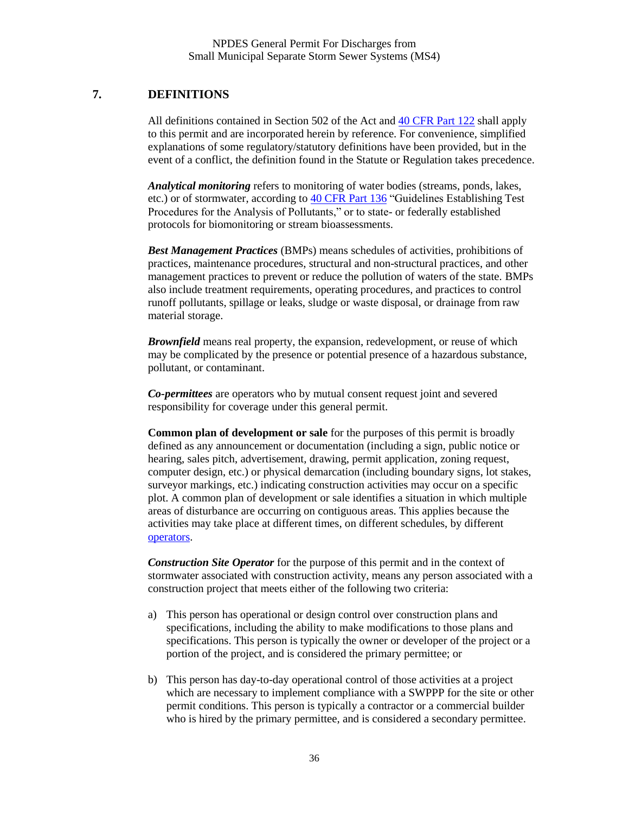## **7. DEFINITIONS**

All definitions contained in Section 502 of the Act and [40 CFR Part](http://www.ecfr.gov/cgi-bin/text-idx?SID=2706d394e1c2c369fc10cc75d611d788&mc=true&node=pt40.22.122&rgn=div5) 122 shall apply to this permit and are incorporated herein by reference. For convenience, simplified explanations of some regulatory/statutory definitions have been provided, but in the event of a conflict, the definition found in the Statute or Regulation takes precedence.

*Analytical monitoring* refers to monitoring of water bodies (streams, ponds, lakes, etc.) or of stormwater, according to [40 CFR Part](http://www.ecfr.gov/cgi-bin/text-idx?SID=2706d394e1c2c369fc10cc75d611d788&mc=true&node=pt40.23.136&rgn=div5) 136 "Guidelines Establishing Test Procedures for the Analysis of Pollutants," or to state- or federally established protocols for biomonitoring or stream bioassessments.

*Best Management Practices* (BMPs) means schedules of activities, prohibitions of practices, maintenance procedures, structural and non-structural practices, and other management practices to prevent or reduce the pollution of waters of the state. BMPs also include treatment requirements, operating procedures, and practices to control runoff pollutants, spillage or leaks, sludge or waste disposal, or drainage from raw material storage.

*Brownfield* means real property, the expansion, redevelopment, or reuse of which may be complicated by the presence or potential presence of a hazardous substance, pollutant, or contaminant.

*Co-permittees* are operators who by mutual consent request joint and severed responsibility for coverage under this general permit.

**Common plan of development or sale** for the purposes of this permit is broadly defined as any announcement or documentation (including a sign, public notice or hearing, sales pitch, advertisement, drawing, permit application, zoning request, computer design, etc.) or physical demarcation (including boundary signs, lot stakes, surveyor markings, etc.) indicating construction activities may occur on a specific plot. A common plan of development or sale identifies a situation in which multiple areas of disturbance are occurring on contiguous areas. This applies because the activities may take place at different times, on different schedules, by different operators.

*Construction Site Operator* for the purpose of this permit and in the context of stormwater associated with construction activity, means any person associated with a construction project that meets either of the following two criteria:

- a) This person has operational or design control over construction plans and specifications, including the ability to make modifications to those plans and specifications. This person is typically the owner or developer of the project or a portion of the project, and is considered the primary permittee; or
- b) This person has day-to-day operational control of those activities at a project which are necessary to implement compliance with a SWPPP for the site or other permit conditions. This person is typically a contractor or a commercial builder who is hired by the primary permittee, and is considered a secondary permittee.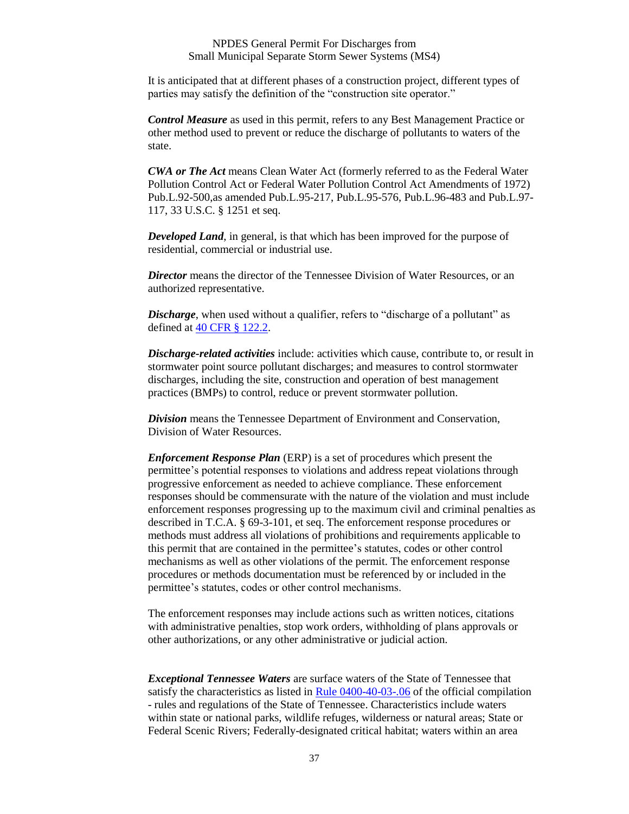It is anticipated that at different phases of a construction project, different types of parties may satisfy the definition of the "construction site operator."

*Control Measure* as used in this permit, refers to any Best Management Practice or other method used to prevent or reduce the discharge of pollutants to waters of the state.

*CWA or The Act* means Clean Water Act (formerly referred to as the Federal Water Pollution Control Act or Federal Water Pollution Control Act Amendments of 1972) Pub.L.92-500,as amended Pub.L.95-217, Pub.L.95-576, Pub.L.96-483 and Pub.L.97- 117, 33 U.S.C. § 1251 et seq.

**Developed Land**, in general, is that which has been improved for the purpose of residential, commercial or industrial use.

*Director* means the director of the Tennessee Division of Water Resources, or an authorized representative.

*Discharge*, when used without a qualifier, refers to "discharge of a pollutant" as defined at [40 CFR §](http://www.ecfr.gov/cgi-bin/text-idx?SID=2706d394e1c2c369fc10cc75d611d788&mc=true&node=pt40.22.122&rgn=div5#se40.22.122_12) 122.2.

*Discharge-related activities* include: activities which cause, contribute to, or result in stormwater point source pollutant discharges; and measures to control stormwater discharges, including the site, construction and operation of best management practices (BMPs) to control, reduce or prevent stormwater pollution.

*Division* means the Tennessee Department of Environment and Conservation, Division of Water Resources.

*Enforcement Response Plan* (ERP) is a set of procedures which present the permittee's potential responses to violations and address repeat violations through progressive enforcement as needed to achieve compliance. These enforcement responses should be commensurate with the nature of the violation and must include enforcement responses progressing up to the maximum civil and criminal penalties as described in T.C.A. § 69-3-101, et seq. The enforcement response procedures or methods must address all violations of prohibitions and requirements applicable to this permit that are contained in the permittee's statutes, codes or other control mechanisms as well as other violations of the permit. The enforcement response procedures or methods documentation must be referenced by or included in the permittee's statutes, codes or other control mechanisms.

The enforcement responses may include actions such as written notices, citations with administrative penalties, stop work orders, withholding of plans approvals or other authorizations, or any other administrative or judicial action.

*Exceptional Tennessee Waters* are surface waters of the State of Tennessee that satisfy the characteristics as listed in [Rule 0400-40-03-.06](http://share.tn.gov/sos/rules/0400/0400-40/0400-40-03.20150406.pdf) of the official compilation - rules and regulations of the State of Tennessee. Characteristics include waters within state or national parks, wildlife refuges, wilderness or natural areas; State or Federal Scenic Rivers; Federally-designated critical habitat; waters within an area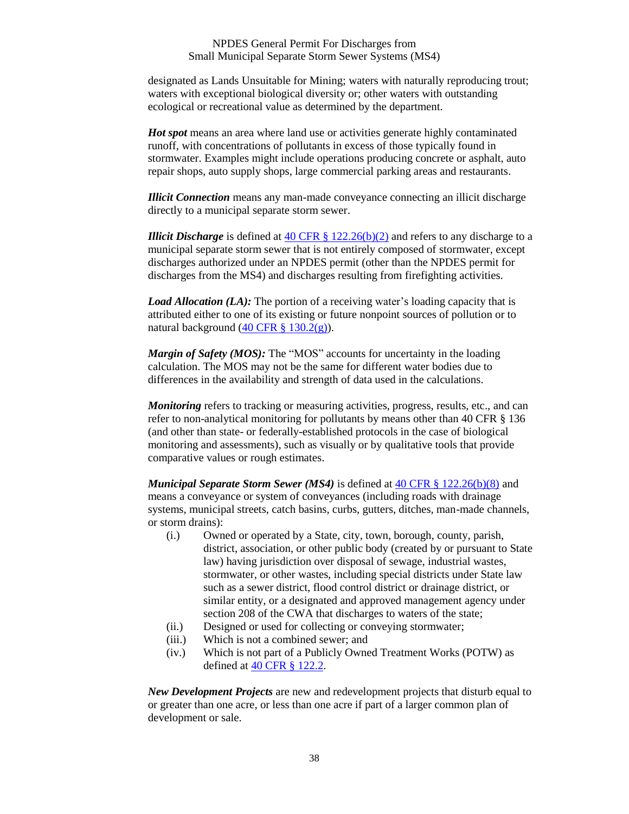designated as Lands Unsuitable for Mining; waters with naturally reproducing trout; waters with exceptional biological diversity or; other waters with outstanding ecological or recreational value as determined by the department.

*Hot spot* means an area where land use or activities generate highly contaminated runoff, with concentrations of pollutants in excess of those typically found in stormwater. Examples might include operations producing concrete or asphalt, auto repair shops, auto supply shops, large commercial parking areas and restaurants.

*Illicit Connection* means any man-made conveyance connecting an illicit discharge directly to a municipal separate storm sewer.

*Illicit Discharge* is defined at 40 CFR  $\S$  [122.26\(b\)\(2\)](http://www.ecfr.gov/cgi-bin/text-idx?SID=2706d394e1c2c369fc10cc75d611d788&mc=true&node=pt40.22.122&rgn=div5#se40.22.122_126) and refers to any discharge to a municipal separate storm sewer that is not entirely composed of stormwater, except discharges authorized under an NPDES permit (other than the NPDES permit for discharges from the MS4) and discharges resulting from firefighting activities.

*Load Allocation (LA):* The portion of a receiving water's loading capacity that is attributed either to one of its existing or future nonpoint sources of pollution or to natural background  $(40 \text{ CFR } \frac{8}{3} 130.2(g))$ .

*Margin of Safety (MOS):* The "MOS" accounts for uncertainty in the loading calculation. The MOS may not be the same for different water bodies due to differences in the availability and strength of data used in the calculations.

*Monitoring* refers to tracking or measuring activities, progress, results, etc., and can refer to non-analytical monitoring for pollutants by means other than 40 CFR § 136 (and other than state- or federally-established protocols in the case of biological monitoring and assessments), such as visually or by qualitative tools that provide comparative values or rough estimates.

*Municipal Separate Storm Sewer (MS4)* is defined at  $40 \text{ CFR } \frac{8}{3}$  [122.26\(b\)\(8\)](http://www.ecfr.gov/cgi-bin/text-idx?SID=2706d394e1c2c369fc10cc75d611d788&mc=true&node=pt40.22.122&rgn=div5#se40.22.122_126) and means a conveyance or system of conveyances (including roads with drainage systems, municipal streets, catch basins, curbs, gutters, ditches, man-made channels, or storm drains):

- (i.) Owned or operated by a State, city, town, borough, county, parish, district, association, or other public body (created by or pursuant to State law) having jurisdiction over disposal of sewage, industrial wastes, stormwater, or other wastes, including special districts under State law such as a sewer district, flood control district or drainage district, or similar entity, or a designated and approved management agency under section 208 of the CWA that discharges to waters of the state;
- (ii.) Designed or used for collecting or conveying stormwater;
- (iii.) Which is not a combined sewer; and
- (iv.) Which is not part of a Publicly Owned Treatment Works (POTW) as defined at  $40$  CFR  $\S$  122.2.

*New Development Projects* are new and redevelopment projects that disturb equal to or greater than one acre, or less than one acre if part of a larger common plan of development or sale.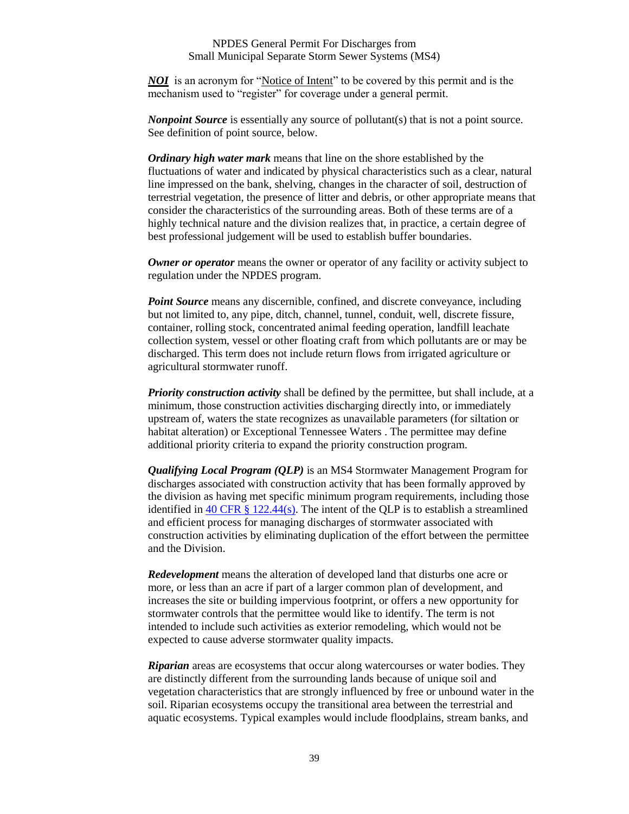*[NOI](http://www.state.tn.us/environment/wpc/stormh2o/MS4II.htm)* is an acronym for ["Notice of Intent"](http://www.state.tn.us/environment/wpc/stormh2o/MS4II.htm) to be covered by this permit and is the mechanism used to "register" for coverage under a general permit.

*Nonpoint Source* is essentially any source of pollutant(s) that is not a point source. See definition of point source, below.

*Ordinary high water mark* means that line on the shore established by the fluctuations of water and indicated by physical characteristics such as a clear, natural line impressed on the bank, shelving, changes in the character of soil, destruction of terrestrial vegetation, the presence of litter and debris, or other appropriate means that consider the characteristics of the surrounding areas. Both of these terms are of a highly technical nature and the division realizes that, in practice, a certain degree of best professional judgement will be used to establish buffer boundaries.

*Owner or operator* means the owner or operator of any facility or activity subject to regulation under the NPDES program.

*Point Source* means any discernible, confined, and discrete conveyance, including but not limited to, any pipe, ditch, channel, tunnel, conduit, well, discrete fissure, container, rolling stock, concentrated animal feeding operation, landfill leachate collection system, vessel or other floating craft from which pollutants are or may be discharged. This term does not include return flows from irrigated agriculture or agricultural stormwater runoff.

*Priority construction activity* shall be defined by the permittee, but shall include, at a minimum, those construction activities discharging directly into, or immediately upstream of, waters the state recognizes as unavailable parameters (for siltation or habitat alteration) or Exceptional Tennessee Waters . The permittee may define additional priority criteria to expand the priority construction program.

*Qualifying Local Program (QLP)* is an MS4 Stormwater Management Program for discharges associated with construction activity that has been formally approved by the division as having met specific minimum program requirements, including those identified in [40 CFR § 122.44\(s\).](http://www.ecfr.gov/cgi-bin/text-idx?SID=2706d394e1c2c369fc10cc75d611d788&mc=true&node=pt40.22.122&rgn=div5#se40.22.122_144) The intent of the QLP is to establish a streamlined and efficient process for managing discharges of stormwater associated with construction activities by eliminating duplication of the effort between the permittee and the Division.

*Redevelopment* means the alteration of developed land that disturbs one acre or more, or less than an acre if part of a larger common plan of development, and increases the site or building impervious footprint, or offers a new opportunity for stormwater controls that the permittee would like to identify. The term is not intended to include such activities as exterior remodeling, which would not be expected to cause adverse stormwater quality impacts.

*Riparian* areas are ecosystems that occur along watercourses or water bodies. They are distinctly different from the surrounding lands because of unique soil and vegetation characteristics that are strongly influenced by free or unbound water in the soil. Riparian ecosystems occupy the transitional area between the terrestrial and aquatic ecosystems. Typical examples would include floodplains, stream banks, and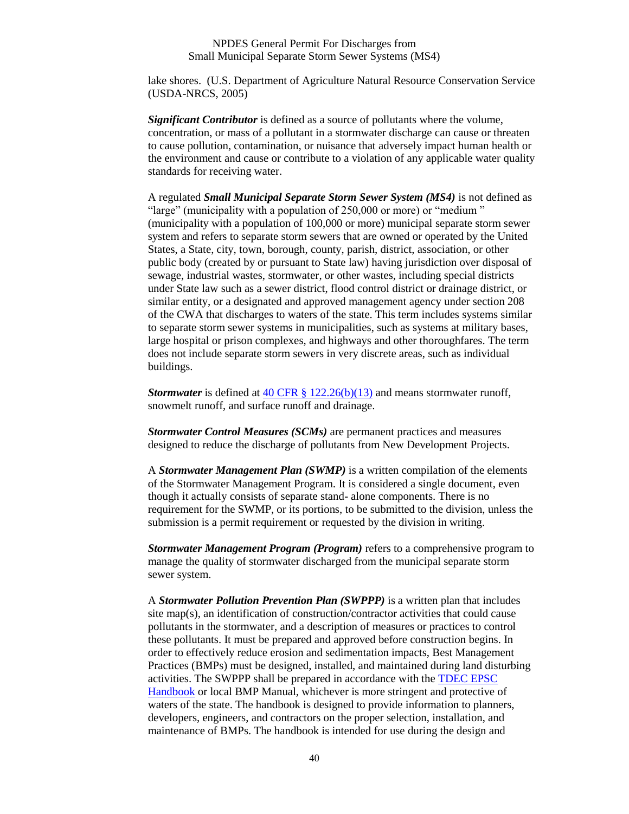lake shores. (U.S. Department of Agriculture Natural Resource Conservation Service (USDA-NRCS, 2005)

*Significant Contributor* is defined as a source of pollutants where the volume, concentration, or mass of a pollutant in a stormwater discharge can cause or threaten to cause pollution, contamination, or nuisance that adversely impact human health or the environment and cause or contribute to a violation of any applicable water quality standards for receiving water.

A regulated *Small Municipal Separate Storm Sewer System (MS4)* is not defined as "large" (municipality with a population of 250,000 or more) or "medium " (municipality with a population of 100,000 or more) municipal separate storm sewer system and refers to separate storm sewers that are owned or operated by the United States, a State, city, town, borough, county, parish, district, association, or other public body (created by or pursuant to State law) having jurisdiction over disposal of sewage, industrial wastes, stormwater, or other wastes, including special districts under State law such as a sewer district, flood control district or drainage district, or similar entity, or a designated and approved management agency under section 208 of the CWA that discharges to waters of the state. This term includes systems similar to separate storm sewer systems in municipalities, such as systems at military bases, large hospital or prison complexes, and highways and other thoroughfares. The term does not include separate storm sewers in very discrete areas, such as individual buildings.

*Stormwater* is defined at 40 CFR  $\S$  [122.26\(b\)\(13\)](http://www.ecfr.gov/cgi-bin/text-idx?SID=2706d394e1c2c369fc10cc75d611d788&mc=true&node=pt40.22.122&rgn=div5#se40.22.122_126) and means stormwater runoff, snowmelt runoff, and surface runoff and drainage.

*Stormwater Control Measures (SCMs)* are permanent practices and measures designed to reduce the discharge of pollutants from New Development Projects.

A *Stormwater Management Plan (SWMP)* is a written compilation of the elements of the Stormwater Management Program. It is considered a single document, even though it actually consists of separate stand- alone components. There is no requirement for the SWMP, or its portions, to be submitted to the division, unless the submission is a permit requirement or requested by the division in writing.

*Stormwater Management Program (Program)* refers to a comprehensive program to manage the quality of stormwater discharged from the municipal separate storm sewer system.

A *Stormwater Pollution Prevention Plan (SWPPP)* is a written plan that includes site map(s), an identification of construction/contractor activities that could cause pollutants in the stormwater, and a description of measures or practices to control these pollutants. It must be prepared and approved before construction begins. In order to effectively reduce erosion and sedimentation impacts, Best Management Practices (BMPs) must be designed, installed, and maintained during land disturbing activities. The SWPPP shall be prepared in accordance with the [TDEC EPSC](http://tnepsc.org/handbook.asp)  [Handbook](http://tnepsc.org/handbook.asp) or local BMP Manual, whichever is more stringent and protective of waters of the state. The handbook is designed to provide information to planners, developers, engineers, and contractors on the proper selection, installation, and maintenance of BMPs. The handbook is intended for use during the design and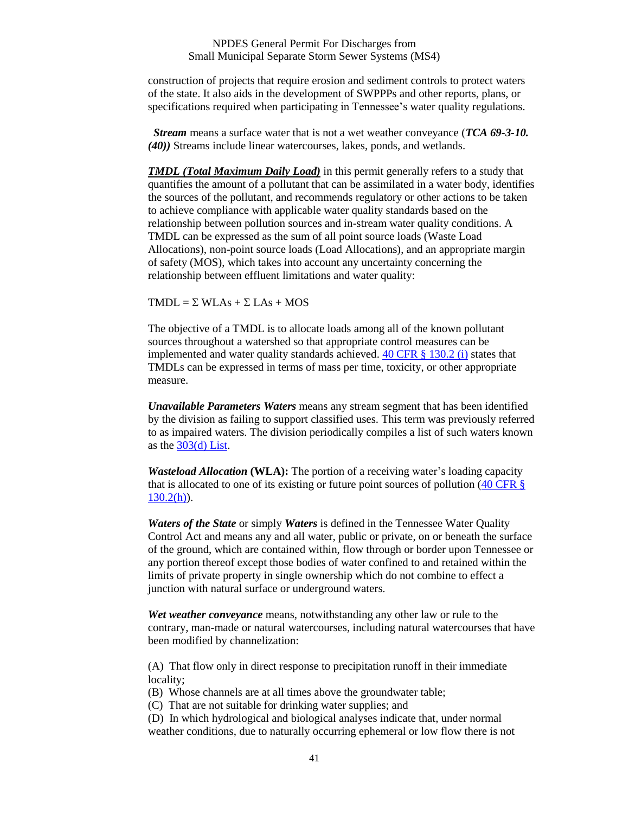construction of projects that require erosion and sediment controls to protect waters of the state. It also aids in the development of SWPPPs and other reports, plans, or specifications required when participating in Tennessee's water quality regulations.

 *Stream* means a surface water that is not a wet weather conveyance (*TCA 69-3-10. (40))* Streams include linear watercourses, lakes, ponds, and wetlands.

*[TMDL \(Total Maximum Daily Load\)](http://www.state.tn.us/environment/wpc/tmdl.htm)* in this permit generally refers to a study that quantifies the amount of a pollutant that can be assimilated in a water body, identifies the sources of the pollutant, and recommends regulatory or other actions to be taken to achieve compliance with applicable water quality standards based on the relationship between pollution sources and in-stream water quality conditions. A TMDL can be expressed as the sum of all point source loads (Waste Load Allocations), non-point source loads (Load Allocations), and an appropriate margin of safety (MOS), which takes into account any uncertainty concerning the relationship between effluent limitations and water quality:

 $TMDL = \sum WLAS + \sum LAs + MOS$ 

The objective of a TMDL is to allocate loads among all of the known pollutant sources throughout a watershed so that appropriate control measures can be implemented and water quality standards achieved. [40 CFR §](http://www.ecfr.gov/cgi-bin/text-idx?SID=50a95fd03e4368b085e56611b74f233a&mc=true&node=pt40.22.130&rgn=div5#se40.22.130_12) 130.2 (i) states that TMDLs can be expressed in terms of mass per time, toxicity, or other appropriate measure.

*Unavailable Parameters Waters* means any stream segment that has been identified by the division as failing to support classified uses. This term was previously referred to as impaired waters. The division periodically compiles a list of such waters known as the  $303(d)$  List.

*Wasteload Allocation* **(WLA):** The portion of a receiving water's loading capacity that is allocated to one of its existing or future point sources of pollution [\(40 CFR §](http://www.access.gpo.gov/nara/cfr/cfrhtml_00/Title_40/40cfr130_00.html)  $130.2(h)$ ).

*Waters of the State* or simply *Waters* is defined in the Tennessee Water Quality Control Act and means any and all water, public or private, on or beneath the surface of the ground, which are contained within, flow through or border upon Tennessee or any portion thereof except those bodies of water confined to and retained within the limits of private property in single ownership which do not combine to effect a junction with natural surface or underground waters.

*Wet weather conveyance* means, notwithstanding any other law or rule to the contrary, man-made or natural watercourses, including natural watercourses that have been modified by channelization:

(A) That flow only in direct response to precipitation runoff in their immediate locality;

(B) Whose channels are at all times above the groundwater table;

(C) That are not suitable for drinking water supplies; and

(D) In which hydrological and biological analyses indicate that, under normal weather conditions, due to naturally occurring ephemeral or low flow there is not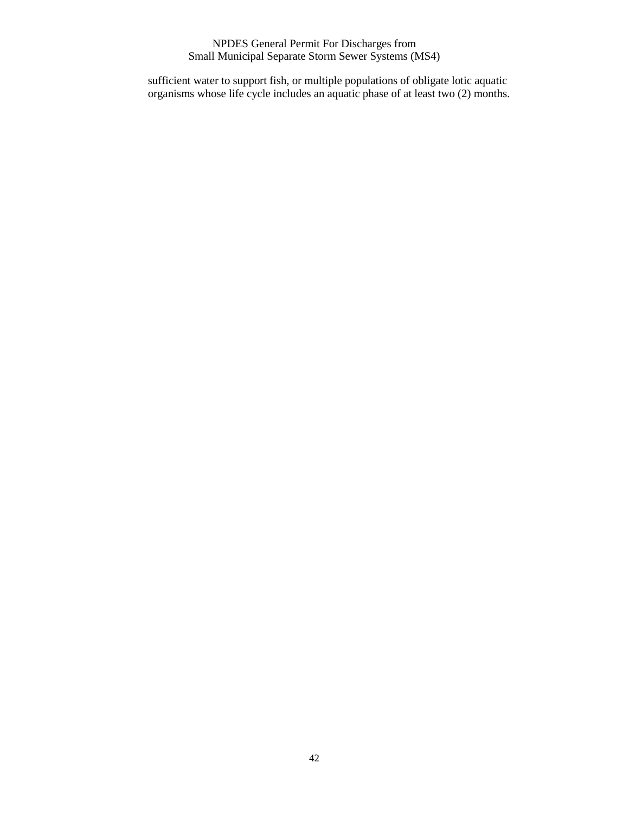sufficient water to support fish, or multiple populations of obligate lotic aquatic organisms whose life cycle includes an aquatic phase of at least two (2) months.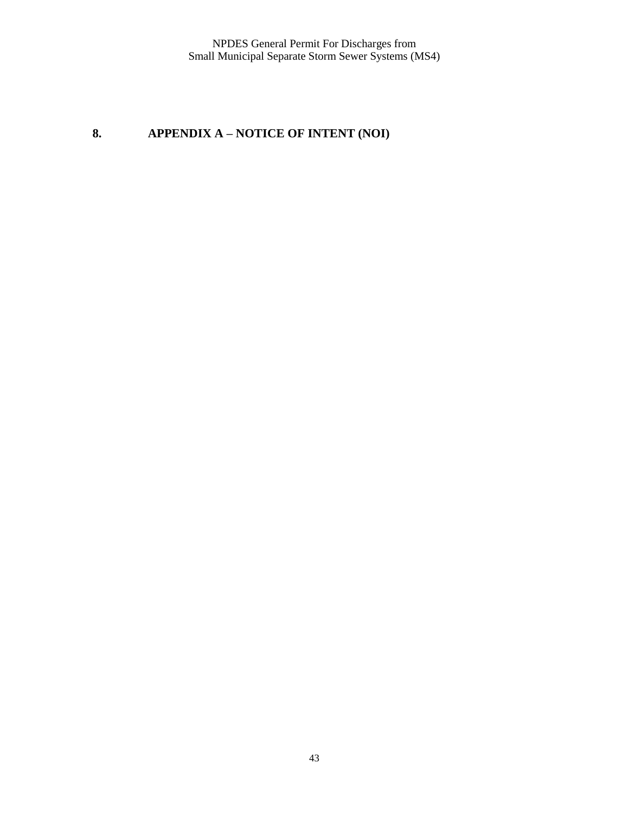# **8. APPENDIX A – NOTICE OF INTENT (NOI)**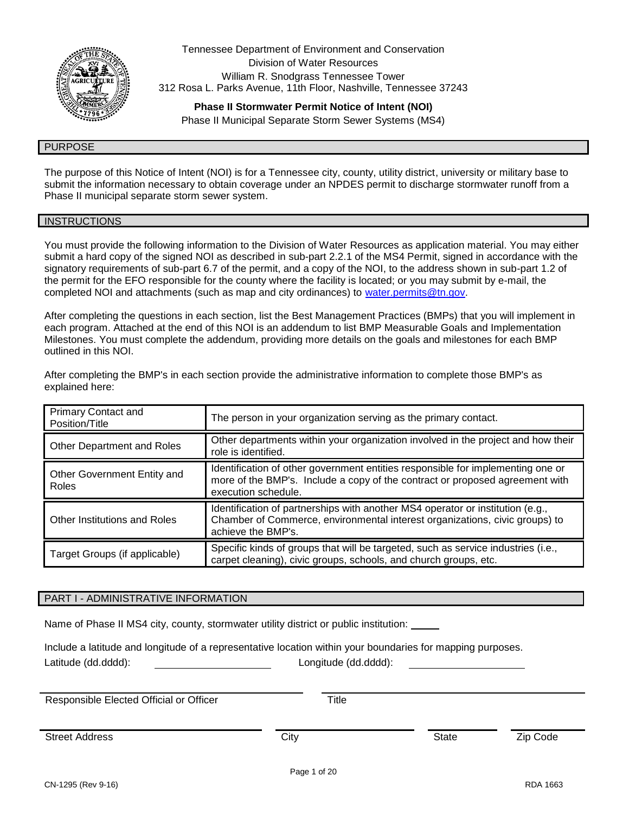

Tennessee Department of Environment and Conservation Division of Water Resources William R. Snodgrass Tennessee Tower 312 Rosa L. Parks Avenue, 11th Floor, Nashville, Tennessee 37243

**Phase II Stormwater Permit Notice of Intent (NOI)** Phase II Municipal Separate Storm Sewer Systems (MS4)

## **PURPOSE**

The purpose of this Notice of Intent (NOI) is for a Tennessee city, county, utility district, university or military base to submit the information necessary to obtain coverage under an NPDES permit to discharge stormwater runoff from a Phase II municipal separate storm sewer system.

## INSTRUCTIONS

You must provide the following information to the Division of Water Resources as application material. You may either submit a hard copy of the signed NOI as described in sub-part 2.2.1 of the MS4 Permit, signed in accordance with the signatory requirements of sub-part 6.7 of the permit, and a copy of the NOI, to the address shown in sub-part 1.2 of the permit for the EFO responsible for the county where the facility is located; or you may submit by e-mail, the completed NOI and attachments (such as map and city ordinances) to [water.permits@tn.gov.](mailto:water.permits@tn.gov)

After completing the questions in each section, list the Best Management Practices (BMPs) that you will implement in each program. Attached at the end of this NOI is an addendum to list BMP Measurable Goals and Implementation Milestones. You must complete the addendum, providing more details on the goals and milestones for each BMP outlined in this NOI.

| After completing the BMP's in each section provide the administrative information to complete those BMP's as |
|--------------------------------------------------------------------------------------------------------------|
| explained here:                                                                                              |

| <b>Primary Contact and</b><br>Position/Title | The person in your organization serving as the primary contact.                                                                                                                        |
|----------------------------------------------|----------------------------------------------------------------------------------------------------------------------------------------------------------------------------------------|
| Other Department and Roles                   | Other departments within your organization involved in the project and how their<br>role is identified.                                                                                |
| Other Government Entity and<br>Roles         | Identification of other government entities responsible for implementing one or<br>more of the BMP's. Include a copy of the contract or proposed agreement with<br>execution schedule. |
| Other Institutions and Roles                 | Identification of partnerships with another MS4 operator or institution (e.g.,<br>Chamber of Commerce, environmental interest organizations, civic groups) to<br>achieve the BMP's.    |
| Target Groups (if applicable)                | Specific kinds of groups that will be targeted, such as service industries (i.e.,<br>carpet cleaning), civic groups, schools, and church groups, etc.                                  |

## PART I - ADMINISTRATIVE INFORMATION

Name of Phase II MS4 city, county, stormwater utility district or public institution:

|                     | Include a latitude and longitude of a representative location within your boundaries for mapping purposes. |
|---------------------|------------------------------------------------------------------------------------------------------------|
| Latitude (dd.dddd): | Longitude (dd.dddd):                                                                                       |

Responsible Elected Official or Officer Title

Street Address Zip Code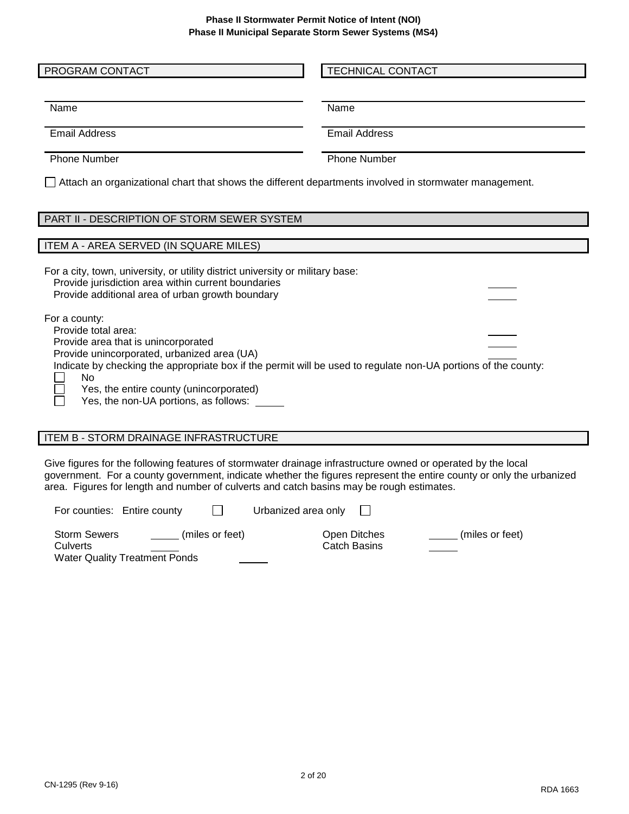| PROGRAM CONTACT                                                                                                                                                                                                                                                                                                                               | <b>TECHNICAL CONTACT</b> |  |
|-----------------------------------------------------------------------------------------------------------------------------------------------------------------------------------------------------------------------------------------------------------------------------------------------------------------------------------------------|--------------------------|--|
| Name                                                                                                                                                                                                                                                                                                                                          | Name                     |  |
| <b>Email Address</b>                                                                                                                                                                                                                                                                                                                          | <b>Email Address</b>     |  |
| <b>Phone Number</b>                                                                                                                                                                                                                                                                                                                           | <b>Phone Number</b>      |  |
| Attach an organizational chart that shows the different departments involved in stormwater management.                                                                                                                                                                                                                                        |                          |  |
|                                                                                                                                                                                                                                                                                                                                               |                          |  |
| PART II - DESCRIPTION OF STORM SEWER SYSTEM                                                                                                                                                                                                                                                                                                   |                          |  |
| <b>ITEM A - AREA SERVED (IN SQUARE MILES)</b>                                                                                                                                                                                                                                                                                                 |                          |  |
| For a city, town, university, or utility district university or military base:<br>Provide jurisdiction area within current boundaries<br>Provide additional area of urban growth boundary                                                                                                                                                     |                          |  |
| For a county:<br>Provide total area:<br>Provide area that is unincorporated<br>Provide unincorporated, urbanized area (UA)<br>Indicate by checking the appropriate box if the permit will be used to regulate non-UA portions of the county:<br><b>No</b><br>Yes, the entire county (unincorporated)<br>Yes, the non-UA portions, as follows: |                          |  |
| <b>ITEM B - STORM DRAINAGE INFRASTRUCTURE</b>                                                                                                                                                                                                                                                                                                 |                          |  |
| Cive figures for the following features of stermwater drainege infractructure owned or eperated by the legal                                                                                                                                                                                                                                  |                          |  |

Give figures for the following features of stormwater drainage infrastructure owned or operated by the local government. For a county government, indicate whether the figures represent the entire county or only the urbanized area. Figures for length and number of culverts and catch basins may be rough estimates.

| For counties: Entire county     |                                      |                 | Urbanized area only |                              |                 |
|---------------------------------|--------------------------------------|-----------------|---------------------|------------------------------|-----------------|
| <b>Storm Sewers</b><br>Culverts | <b>Water Quality Treatment Ponds</b> | (miles or feet) |                     | Open Ditches<br>Catch Basins | (miles or feet) |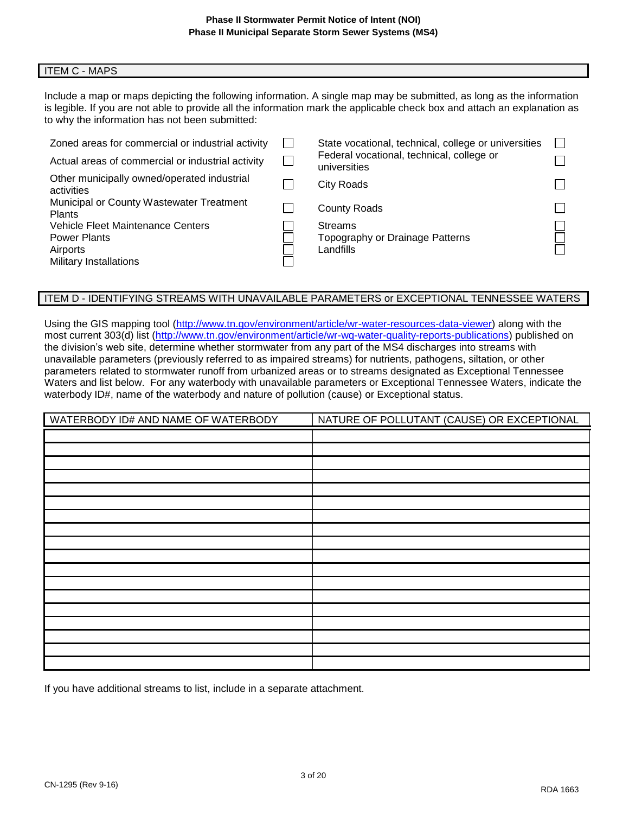## ITEM C - MAPS

Include a map or maps depicting the following information. A single map may be submitted, as long as the information is legible. If you are not able to provide all the information mark the applicable check box and attach an explanation as to why the information has not been submitted:

| Zoned areas for commercial or industrial activity<br>Actual areas of commercial or industrial activity | П | State vocational, technical, college or universities<br>Federal vocational, technical, college or<br>universities |  |
|--------------------------------------------------------------------------------------------------------|---|-------------------------------------------------------------------------------------------------------------------|--|
| Other municipally owned/operated industrial<br>activities                                              |   | City Roads                                                                                                        |  |
| Municipal or County Wastewater Treatment<br><b>Plants</b>                                              |   | County Roads                                                                                                      |  |
| Vehicle Fleet Maintenance Centers<br><b>Power Plants</b><br>Airports<br><b>Military Installations</b>  |   | <b>Streams</b><br>Topography or Drainage Patterns<br>Landfills                                                    |  |

## ITEM D - IDENTIFYING STREAMS WITH UNAVAILABLE PARAMETERS or EXCEPTIONAL TENNESSEE WATERS

Using the GIS mapping tool [\(http://www.tn.gov/environment/article/wr-water-resources-data-viewer\)](http://www.tn.gov/environment/article/wr-water-resources-data-viewer) along with the most current 303(d) list [\(http://www.tn.gov/environment/article/wr-wq-water-quality-reports-publications\)](http://www.tn.gov/environment/article/wr-wq-water-quality-reports-publications) published on the division's web site, determine whether stormwater from any part of the MS4 discharges into streams with unavailable parameters (previously referred to as impaired streams) for nutrients, pathogens, siltation, or other parameters related to stormwater runoff from urbanized areas or to streams designated as Exceptional Tennessee Waters and list below. For any waterbody with unavailable parameters or Exceptional Tennessee Waters, indicate the waterbody ID#, name of the waterbody and nature of pollution (cause) or Exceptional status.

| WATERBODY ID# AND NAME OF WATERBODY | NATURE OF POLLUTANT (CAUSE) OR EXCEPTIONAL |
|-------------------------------------|--------------------------------------------|
|                                     |                                            |
|                                     |                                            |
|                                     |                                            |
|                                     |                                            |
|                                     |                                            |
|                                     |                                            |
|                                     |                                            |
|                                     |                                            |
|                                     |                                            |
|                                     |                                            |
|                                     |                                            |
|                                     |                                            |
|                                     |                                            |
|                                     |                                            |
|                                     |                                            |
|                                     |                                            |
|                                     |                                            |
|                                     |                                            |

If you have additional streams to list, include in a separate attachment.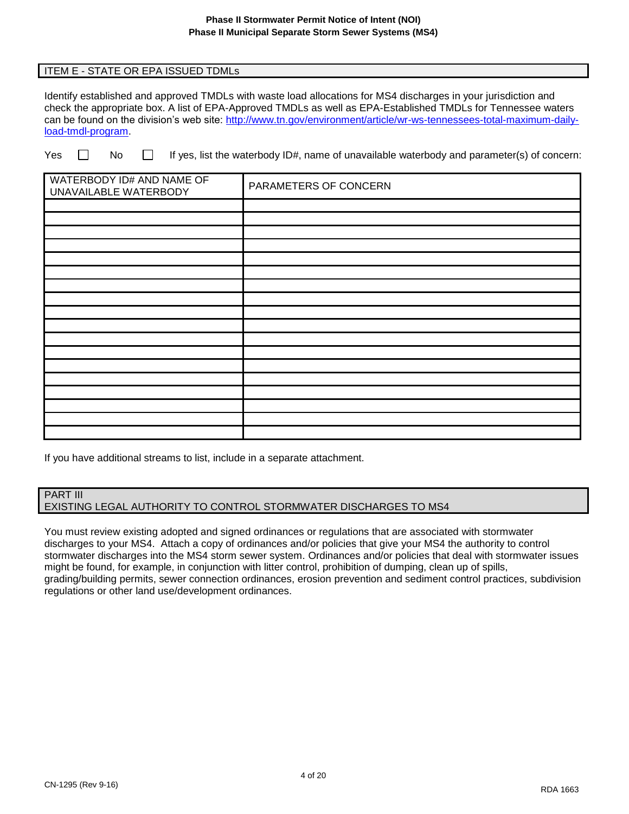| ITEM E - STATE OR EPA ISSUED TDMLs |  |
|------------------------------------|--|
|                                    |  |

Identify established and approved TMDLs with waste load allocations for MS4 discharges in your jurisdiction and check the appropriate box. A list of EPA-Approved TMDLs as well as EPA-Established TMDLs for Tennessee waters can be found on the division's web site: [http://www.tn.gov/environment/article/wr-ws-tennessees-total-maximum-daily](http://www.tn.gov/environment/article/wr-ws-tennessees-total-maximum-daily-load-tmdl-program)[load-tmdl-program.](http://www.tn.gov/environment/article/wr-ws-tennessees-total-maximum-daily-load-tmdl-program)

Yes  $\Box$  No  $\Box$  If yes, list the waterbody ID#, name of unavailable waterbody and parameter(s) of concern:

| WATERBODY ID# AND NAME OF<br>UNAVAILABLE WATERBODY | PARAMETERS OF CONCERN |
|----------------------------------------------------|-----------------------|
|                                                    |                       |
|                                                    |                       |
|                                                    |                       |
|                                                    |                       |
|                                                    |                       |
|                                                    |                       |
|                                                    |                       |
|                                                    |                       |
|                                                    |                       |
|                                                    |                       |
|                                                    |                       |
|                                                    |                       |
|                                                    |                       |
|                                                    |                       |
|                                                    |                       |
|                                                    |                       |
|                                                    |                       |
|                                                    |                       |

If you have additional streams to list, include in a separate attachment.

## PART III EXISTING LEGAL AUTHORITY TO CONTROL STORMWATER DISCHARGES TO MS4

You must review existing adopted and signed ordinances or regulations that are associated with stormwater discharges to your MS4. Attach a copy of ordinances and/or policies that give your MS4 the authority to control stormwater discharges into the MS4 storm sewer system. Ordinances and/or policies that deal with stormwater issues might be found, for example, in conjunction with litter control, prohibition of dumping, clean up of spills, grading/building permits, sewer connection ordinances, erosion prevention and sediment control practices, subdivision regulations or other land use/development ordinances.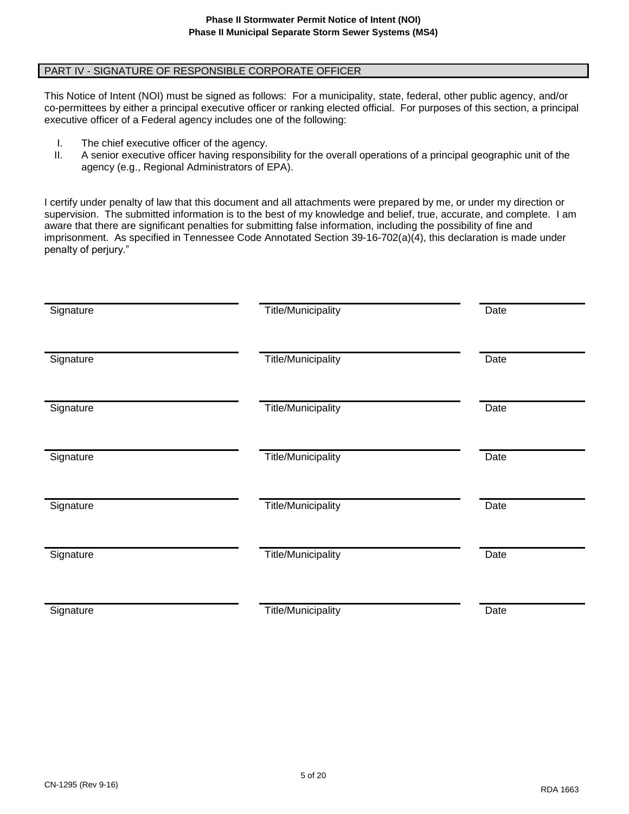## PART IV - SIGNATURE OF RESPONSIBLE CORPORATE OFFICER

This Notice of Intent (NOI) must be signed as follows: For a municipality, state, federal, other public agency, and/or co-permittees by either a principal executive officer or ranking elected official. For purposes of this section, a principal executive officer of a Federal agency includes one of the following:

- I. The chief executive officer of the agency.
- II. A senior executive officer having responsibility for the overall operations of a principal geographic unit of the agency (e.g., Regional Administrators of EPA).

I certify under penalty of law that this document and all attachments were prepared by me, or under my direction or supervision. The submitted information is to the best of my knowledge and belief, true, accurate, and complete. I am aware that there are significant penalties for submitting false information, including the possibility of fine and imprisonment. As specified in Tennessee Code Annotated Section 39-16-702(a)(4), this declaration is made under penalty of perjury."

| Signature | <b>Title/Municipality</b> | Date |
|-----------|---------------------------|------|
| Signature | <b>Title/Municipality</b> | Date |
| Signature | Title/Municipality        | Date |
| Signature | <b>Title/Municipality</b> | Date |
| Signature | <b>Title/Municipality</b> | Date |
| Signature | <b>Title/Municipality</b> | Date |
| Signature | <b>Title/Municipality</b> | Date |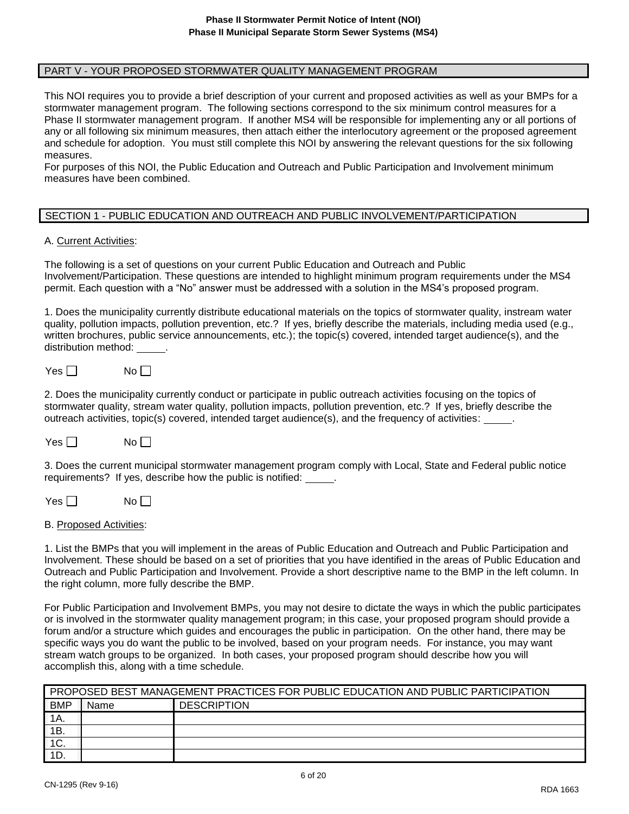## PART V - YOUR PROPOSED STORMWATER QUALITY MANAGEMENT PROGRAM

This NOI requires you to provide a brief description of your current and proposed activities as well as your BMPs for a stormwater management program. The following sections correspond to the six minimum control measures for a Phase II stormwater management program. If another MS4 will be responsible for implementing any or all portions of any or all following six minimum measures, then attach either the interlocutory agreement or the proposed agreement and schedule for adoption. You must still complete this NOI by answering the relevant questions for the six following measures.

For purposes of this NOI, the Public Education and Outreach and Public Participation and Involvement minimum measures have been combined.

## SECTION 1 - PUBLIC EDUCATION AND OUTREACH AND PUBLIC INVOLVEMENT/PARTICIPATION

## A. Current Activities:

The following is a set of questions on your current Public Education and Outreach and Public Involvement/Participation. These questions are intended to highlight minimum program requirements under the MS4 permit. Each question with a "No" answer must be addressed with a solution in the MS4's proposed program.

1. Does the municipality currently distribute educational materials on the topics of stormwater quality, instream water quality, pollution impacts, pollution prevention, etc.? If yes, briefly describe the materials, including media used (e.g., written brochures, public service announcements, etc.); the topic(s) covered, intended target audience(s), and the distribution method:  $\qquad \qquad$ .

 $Yes \Box$  No

2. Does the municipality currently conduct or participate in public outreach activities focusing on the topics of stormwater quality, stream water quality, pollution impacts, pollution prevention, etc.? If yes, briefly describe the outreach activities, topic(s) covered, intended target audience(s), and the frequency of activities:

 $Yes \Box$  No

3. Does the current municipal stormwater management program comply with Local, State and Federal public notice requirements? If yes, describe how the public is notified: \_\_\_\_\_.

 $Yes \Box$  No

B. Proposed Activities:

1. List the BMPs that you will implement in the areas of Public Education and Outreach and Public Participation and Involvement. These should be based on a set of priorities that you have identified in the areas of Public Education and Outreach and Public Participation and Involvement. Provide a short descriptive name to the BMP in the left column. In the right column, more fully describe the BMP.

For Public Participation and Involvement BMPs, you may not desire to dictate the ways in which the public participates or is involved in the stormwater quality management program; in this case, your proposed program should provide a forum and/or a structure which guides and encourages the public in participation. On the other hand, there may be specific ways you do want the public to be involved, based on your program needs. For instance, you may want stream watch groups to be organized. In both cases, your proposed program should describe how you will accomplish this, along with a time schedule.

|            | PROPOSED BEST MANAGEMENT PRACTICES FOR PUBLIC EDUCATION AND PUBLIC PARTICIPATION |                    |  |  |  |
|------------|----------------------------------------------------------------------------------|--------------------|--|--|--|
| <b>BMP</b> | "Name                                                                            | <b>DESCRIPTION</b> |  |  |  |
| 1A.        |                                                                                  |                    |  |  |  |
| 1B.        |                                                                                  |                    |  |  |  |
| 1C.        |                                                                                  |                    |  |  |  |
| 1D.        |                                                                                  |                    |  |  |  |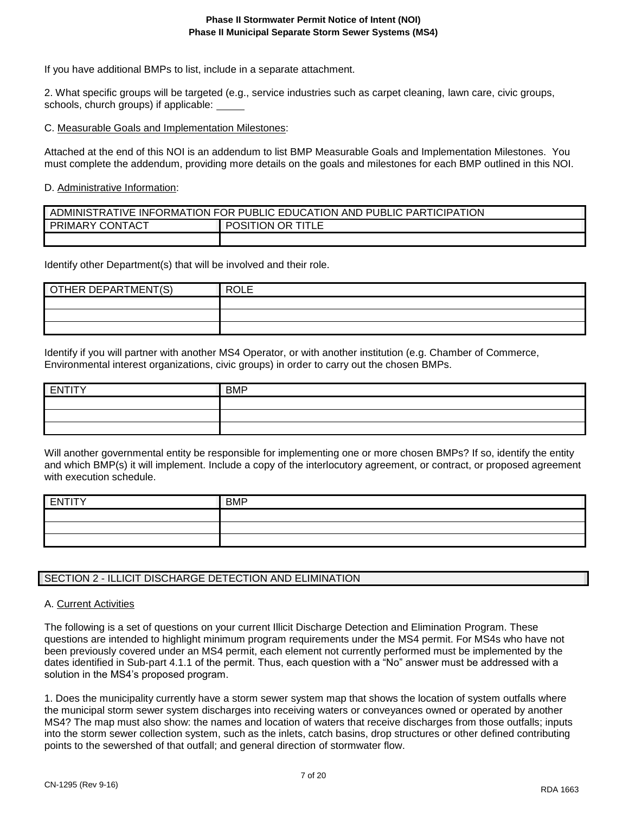If you have additional BMPs to list, include in a separate attachment.

2. What specific groups will be targeted (e.g., service industries such as carpet cleaning, lawn care, civic groups, schools, church groups) if applicable:

#### C. Measurable Goals and Implementation Milestones:

Attached at the end of this NOI is an addendum to list BMP Measurable Goals and Implementation Milestones. You must complete the addendum, providing more details on the goals and milestones for each BMP outlined in this NOI.

#### D. Administrative Information:

| ADMINISTRATIVE INFORMATION FOR PUBLIC EDUCATION AND PUBLIC PARTICIPATION |                          |  |
|--------------------------------------------------------------------------|--------------------------|--|
| <b>PRIMARY CONTACT</b>                                                   | <b>POSITION OR TITLE</b> |  |
|                                                                          |                          |  |

Identify other Department(s) that will be involved and their role.

| OTHER DEPARTMENT(S) | <b>ROLE</b> |
|---------------------|-------------|
|                     |             |
|                     |             |
|                     |             |

Identify if you will partner with another MS4 Operator, or with another institution (e.g. Chamber of Commerce, Environmental interest organizations, civic groups) in order to carry out the chosen BMPs.

| <b>FITY</b><br>. | <b>BMP</b> |
|------------------|------------|
|                  |            |
|                  |            |
|                  |            |

Will another governmental entity be responsible for implementing one or more chosen BMPs? If so, identify the entity and which BMP(s) it will implement. Include a copy of the interlocutory agreement, or contract, or proposed agreement with execution schedule.

| - | <b>BMP</b> |
|---|------------|
|   |            |
|   |            |
|   |            |

## SECTION 2 - ILLICIT DISCHARGE DETECTION AND ELIMINATION

## A. Current Activities

The following is a set of questions on your current Illicit Discharge Detection and Elimination Program. These questions are intended to highlight minimum program requirements under the MS4 permit. For MS4s who have not been previously covered under an MS4 permit, each element not currently performed must be implemented by the dates identified in Sub-part 4.1.1 of the permit. Thus, each question with a "No" answer must be addressed with a solution in the MS4's proposed program.

1. Does the municipality currently have a storm sewer system map that shows the location of system outfalls where the municipal storm sewer system discharges into receiving waters or conveyances owned or operated by another MS4? The map must also show: the names and location of waters that receive discharges from those outfalls; inputs into the storm sewer collection system, such as the inlets, catch basins, drop structures or other defined contributing points to the sewershed of that outfall; and general direction of stormwater flow.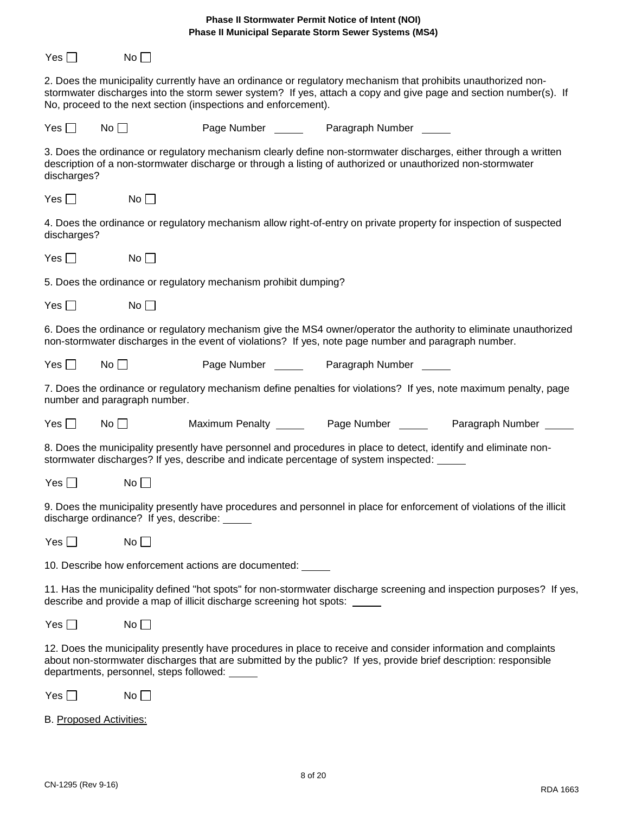|                                |                                         | Phase II Stormwater Permit Notice of Intent (NOI)<br>Phase II Municipal Separate Storm Sewer Systems (MS4)                                                                                                                                                                                          |                                            |                                                                                                                      |
|--------------------------------|-----------------------------------------|-----------------------------------------------------------------------------------------------------------------------------------------------------------------------------------------------------------------------------------------------------------------------------------------------------|--------------------------------------------|----------------------------------------------------------------------------------------------------------------------|
| Yes $\Box$                     | No $\square$                            |                                                                                                                                                                                                                                                                                                     |                                            |                                                                                                                      |
|                                |                                         | 2. Does the municipality currently have an ordinance or regulatory mechanism that prohibits unauthorized non-<br>stormwater discharges into the storm sewer system? If yes, attach a copy and give page and section number(s). If<br>No, proceed to the next section (inspections and enforcement). |                                            |                                                                                                                      |
| Yes $\Box$                     | No $\Box$                               |                                                                                                                                                                                                                                                                                                     | Page Number _______ Paragraph Number _____ |                                                                                                                      |
| discharges?                    |                                         | 3. Does the ordinance or regulatory mechanism clearly define non-stormwater discharges, either through a written<br>description of a non-stormwater discharge or through a listing of authorized or unauthorized non-stormwater                                                                     |                                            |                                                                                                                      |
| Yes $\Box$                     | No $\square$                            |                                                                                                                                                                                                                                                                                                     |                                            |                                                                                                                      |
| discharges?                    |                                         | 4. Does the ordinance or regulatory mechanism allow right-of-entry on private property for inspection of suspected                                                                                                                                                                                  |                                            |                                                                                                                      |
| Yes $\Box$                     | No $\square$                            |                                                                                                                                                                                                                                                                                                     |                                            |                                                                                                                      |
|                                |                                         | 5. Does the ordinance or regulatory mechanism prohibit dumping?                                                                                                                                                                                                                                     |                                            |                                                                                                                      |
| Yes $\Box$                     | No                                      |                                                                                                                                                                                                                                                                                                     |                                            |                                                                                                                      |
|                                |                                         | 6. Does the ordinance or regulatory mechanism give the MS4 owner/operator the authority to eliminate unauthorized<br>non-stormwater discharges in the event of violations? If yes, note page number and paragraph number.                                                                           |                                            |                                                                                                                      |
| Yes $\Box$                     | $\mathsf{No}\ \Box$                     |                                                                                                                                                                                                                                                                                                     | Page Number _______ Paragraph Number _____ |                                                                                                                      |
|                                | number and paragraph number.            | 7. Does the ordinance or regulatory mechanism define penalties for violations? If yes, note maximum penalty, page                                                                                                                                                                                   |                                            |                                                                                                                      |
| Yes $\Box$                     | No                                      | Maximum Penalty _______ Page Number ______ Paragraph Number ____                                                                                                                                                                                                                                    |                                            |                                                                                                                      |
|                                |                                         | 8. Does the municipality presently have personnel and procedures in place to detect, identify and eliminate non-<br>stormwater discharges? If yes, describe and indicate percentage of system inspected:                                                                                            |                                            |                                                                                                                      |
| Yes $\square$                  | No                                      |                                                                                                                                                                                                                                                                                                     |                                            |                                                                                                                      |
|                                | discharge ordinance? If yes, describe:  | 9. Does the municipality presently have procedures and personnel in place for enforcement of violations of the illicit                                                                                                                                                                              |                                            |                                                                                                                      |
| Yes $\Box$                     | $No$ $\Box$                             |                                                                                                                                                                                                                                                                                                     |                                            |                                                                                                                      |
|                                |                                         | 10. Describe how enforcement actions are documented: _____                                                                                                                                                                                                                                          |                                            |                                                                                                                      |
|                                |                                         | describe and provide a map of illicit discharge screening hot spots:                                                                                                                                                                                                                                |                                            | 11. Has the municipality defined "hot spots" for non-stormwater discharge screening and inspection purposes? If yes, |
| Yes $\Box$                     | No                                      |                                                                                                                                                                                                                                                                                                     |                                            |                                                                                                                      |
|                                | departments, personnel, steps followed: | 12. Does the municipality presently have procedures in place to receive and consider information and complaints<br>about non-stormwater discharges that are submitted by the public? If yes, provide brief description: responsible                                                                 |                                            |                                                                                                                      |
| $Yes$ $\Box$                   | No                                      |                                                                                                                                                                                                                                                                                                     |                                            |                                                                                                                      |
| <b>B. Proposed Activities:</b> |                                         |                                                                                                                                                                                                                                                                                                     |                                            |                                                                                                                      |
|                                |                                         |                                                                                                                                                                                                                                                                                                     |                                            |                                                                                                                      |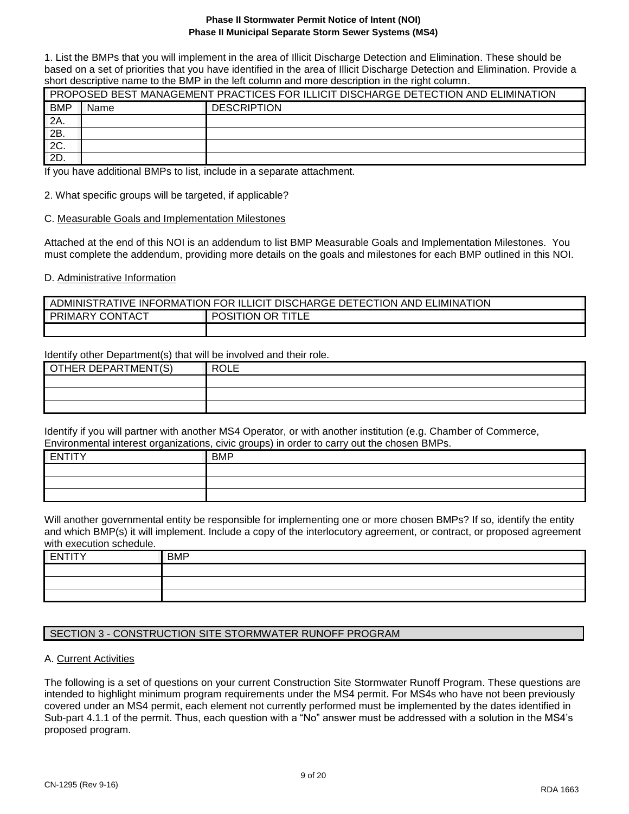1. List the BMPs that you will implement in the area of Illicit Discharge Detection and Elimination. These should be based on a set of priorities that you have identified in the area of Illicit Discharge Detection and Elimination. Provide a short descriptive name to the BMP in the left column and more description in the right column.

| PROPOSED BEST MANAGEMENT PRACTICES FOR ILLICIT DISCHARGE DETECTION AND ELIMINATION                                                                                                                                               |             |                    |
|----------------------------------------------------------------------------------------------------------------------------------------------------------------------------------------------------------------------------------|-------------|--------------------|
| <b>BMP</b>                                                                                                                                                                                                                       | <b>Name</b> | <b>DESCRIPTION</b> |
| $'2A$ .                                                                                                                                                                                                                          |             |                    |
| 2B.                                                                                                                                                                                                                              |             |                    |
| 2C.                                                                                                                                                                                                                              |             |                    |
| $2D$ .                                                                                                                                                                                                                           |             |                    |
| $\mathbf{R}$ and the results are the state of the state of the state of the state of the state of the state of the state of the state of the state of the state of the state of the state of the state of the state of the state |             |                    |

If you have additional BMPs to list, include in a separate attachment.

2. What specific groups will be targeted, if applicable?

## C. Measurable Goals and Implementation Milestones

Attached at the end of this NOI is an addendum to list BMP Measurable Goals and Implementation Milestones. You must complete the addendum, providing more details on the goals and milestones for each BMP outlined in this NOI.

## D. Administrative Information

| <b>TIVE</b><br>LICIT DISCHARGE DETECTION .<br>ORMATION FOR "<br>-ILI<br>I AND ELIMINATION<br>INF <sub>0</sub><br>ADMINIST<br>ΈRΑ. |                      |  |
|-----------------------------------------------------------------------------------------------------------------------------------|----------------------|--|
| CONTACT<br>PRIMARY                                                                                                                | OR 1<br>POSI<br>TION |  |
|                                                                                                                                   |                      |  |

#### Identify other Department(s) that will be involved and their role.

| <b>OTHER DEPARTMENT(S)</b> | ROLE |
|----------------------------|------|
|                            |      |
|                            |      |
|                            |      |

Identify if you will partner with another MS4 Operator, or with another institution (e.g. Chamber of Commerce, Environmental interest organizations, civic groups) in order to carry out the chosen BMPs.

| <b>ENTITY</b> | <b>BMP</b> |
|---------------|------------|
|               |            |
|               |            |
|               |            |

Will another governmental entity be responsible for implementing one or more chosen BMPs? If so, identify the entity and which BMP(s) it will implement. Include a copy of the interlocutory agreement, or contract, or proposed agreement with execution schedule.

| <b>FNTITY</b> | <b>BMP</b> |
|---------------|------------|
|               |            |
|               |            |
|               |            |

## SECTION 3 - CONSTRUCTION SITE STORMWATER RUNOFF PROGRAM

## A. Current Activities

The following is a set of questions on your current Construction Site Stormwater Runoff Program. These questions are intended to highlight minimum program requirements under the MS4 permit. For MS4s who have not been previously covered under an MS4 permit, each element not currently performed must be implemented by the dates identified in Sub-part 4.1.1 of the permit. Thus, each question with a "No" answer must be addressed with a solution in the MS4's proposed program.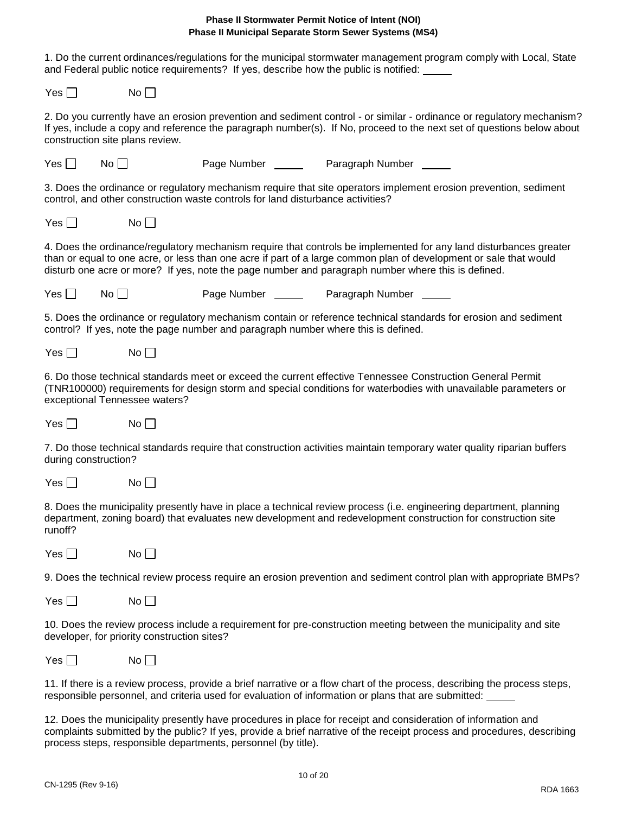1. Do the current ordinances/regulations for the municipal stormwater management program comply with Local, State and Federal public notice requirements? If yes, describe how the public is notified:

| Yes $\Box$           | No                                          |                                                                                   |                                                                                                                                                                                                                                                                                                                                              |
|----------------------|---------------------------------------------|-----------------------------------------------------------------------------------|----------------------------------------------------------------------------------------------------------------------------------------------------------------------------------------------------------------------------------------------------------------------------------------------------------------------------------------------|
|                      | construction site plans review.             |                                                                                   | 2. Do you currently have an erosion prevention and sediment control - or similar - ordinance or regulatory mechanism?<br>If yes, include a copy and reference the paragraph number(s). If No, proceed to the next set of questions below about                                                                                               |
| Yes $\Box$           | No $\Box$                                   |                                                                                   | Page Number ________ Paragraph Number _____                                                                                                                                                                                                                                                                                                  |
|                      |                                             | control, and other construction waste controls for land disturbance activities?   | 3. Does the ordinance or regulatory mechanism require that site operators implement erosion prevention, sediment                                                                                                                                                                                                                             |
| Yes $\Box$           | No <sub>1</sub>                             |                                                                                   |                                                                                                                                                                                                                                                                                                                                              |
|                      |                                             |                                                                                   | 4. Does the ordinance/regulatory mechanism require that controls be implemented for any land disturbances greater<br>than or equal to one acre, or less than one acre if part of a large common plan of development or sale that would<br>disturb one acre or more? If yes, note the page number and paragraph number where this is defined. |
|                      | $Yes \Box \qquad No \Box$                   |                                                                                   | Page Number ________ Paragraph Number _____                                                                                                                                                                                                                                                                                                  |
|                      |                                             | control? If yes, note the page number and paragraph number where this is defined. | 5. Does the ordinance or regulatory mechanism contain or reference technical standards for erosion and sediment                                                                                                                                                                                                                              |
| Yes                  | No                                          |                                                                                   |                                                                                                                                                                                                                                                                                                                                              |
|                      | exceptional Tennessee waters?               |                                                                                   | 6. Do those technical standards meet or exceed the current effective Tennessee Construction General Permit<br>(TNR100000) requirements for design storm and special conditions for waterbodies with unavailable parameters or                                                                                                                |
| Yes $\Box$           | No                                          |                                                                                   |                                                                                                                                                                                                                                                                                                                                              |
| during construction? |                                             |                                                                                   | 7. Do those technical standards require that construction activities maintain temporary water quality riparian buffers                                                                                                                                                                                                                       |
| Yes $\Box$           | No                                          |                                                                                   |                                                                                                                                                                                                                                                                                                                                              |
| runoff?              |                                             |                                                                                   | 8. Does the municipality presently have in place a technical review process (i.e. engineering department, planning<br>department, zoning board) that evaluates new development and redevelopment construction for construction site                                                                                                          |
| $Yes$ $\Box$         | No                                          |                                                                                   |                                                                                                                                                                                                                                                                                                                                              |
|                      |                                             |                                                                                   | 9. Does the technical review process require an erosion prevention and sediment control plan with appropriate BMPs?                                                                                                                                                                                                                          |
| Yes $\Box$           | No                                          |                                                                                   |                                                                                                                                                                                                                                                                                                                                              |
|                      | developer, for priority construction sites? |                                                                                   | 10. Does the review process include a requirement for pre-construction meeting between the municipality and site                                                                                                                                                                                                                             |
| Yes $\Box$           | No                                          |                                                                                   |                                                                                                                                                                                                                                                                                                                                              |
|                      |                                             |                                                                                   | 11. If there is a review process, provide a brief narrative or a flow chart of the process, describing the process steps,<br>responsible personnel, and criteria used for evaluation of information or plans that are submitted: ____                                                                                                        |

12. Does the municipality presently have procedures in place for receipt and consideration of information and complaints submitted by the public? If yes, provide a brief narrative of the receipt process and procedures, describing process steps, responsible departments, personnel (by title).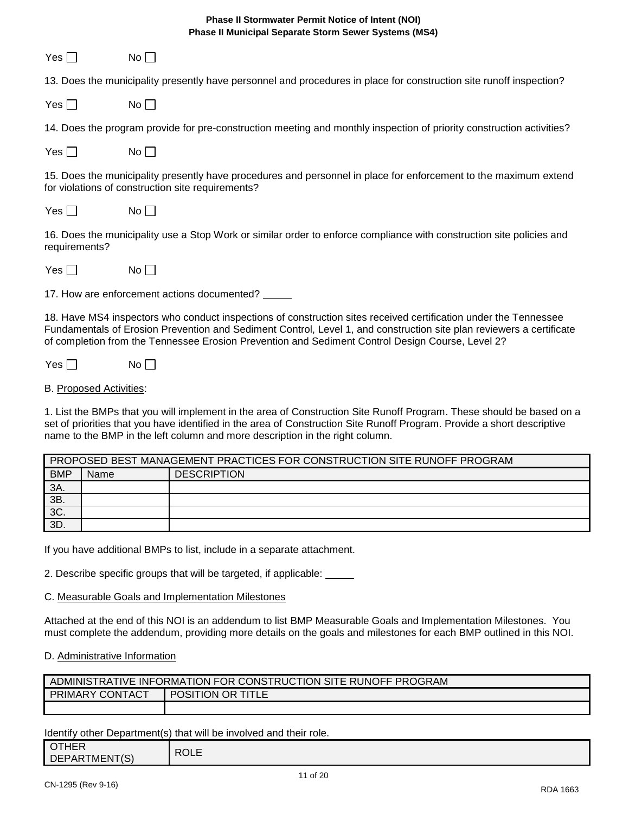| Yes $\Box$    | No                                                                                                                  |                                                                                                                                                                                                                                                                                                                                              |  |  |  |
|---------------|---------------------------------------------------------------------------------------------------------------------|----------------------------------------------------------------------------------------------------------------------------------------------------------------------------------------------------------------------------------------------------------------------------------------------------------------------------------------------|--|--|--|
|               | 13. Does the municipality presently have personnel and procedures in place for construction site runoff inspection? |                                                                                                                                                                                                                                                                                                                                              |  |  |  |
| Yes $\square$ | No                                                                                                                  |                                                                                                                                                                                                                                                                                                                                              |  |  |  |
|               |                                                                                                                     | 14. Does the program provide for pre-construction meeting and monthly inspection of priority construction activities?                                                                                                                                                                                                                        |  |  |  |
| Yes $\Box$    | No                                                                                                                  |                                                                                                                                                                                                                                                                                                                                              |  |  |  |
|               |                                                                                                                     | 15. Does the municipality presently have procedures and personnel in place for enforcement to the maximum extend<br>for violations of construction site requirements?                                                                                                                                                                        |  |  |  |
| Yes $\Box$    | No                                                                                                                  |                                                                                                                                                                                                                                                                                                                                              |  |  |  |
| requirements? |                                                                                                                     | 16. Does the municipality use a Stop Work or similar order to enforce compliance with construction site policies and                                                                                                                                                                                                                         |  |  |  |
| Yes $\Box$    | No                                                                                                                  |                                                                                                                                                                                                                                                                                                                                              |  |  |  |
|               |                                                                                                                     | 17. How are enforcement actions documented? ____                                                                                                                                                                                                                                                                                             |  |  |  |
|               |                                                                                                                     | 18. Have MS4 inspectors who conduct inspections of construction sites received certification under the Tennessee<br>Fundamentals of Erosion Prevention and Sediment Control, Level 1, and construction site plan reviewers a certificate<br>of completion from the Tennessee Erosion Prevention and Sediment Control Design Course, Level 2? |  |  |  |
| Yes $\Box$    | $No \Box$                                                                                                           |                                                                                                                                                                                                                                                                                                                                              |  |  |  |
|               | B. Proposed Activities:                                                                                             |                                                                                                                                                                                                                                                                                                                                              |  |  |  |
|               |                                                                                                                     | 1. List the BMPs that you will implement in the area of Construction Site Runoff Program. These should be based on a<br>set of priorities that you have identified in the area of Construction Site Runoff Program. Provide a short descriptive<br>name to the BMP in the left column and more description in the right column.              |  |  |  |
|               |                                                                                                                     | PROPOSED BEST MANAGEMENT PRACTICES FOR CONSTRUCTION SITE RUNOFF PROGRAM                                                                                                                                                                                                                                                                      |  |  |  |
| <b>BMP</b>    | Name                                                                                                                | <b>DESCRIPTION</b>                                                                                                                                                                                                                                                                                                                           |  |  |  |
| 3A.           |                                                                                                                     |                                                                                                                                                                                                                                                                                                                                              |  |  |  |
| 3B.           |                                                                                                                     |                                                                                                                                                                                                                                                                                                                                              |  |  |  |
| 3C.<br>3D.    |                                                                                                                     |                                                                                                                                                                                                                                                                                                                                              |  |  |  |
|               |                                                                                                                     |                                                                                                                                                                                                                                                                                                                                              |  |  |  |

If you have additional BMPs to list, include in a separate attachment.

2. Describe specific groups that will be targeted, if applicable:

## C. Measurable Goals and Implementation Milestones

Attached at the end of this NOI is an addendum to list BMP Measurable Goals and Implementation Milestones. You must complete the addendum, providing more details on the goals and milestones for each BMP outlined in this NOI.

## D. Administrative Information

| ADMINISTRATIVE INFORMATION FOR CONSTRUCTION SITE RUNOFF PROGRAM |  |  |  |
|-----------------------------------------------------------------|--|--|--|
| <b>PRIMARY CONTACT</b><br>OR 1<br><b>POSE</b><br>'ION           |  |  |  |
|                                                                 |  |  |  |

Identify other Department(s) that will be involved and their role.

| OTHER         |             |
|---------------|-------------|
| DEPARTMENT(S) | <b>ROLE</b> |
|               |             |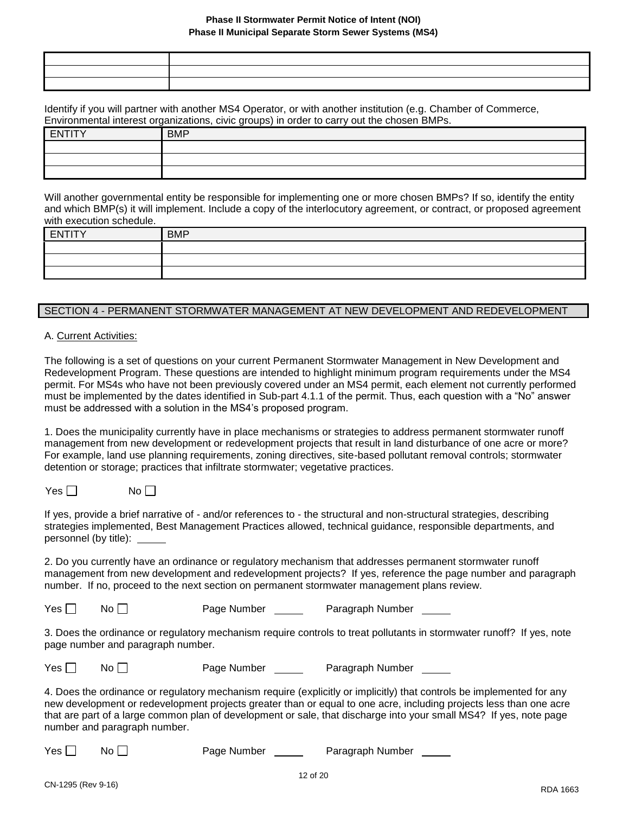Identify if you will partner with another MS4 Operator, or with another institution (e.g. Chamber of Commerce, Environmental interest organizations, civic groups) in order to carry out the chosen BMPs.

| <b>ENTITY</b> | <b>BMP</b> |
|---------------|------------|
|               |            |
|               |            |
|               |            |

Will another governmental entity be responsible for implementing one or more chosen BMPs? If so, identify the entity and which BMP(s) it will implement. Include a copy of the interlocutory agreement, or contract, or proposed agreement with execution schedule.

## SECTION 4 - PERMANENT STORMWATER MANAGEMENT AT NEW DEVELOPMENT AND REDEVELOPMENT

## A. Current Activities:

The following is a set of questions on your current Permanent Stormwater Management in New Development and Redevelopment Program. These questions are intended to highlight minimum program requirements under the MS4 permit. For MS4s who have not been previously covered under an MS4 permit, each element not currently performed must be implemented by the dates identified in Sub-part 4.1.1 of the permit. Thus, each question with a "No" answer must be addressed with a solution in the MS4's proposed program.

1. Does the municipality currently have in place mechanisms or strategies to address permanent stormwater runoff management from new development or redevelopment projects that result in land disturbance of one acre or more? For example, land use planning requirements, zoning directives, site-based pollutant removal controls; stormwater detention or storage; practices that infiltrate stormwater; vegetative practices.

|--|--|

 $N_0$  $\Box$ 

If yes, provide a brief narrative of - and/or references to - the structural and non-structural strategies, describing strategies implemented, Best Management Practices allowed, technical guidance, responsible departments, and personnel (by title):

2. Do you currently have an ordinance or regulatory mechanism that addresses permanent stormwater runoff management from new development and redevelopment projects? If yes, reference the page number and paragraph number. If no, proceed to the next section on permanent stormwater management plans review.

Yes □ No □ Page Number \_\_\_\_\_ Paragraph Number \_\_\_\_

3. Does the ordinance or regulatory mechanism require controls to treat pollutants in stormwater runoff? If yes, note page number and paragraph number.

 $Yes \nightharpoonup No \nightharpoonup$   $Note \nightharpoonup$  Page Number Paragraph Number

4. Does the ordinance or regulatory mechanism require (explicitly or implicitly) that controls be implemented for any new development or redevelopment projects greater than or equal to one acre, including projects less than one acre that are part of a large common plan of development or sale, that discharge into your small MS4? If yes, note page number and paragraph number.

Yes No No Page Number Paragraph Number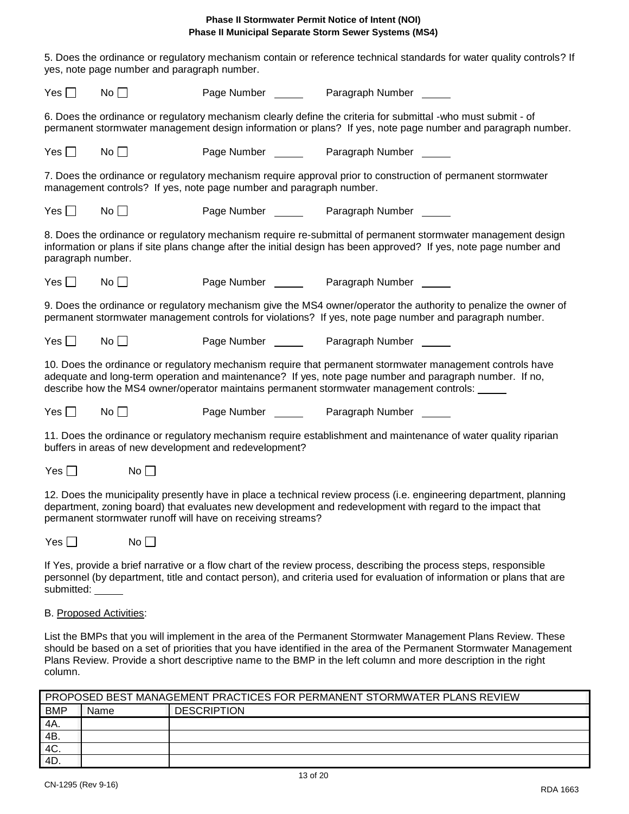| 5. Does the ordinance or regulatory mechanism contain or reference technical standards for water quality controls? If<br>yes, note page number and paragraph number.                                                                                                                                                                                            |              |  |                                                                                                                                                                                                                             |  |
|-----------------------------------------------------------------------------------------------------------------------------------------------------------------------------------------------------------------------------------------------------------------------------------------------------------------------------------------------------------------|--------------|--|-----------------------------------------------------------------------------------------------------------------------------------------------------------------------------------------------------------------------------|--|
| Yes $\Box$                                                                                                                                                                                                                                                                                                                                                      | No           |  | Page Number _______ Paragraph Number _____                                                                                                                                                                                  |  |
| 6. Does the ordinance or regulatory mechanism clearly define the criteria for submittal -who must submit - of<br>permanent stormwater management design information or plans? If yes, note page number and paragraph number.                                                                                                                                    |              |  |                                                                                                                                                                                                                             |  |
| Yes $\Box$                                                                                                                                                                                                                                                                                                                                                      | No           |  | Page Number _______ Paragraph Number _____                                                                                                                                                                                  |  |
| 7. Does the ordinance or regulatory mechanism require approval prior to construction of permanent stormwater<br>management controls? If yes, note page number and paragraph number.                                                                                                                                                                             |              |  |                                                                                                                                                                                                                             |  |
| Yes $\Box$                                                                                                                                                                                                                                                                                                                                                      | No           |  | Page Number ________ Paragraph Number _____                                                                                                                                                                                 |  |
| 8. Does the ordinance or regulatory mechanism require re-submittal of permanent stormwater management design<br>information or plans if site plans change after the initial design has been approved? If yes, note page number and<br>paragraph number.                                                                                                         |              |  |                                                                                                                                                                                                                             |  |
| Yes $\Box$                                                                                                                                                                                                                                                                                                                                                      | No           |  | Page Number _______ Paragraph Number _____                                                                                                                                                                                  |  |
|                                                                                                                                                                                                                                                                                                                                                                 |              |  | 9. Does the ordinance or regulatory mechanism give the MS4 owner/operator the authority to penalize the owner of<br>permanent stormwater management controls for violations? If yes, note page number and paragraph number. |  |
| Yes $\Box$                                                                                                                                                                                                                                                                                                                                                      | No           |  | Page Number _______ Paragraph Number _____                                                                                                                                                                                  |  |
| 10. Does the ordinance or regulatory mechanism require that permanent stormwater management controls have<br>adequate and long-term operation and maintenance? If yes, note page number and paragraph number. If no,<br>describe how the MS4 owner/operator maintains permanent stormwater management controls: _____                                           |              |  |                                                                                                                                                                                                                             |  |
| Yes $\Box$                                                                                                                                                                                                                                                                                                                                                      | No $\square$ |  | Page Number _______ Paragraph Number _____                                                                                                                                                                                  |  |
| 11. Does the ordinance or regulatory mechanism require establishment and maintenance of water quality riparian<br>buffers in areas of new development and redevelopment?                                                                                                                                                                                        |              |  |                                                                                                                                                                                                                             |  |
| Yes $\Box$                                                                                                                                                                                                                                                                                                                                                      | No $\square$ |  |                                                                                                                                                                                                                             |  |
| 12. Does the municipality presently have in place a technical review process (i.e. engineering department, planning<br>department, zoning board) that evaluates new development and redevelopment with regard to the impact that<br>permanent stormwater runoff will have on receiving streams?                                                                 |              |  |                                                                                                                                                                                                                             |  |
| Yes $\Box$                                                                                                                                                                                                                                                                                                                                                      | No $\square$ |  |                                                                                                                                                                                                                             |  |
| If Yes, provide a brief narrative or a flow chart of the review process, describing the process steps, responsible<br>personnel (by department, title and contact person), and criteria used for evaluation of information or plans that are<br>submitted: ______                                                                                               |              |  |                                                                                                                                                                                                                             |  |
| B. Proposed Activities:                                                                                                                                                                                                                                                                                                                                         |              |  |                                                                                                                                                                                                                             |  |
| List the BMPs that you will implement in the area of the Permanent Stormwater Management Plans Review. These<br>should be based on a set of priorities that you have identified in the area of the Permanent Stormwater Management<br>Plans Review. Provide a short descriptive name to the BMP in the left column and more description in the right<br>column. |              |  |                                                                                                                                                                                                                             |  |

| PROPOSED BEST MANAGEMENT PRACTICES FOR PERMANENT STORMWATER PLANS REVIEW |      |                    |  |
|--------------------------------------------------------------------------|------|--------------------|--|
| <b>BMP</b>                                                               | Name | <b>DESCRIPTION</b> |  |
| <b>14A.</b>                                                              |      |                    |  |
| 4B.                                                                      |      |                    |  |
| 4C.                                                                      |      |                    |  |
| 4D.                                                                      |      |                    |  |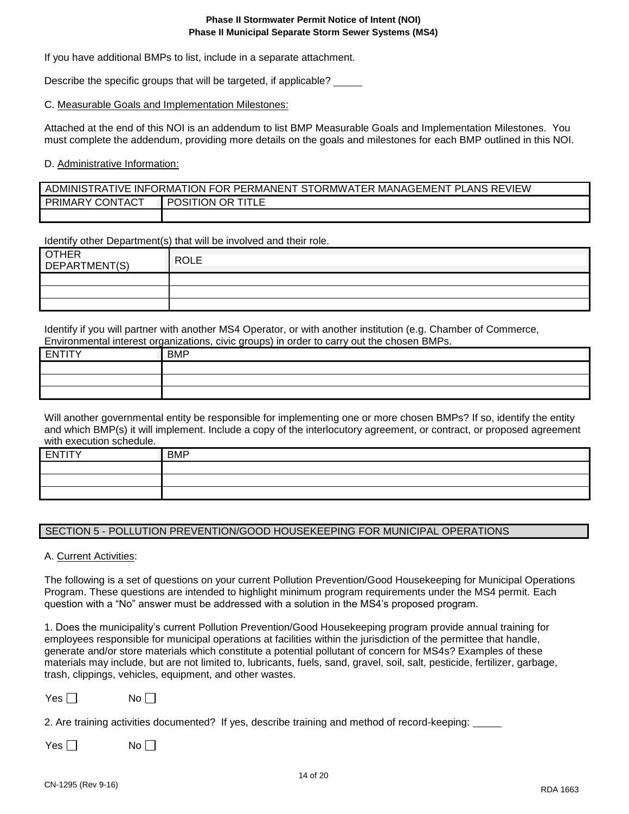If you have additional BMPs to list, include in a separate attachment.

Describe the specific groups that will be targeted, if applicable?

## C. Measurable Goals and Implementation Milestones:

Attached at the end of this NOI is an addendum to list BMP Measurable Goals and Implementation Milestones. You must complete the addendum, providing more details on the goals and milestones for each BMP outlined in this NOI.

## D. Administrative Information:

|                        | ADMINISTRATIVE INFORMATION FOR PERMANENT STORMWATER MANAGEMENT PLANS REVIEW |
|------------------------|-----------------------------------------------------------------------------|
| <b>PRIMARY CONTACT</b> | <b>POSITION OR TITLE</b>                                                    |
|                        |                                                                             |

Identify other Department(s) that will be involved and their role.

| <b>OTHER</b><br>DEPARTMENT(S) | <b>ROLE</b> |
|-------------------------------|-------------|
|                               |             |
|                               |             |
|                               |             |

Identify if you will partner with another MS4 Operator, or with another institution (e.g. Chamber of Commerce, Environmental interest organizations, civic groups) in order to carry out the chosen BMPs.

| $-$ CNITITY $\sim$ | <b>BMP</b> |
|--------------------|------------|
|                    |            |
|                    |            |
|                    |            |

Will another governmental entity be responsible for implementing one or more chosen BMPs? If so, identify the entity and which BMP(s) it will implement. Include a copy of the interlocutory agreement, or contract, or proposed agreement with execution schedule.

| <b>FNTITY</b> | <b>BMP</b> |
|---------------|------------|
|               |            |
|               |            |
|               |            |

## SECTION 5 - POLLUTION PREVENTION/GOOD HOUSEKEEPING FOR MUNICIPAL OPERATIONS

## A. Current Activities:

The following is a set of questions on your current Pollution Prevention/Good Housekeeping for Municipal Operations Program. These questions are intended to highlight minimum program requirements under the MS4 permit. Each question with a "No" answer must be addressed with a solution in the MS4's proposed program.

1. Does the municipality's current Pollution Prevention/Good Housekeeping program provide annual training for employees responsible for municipal operations at facilities within the jurisdiction of the permittee that handle, generate and/or store materials which constitute a potential pollutant of concern for MS4s? Examples of these materials may include, but are not limited to, lubricants, fuels, sand, gravel, soil, salt, pesticide, fertilizer, garbage, trash, clippings, vehicles, equipment, and other wastes.

 $Yes \Box$  No

2. Are training activities documented? If yes, describe training and method of record-keeping:

 $Yes \Box$  No  $\Box$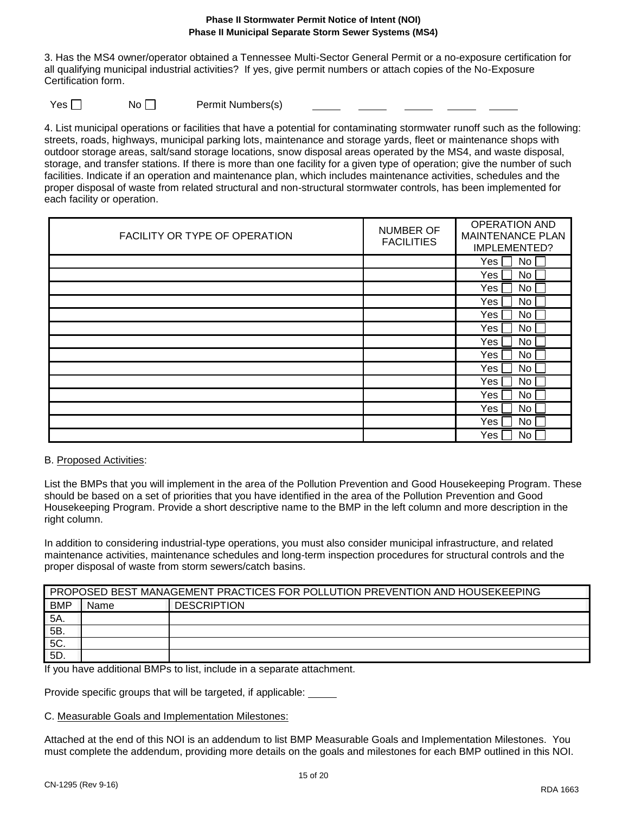3. Has the MS4 owner/operator obtained a Tennessee Multi-Sector General Permit or a no-exposure certification for all qualifying municipal industrial activities? If yes, give permit numbers or attach copies of the No-Exposure Certification form.

 $Yes \Box$  No  $\Box$  Permit Numbers(s)

4. List municipal operations or facilities that have a potential for contaminating stormwater runoff such as the following: streets, roads, highways, municipal parking lots, maintenance and storage yards, fleet or maintenance shops with outdoor storage areas, salt/sand storage locations, snow disposal areas operated by the MS4, and waste disposal, storage, and transfer stations. If there is more than one facility for a given type of operation; give the number of such facilities. Indicate if an operation and maintenance plan, which includes maintenance activities, schedules and the proper disposal of waste from related structural and non-structural stormwater controls, has been implemented for each facility or operation.

| FACILITY OR TYPE OF OPERATION | <b>NUMBER OF</b><br><b>FACILITIES</b> | OPERATION AND<br><b>MAINTENANCE PLAN</b><br>IMPLEMENTED? |
|-------------------------------|---------------------------------------|----------------------------------------------------------|
|                               |                                       | No <sub>1</sub><br>Yes <sub>l</sub>                      |
|                               |                                       | Yes  <br>No                                              |
|                               |                                       | Yes  <br>No                                              |
|                               |                                       | Yes  <br>No                                              |
|                               |                                       | Yes<br>No                                                |
|                               |                                       | No<br>Yes                                                |
|                               |                                       | Yes  <br>No                                              |
|                               |                                       | No<br>Yes                                                |
|                               |                                       | Yes <sub>l</sub><br>No                                   |
|                               |                                       | Yes  <br>No                                              |
|                               |                                       | Yes  <br>No                                              |
|                               |                                       | Yes  <br>No                                              |
|                               |                                       | Yes  <br>No                                              |
|                               |                                       | Yes  <br>No                                              |

B. Proposed Activities:

List the BMPs that you will implement in the area of the Pollution Prevention and Good Housekeeping Program. These should be based on a set of priorities that you have identified in the area of the Pollution Prevention and Good Housekeeping Program. Provide a short descriptive name to the BMP in the left column and more description in the right column.

In addition to considering industrial-type operations, you must also consider municipal infrastructure, and related maintenance activities, maintenance schedules and long-term inspection procedures for structural controls and the proper disposal of waste from storm sewers/catch basins.

| PROPOSED BEST MANAGEMENT PRACTICES FOR POLLUTION PREVENTION AND HOUSEKEEPING |      |                    |
|------------------------------------------------------------------------------|------|--------------------|
| <b>BMP</b>                                                                   | Name | <b>DESCRIPTION</b> |
| 5A.                                                                          |      |                    |
| 5B.                                                                          |      |                    |
| 5C.                                                                          |      |                    |
| 5D.                                                                          |      |                    |

If you have additional BMPs to list, include in a separate attachment.

Provide specific groups that will be targeted, if applicable:

C. Measurable Goals and Implementation Milestones:

Attached at the end of this NOI is an addendum to list BMP Measurable Goals and Implementation Milestones. You must complete the addendum, providing more details on the goals and milestones for each BMP outlined in this NOI.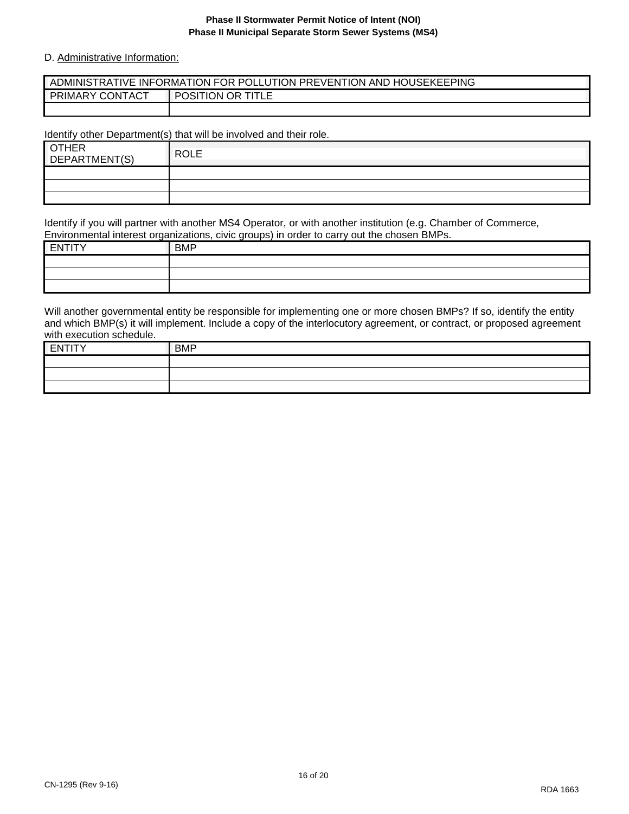## D. Administrative Information:

| LADMINISTRATIVE INFORMATION FOR POLLUTION PREVENTION AND HOUSEKEEPING |                          |  |
|-----------------------------------------------------------------------|--------------------------|--|
| <b>PRIMARY CONTACT</b>                                                | <b>POSITION OR TITLE</b> |  |
|                                                                       |                          |  |

## Identify other Department(s) that will be involved and their role.

| <b>OTHER</b><br>DEPARTMENT(S) | <b>ROLE</b> |
|-------------------------------|-------------|
|                               |             |
|                               |             |
|                               |             |

Identify if you will partner with another MS4 Operator, or with another institution (e.g. Chamber of Commerce, Environmental interest organizations, civic groups) in order to carry out the chosen BMPs.

| <b>ENTITY</b><br>w<br>– | <b>BMP</b> |
|-------------------------|------------|
|                         |            |
|                         |            |
|                         |            |

Will another governmental entity be responsible for implementing one or more chosen BMPs? If so, identify the entity and which BMP(s) it will implement. Include a copy of the interlocutory agreement, or contract, or proposed agreement with execution schedule.

| <b>LENTITY</b> | <b>BMP</b> |
|----------------|------------|
|                |            |
|                |            |
|                |            |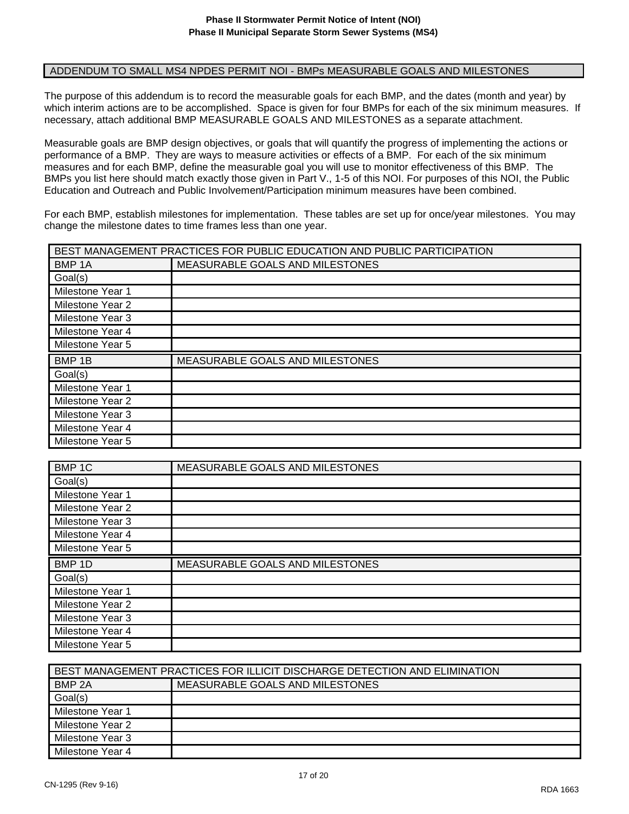## ADDENDUM TO SMALL MS4 NPDES PERMIT NOI - BMPs MEASURABLE GOALS AND MILESTONES

The purpose of this addendum is to record the measurable goals for each BMP, and the dates (month and year) by which interim actions are to be accomplished. Space is given for four BMPs for each of the six minimum measures. If necessary, attach additional BMP MEASURABLE GOALS AND MILESTONES as a separate attachment.

Measurable goals are BMP design objectives, or goals that will quantify the progress of implementing the actions or performance of a BMP. They are ways to measure activities or effects of a BMP. For each of the six minimum measures and for each BMP, define the measurable goal you will use to monitor effectiveness of this BMP. The BMPs you list here should match exactly those given in Part V., 1-5 of this NOI. For purposes of this NOI, the Public Education and Outreach and Public Involvement/Participation minimum measures have been combined.

For each BMP, establish milestones for implementation. These tables are set up for once/year milestones. You may change the milestone dates to time frames less than one year.

| BEST MANAGEMENT PRACTICES FOR PUBLIC EDUCATION AND PUBLIC PARTICIPATION |                                 |  |
|-------------------------------------------------------------------------|---------------------------------|--|
| BMP <sub>1A</sub>                                                       | MEASURABLE GOALS AND MILESTONES |  |
| Goal(s)                                                                 |                                 |  |
| Milestone Year 1                                                        |                                 |  |
| Milestone Year 2                                                        |                                 |  |
| Milestone Year 3                                                        |                                 |  |
| Milestone Year 4                                                        |                                 |  |
| Milestone Year 5                                                        |                                 |  |
| BMP <sub>1B</sub>                                                       | MEASURABLE GOALS AND MILESTONES |  |
|                                                                         |                                 |  |
| Goal(s)                                                                 |                                 |  |
| Milestone Year 1                                                        |                                 |  |
| Milestone Year 2                                                        |                                 |  |
| Milestone Year 3                                                        |                                 |  |
| Milestone Year 4                                                        |                                 |  |

| BMP <sub>1C</sub> | MEASURABLE GOALS AND MILESTONES |
|-------------------|---------------------------------|
| Goal(s)           |                                 |
| Milestone Year 1  |                                 |
| Milestone Year 2  |                                 |
| Milestone Year 3  |                                 |
| Milestone Year 4  |                                 |
| Milestone Year 5  |                                 |
|                   |                                 |
| BMP <sub>1D</sub> | MEASURABLE GOALS AND MILESTONES |
| Goal(s)           |                                 |
| Milestone Year 1  |                                 |
| Milestone Year 2  |                                 |
| Milestone Year 3  |                                 |
| Milestone Year 4  |                                 |

| BEST MANAGEMENT PRACTICES FOR ILLICIT DISCHARGE DETECTION AND ELIMINATION |                                 |  |
|---------------------------------------------------------------------------|---------------------------------|--|
| BMP <sub>2A</sub>                                                         | MEASURABLE GOALS AND MILESTONES |  |
| Goal(s)                                                                   |                                 |  |
| Milestone Year 1                                                          |                                 |  |
| Milestone Year 2                                                          |                                 |  |
| Milestone Year 3                                                          |                                 |  |
| Milestone Year 4                                                          |                                 |  |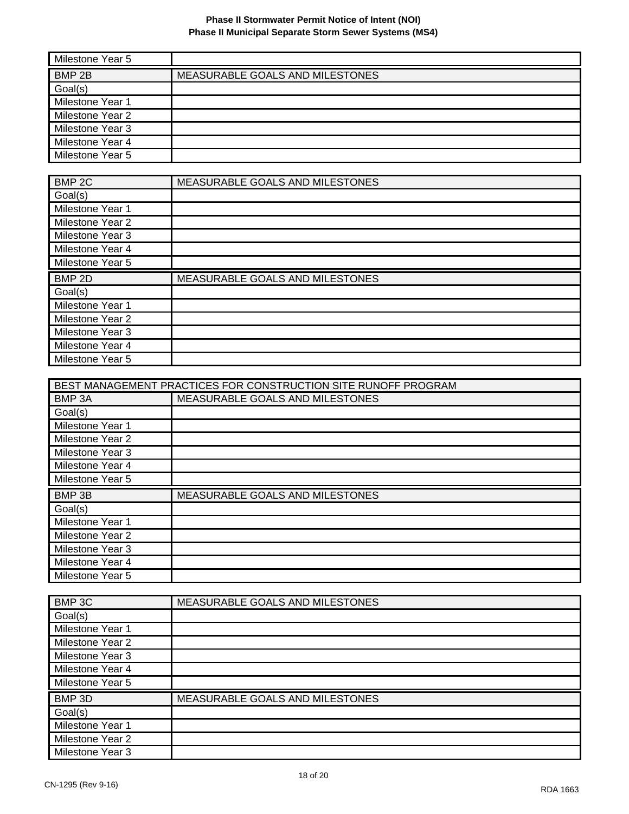| Milestone Year 5  |                                 |
|-------------------|---------------------------------|
| BMP <sub>2B</sub> | MEASURABLE GOALS AND MILESTONES |
| Goal(s)           |                                 |
| Milestone Year 1  |                                 |
| Milestone Year 2  |                                 |
| Milestone Year 3  |                                 |
| Milestone Year 4  |                                 |
| Milestone Year 5  |                                 |

| BMP <sub>2C</sub> | MEASURABLE GOALS AND MILESTONES |
|-------------------|---------------------------------|
| Goal(s)           |                                 |
| Milestone Year 1  |                                 |
| Milestone Year 2  |                                 |
| Milestone Year 3  |                                 |
| Milestone Year 4  |                                 |
| Milestone Year 5  |                                 |
|                   |                                 |
| BMP <sub>2D</sub> | MEASURABLE GOALS AND MILESTONES |
| Goal(s)           |                                 |
| Milestone Year 1  |                                 |
| Milestone Year 2  |                                 |
| Milestone Year 3  |                                 |
| Milestone Year 4  |                                 |

| BEST MANAGEMENT PRACTICES FOR CONSTRUCTION SITE RUNOFF PROGRAM |                                 |  |
|----------------------------------------------------------------|---------------------------------|--|
| BMP <sub>3</sub> A                                             | MEASURABLE GOALS AND MILESTONES |  |
| Goal(s)                                                        |                                 |  |
| Milestone Year 1                                               |                                 |  |
| Milestone Year 2                                               |                                 |  |
| Milestone Year 3                                               |                                 |  |
| Milestone Year 4                                               |                                 |  |
| Milestone Year 5                                               |                                 |  |
| BMP 3B                                                         | MEASURABLE GOALS AND MILESTONES |  |
| Goal(s)                                                        |                                 |  |
| Milestone Year 1                                               |                                 |  |
| Milestone Year 2                                               |                                 |  |
| Milestone Year 3                                               |                                 |  |
| Milestone Year 4                                               |                                 |  |
| Milestone Year 5                                               |                                 |  |

| BMP 3C           | MEASURABLE GOALS AND MILESTONES |
|------------------|---------------------------------|
| Goal(s)          |                                 |
| Milestone Year 1 |                                 |
| Milestone Year 2 |                                 |
| Milestone Year 3 |                                 |
| Milestone Year 4 |                                 |
| Milestone Year 5 |                                 |
| BMP 3D           | MEASURABLE GOALS AND MILESTONES |
| Goal(s)          |                                 |
| Milestone Year 1 |                                 |
| Milestone Year 2 |                                 |
| Milestone Year 3 |                                 |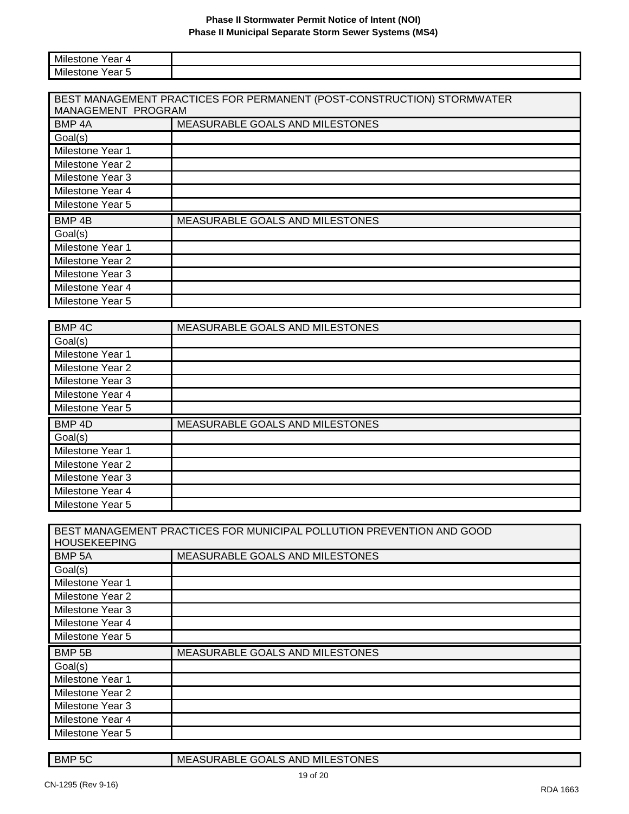| Mile<br>'ear<br>$-1 - 1$<br>v<br>$\epsilon$<br>stone<br>.<br>___ |  |
|------------------------------------------------------------------|--|
| Mile<br>'ear<br>$-1 - 1$<br>stone<br>u                           |  |

| BEST MANAGEMENT PRACTICES FOR PERMANENT (POST-CONSTRUCTION) STORMWATER<br>MANAGEMENT PROGRAM |                                 |  |  |  |  |
|----------------------------------------------------------------------------------------------|---------------------------------|--|--|--|--|
| BMP <sub>4A</sub>                                                                            | MEASURABLE GOALS AND MILESTONES |  |  |  |  |
| Goal(s)                                                                                      |                                 |  |  |  |  |
| Milestone Year 1                                                                             |                                 |  |  |  |  |
| Milestone Year 2                                                                             |                                 |  |  |  |  |
| Milestone Year 3                                                                             |                                 |  |  |  |  |
| Milestone Year 4                                                                             |                                 |  |  |  |  |
| Milestone Year 5                                                                             |                                 |  |  |  |  |
| BMP <sub>4B</sub>                                                                            | MEASURABLE GOALS AND MILESTONES |  |  |  |  |
| Goal(s)                                                                                      |                                 |  |  |  |  |
| Milestone Year 1                                                                             |                                 |  |  |  |  |
| Milestone Year 2                                                                             |                                 |  |  |  |  |
| Milestone Year 3                                                                             |                                 |  |  |  |  |
| Milestone Year 4                                                                             |                                 |  |  |  |  |
| Milestone Year 5                                                                             |                                 |  |  |  |  |

| BMP <sub>4C</sub> | MEASURABLE GOALS AND MILESTONES |
|-------------------|---------------------------------|
| Goal(s)           |                                 |
| Milestone Year 1  |                                 |
| Milestone Year 2  |                                 |
| Milestone Year 3  |                                 |
| Milestone Year 4  |                                 |
| Milestone Year 5  |                                 |
|                   |                                 |
| BMP <sub>4D</sub> | MEASURABLE GOALS AND MILESTONES |
| Goal(s)           |                                 |
| Milestone Year 1  |                                 |
| Milestone Year 2  |                                 |
| Milestone Year 3  |                                 |
| Milestone Year 4  |                                 |

| BEST MANAGEMENT PRACTICES FOR MUNICIPAL POLLUTION PREVENTION AND GOOD<br><b>HOUSEKEEPING</b> |                                 |  |  |  |
|----------------------------------------------------------------------------------------------|---------------------------------|--|--|--|
| BMP <sub>5</sub> A                                                                           | MEASURABLE GOALS AND MILESTONES |  |  |  |
| Goal(s)                                                                                      |                                 |  |  |  |
| Milestone Year 1                                                                             |                                 |  |  |  |
| Milestone Year 2                                                                             |                                 |  |  |  |
| Milestone Year 3                                                                             |                                 |  |  |  |
| Milestone Year 4                                                                             |                                 |  |  |  |
| Milestone Year 5                                                                             |                                 |  |  |  |
| BMP <sub>5B</sub>                                                                            | MEASURABLE GOALS AND MILESTONES |  |  |  |
| Goal(s)                                                                                      |                                 |  |  |  |
| Milestone Year 1                                                                             |                                 |  |  |  |
| Milestone Year 2                                                                             |                                 |  |  |  |
| Milestone Year 3                                                                             |                                 |  |  |  |
| Milestone Year 4                                                                             |                                 |  |  |  |
| Milestone Year 5                                                                             |                                 |  |  |  |

BMP 5C MEASURABLE GOALS AND MILESTONES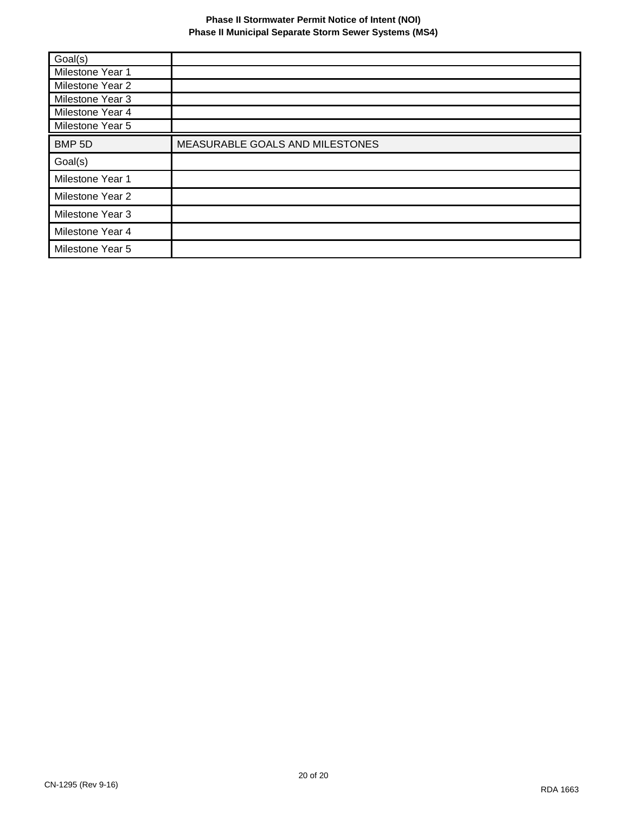| $\overline{Goal}(s)$ |                                 |
|----------------------|---------------------------------|
| Milestone Year 1     |                                 |
| Milestone Year 2     |                                 |
| Milestone Year 3     |                                 |
| Milestone Year 4     |                                 |
| Milestone Year 5     |                                 |
| BMP <sub>5D</sub>    | MEASURABLE GOALS AND MILESTONES |
| Goal(s)              |                                 |
| Milestone Year 1     |                                 |
| Milestone Year 2     |                                 |
| Milestone Year 3     |                                 |
| Milestone Year 4     |                                 |
| Milestone Year 5     |                                 |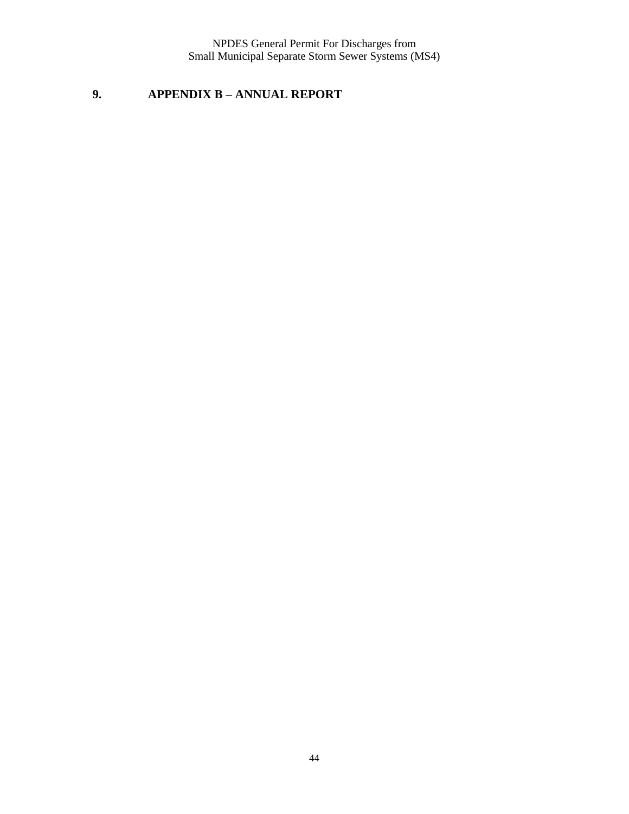# **9. APPENDIX B – ANNUAL REPORT**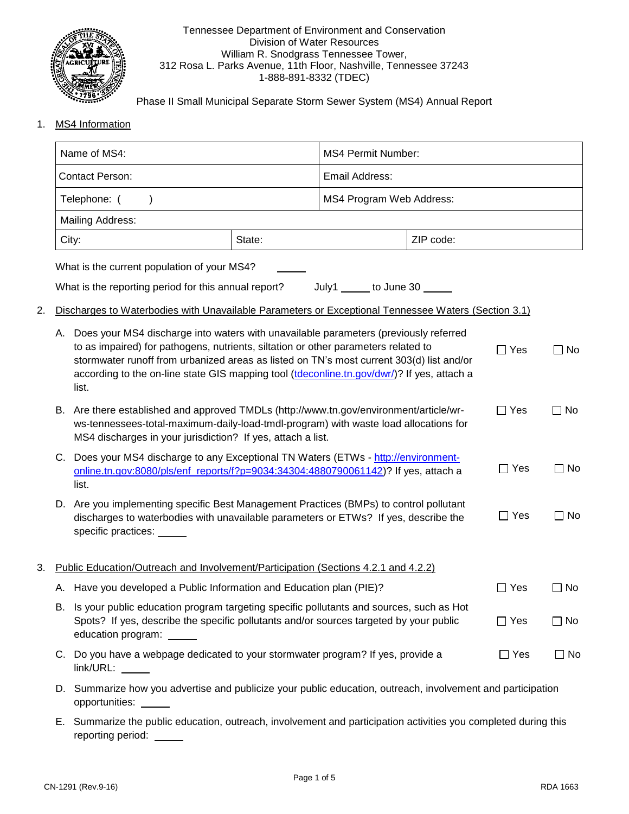

## Tennessee Department of Environment and Conservation Division of Water Resources William R. Snodgrass Tennessee Tower, 312 Rosa L. Parks Avenue, 11th Floor, Nashville, Tennessee 37243 1-888-891-8332 (TDEC)

## Phase II Small Municipal Separate Storm Sewer System (MS4) Annual Report

## 1. MS4 Information

|                        |                                                                                                                                                                                                                                                                                                                                                                                  | Name of MS4:                                                                                                                                                                                                     |                          | <b>MS4 Permit Number:</b> |           |            |              |
|------------------------|----------------------------------------------------------------------------------------------------------------------------------------------------------------------------------------------------------------------------------------------------------------------------------------------------------------------------------------------------------------------------------|------------------------------------------------------------------------------------------------------------------------------------------------------------------------------------------------------------------|--------------------------|---------------------------|-----------|------------|--------------|
| <b>Contact Person:</b> |                                                                                                                                                                                                                                                                                                                                                                                  |                                                                                                                                                                                                                  |                          | Email Address:            |           |            |              |
|                        | Telephone: (<br>$\lambda$                                                                                                                                                                                                                                                                                                                                                        |                                                                                                                                                                                                                  | MS4 Program Web Address: |                           |           |            |              |
|                        |                                                                                                                                                                                                                                                                                                                                                                                  | <b>Mailing Address:</b>                                                                                                                                                                                          |                          |                           |           |            |              |
|                        |                                                                                                                                                                                                                                                                                                                                                                                  | City:                                                                                                                                                                                                            | State:                   |                           | ZIP code: |            |              |
|                        |                                                                                                                                                                                                                                                                                                                                                                                  | What is the current population of your MS4?                                                                                                                                                                      |                          |                           |           |            |              |
|                        |                                                                                                                                                                                                                                                                                                                                                                                  | What is the reporting period for this annual report?                                                                                                                                                             |                          | July1 ______ to June 30   |           |            |              |
| 2.                     |                                                                                                                                                                                                                                                                                                                                                                                  | Discharges to Waterbodies with Unavailable Parameters or Exceptional Tennessee Waters (Section 3.1)                                                                                                              |                          |                           |           |            |              |
|                        | A. Does your MS4 discharge into waters with unavailable parameters (previously referred<br>to as impaired) for pathogens, nutrients, siltation or other parameters related to<br>stormwater runoff from urbanized areas as listed on TN's most current 303(d) list and/or<br>according to the on-line state GIS mapping tool (tdeconline.tn.gov/dwr/)? If yes, attach a<br>list. |                                                                                                                                                                                                                  |                          |                           |           | $\Box$ Yes | $\square$ No |
|                        | Are there established and approved TMDLs (http://www.tn.gov/environment/article/wr-<br>В.<br>ws-tennessees-total-maximum-daily-load-tmdl-program) with waste load allocations for<br>MS4 discharges in your jurisdiction? If yes, attach a list.                                                                                                                                 |                                                                                                                                                                                                                  |                          | $\Box$ Yes                | $\Box$ No |            |              |
|                        |                                                                                                                                                                                                                                                                                                                                                                                  | C. Does your MS4 discharge to any Exceptional TN Waters (ETWs - http://environment-<br>online.tn.gov:8080/pls/enf_reports/f?p=9034:34304:4880790061142)? If yes, attach a<br>list.                               |                          |                           |           | $\Box$ Yes | $\Box$ No    |
|                        |                                                                                                                                                                                                                                                                                                                                                                                  | D. Are you implementing specific Best Management Practices (BMPs) to control pollutant<br>discharges to waterbodies with unavailable parameters or ETWs? If yes, describe the<br>specific practices: ______      |                          |                           |           | $\Box$ Yes | $\square$ No |
| 3.                     |                                                                                                                                                                                                                                                                                                                                                                                  | Public Education/Outreach and Involvement/Participation (Sections 4.2.1 and 4.2.2)                                                                                                                               |                          |                           |           |            |              |
|                        |                                                                                                                                                                                                                                                                                                                                                                                  | A. Have you developed a Public Information and Education plan (PIE)?                                                                                                                                             |                          |                           |           | $\Box$ Yes | $\Box$ No    |
|                        |                                                                                                                                                                                                                                                                                                                                                                                  | B. Is your public education program targeting specific pollutants and sources, such as Hot<br>Spots? If yes, describe the specific pollutants and/or sources targeted by your public<br>education program: _____ |                          |                           |           | $\Box$ Yes | $\square$ No |
|                        |                                                                                                                                                                                                                                                                                                                                                                                  | C. Do you have a webpage dedicated to your stormwater program? If yes, provide a<br>link/URL:                                                                                                                    |                          |                           |           | $\Box$ Yes | $\square$ No |
|                        | D. Summarize how you advertise and publicize your public education, outreach, involvement and participation<br>opportunities:                                                                                                                                                                                                                                                    |                                                                                                                                                                                                                  |                          |                           |           |            |              |

E. Summarize the public education, outreach, involvement and participation activities you completed during this reporting period: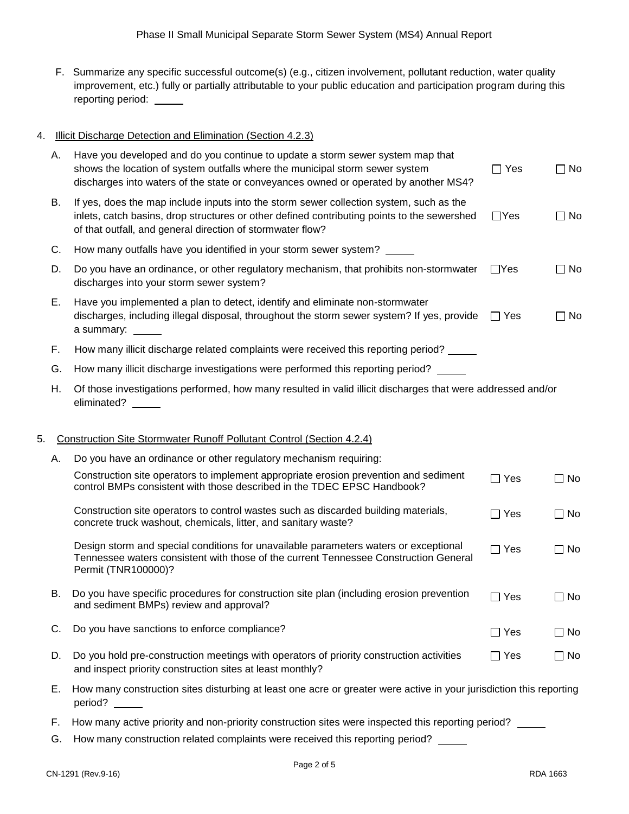F. Summarize any specific successful outcome(s) (e.g., citizen involvement, pollutant reduction, water quality improvement, etc.) fully or partially attributable to your public education and participation program during this reporting period:

## 4. Illicit Discharge Detection and Elimination (Section 4.2.3)

|    | Α. | Have you developed and do you continue to update a storm sewer system map that<br>shows the location of system outfalls where the municipal storm sewer system<br>discharges into waters of the state or conveyances owned or operated by another MS4? | $\Box$ Yes | $\square$ No |
|----|----|--------------------------------------------------------------------------------------------------------------------------------------------------------------------------------------------------------------------------------------------------------|------------|--------------|
|    | В. | If yes, does the map include inputs into the storm sewer collection system, such as the<br>inlets, catch basins, drop structures or other defined contributing points to the sewershed<br>of that outfall, and general direction of stormwater flow?   | $\Box$ Yes | $\Box$ No    |
|    | C. | How many outfalls have you identified in your storm sewer system?                                                                                                                                                                                      |            |              |
|    | D. | Do you have an ordinance, or other regulatory mechanism, that prohibits non-stormwater<br>discharges into your storm sewer system?                                                                                                                     | $\Box$ Yes | $\square$ No |
|    | Е. | Have you implemented a plan to detect, identify and eliminate non-stormwater<br>discharges, including illegal disposal, throughout the storm sewer system? If yes, provide<br>a summary: _____                                                         | $\Box$ Yes | $\Box$ No    |
|    | F. | How many illicit discharge related complaints were received this reporting period?                                                                                                                                                                     |            |              |
|    | G. | How many illicit discharge investigations were performed this reporting period? ____                                                                                                                                                                   |            |              |
|    | Η. | Of those investigations performed, how many resulted in valid illicit discharges that were addressed and/or<br>eliminated?                                                                                                                             |            |              |
| 5. |    | Construction Site Stormwater Runoff Pollutant Control (Section 4.2.4)                                                                                                                                                                                  |            |              |
|    | Α. | Do you have an ordinance or other regulatory mechanism requiring:                                                                                                                                                                                      |            |              |
|    |    | Construction site operators to implement appropriate erosion prevention and sediment<br>control BMPs consistent with those described in the TDEC EPSC Handbook?                                                                                        | $\Box$ Yes | $\square$ No |
|    |    | Construction site operators to control wastes such as discarded building materials,<br>concrete truck washout, chemicals, litter, and sanitary waste?                                                                                                  | $\Box$ Yes | $\square$ No |
|    |    | Design storm and special conditions for unavailable parameters waters or exceptional<br>Tennessee waters consistent with those of the current Tennessee Construction General<br>Permit (TNR100000)?                                                    | $\Box$ Yes | $\Box$ No    |
|    | В. | Do you have specific procedures for construction site plan (including erosion prevention<br>and sediment BMPs) review and approval?                                                                                                                    | $\Box$ Yes | $\square$ No |
|    | C. | Do you have sanctions to enforce compliance?                                                                                                                                                                                                           | $\Box$ Yes | $\Box$ No    |
|    | D. | Do you hold pre-construction meetings with operators of priority construction activities<br>and inspect priority construction sites at least monthly?                                                                                                  | $\Box$ Yes | $\Box$ No    |
|    | Е. | How many construction sites disturbing at least one acre or greater were active in your jurisdiction this reporting<br>period? _____                                                                                                                   |            |              |
|    |    |                                                                                                                                                                                                                                                        |            |              |

- F. How many active priority and non-priority construction sites were inspected this reporting period? \_\_\_\_\_
- G. How many construction related complaints were received this reporting period? \_\_\_\_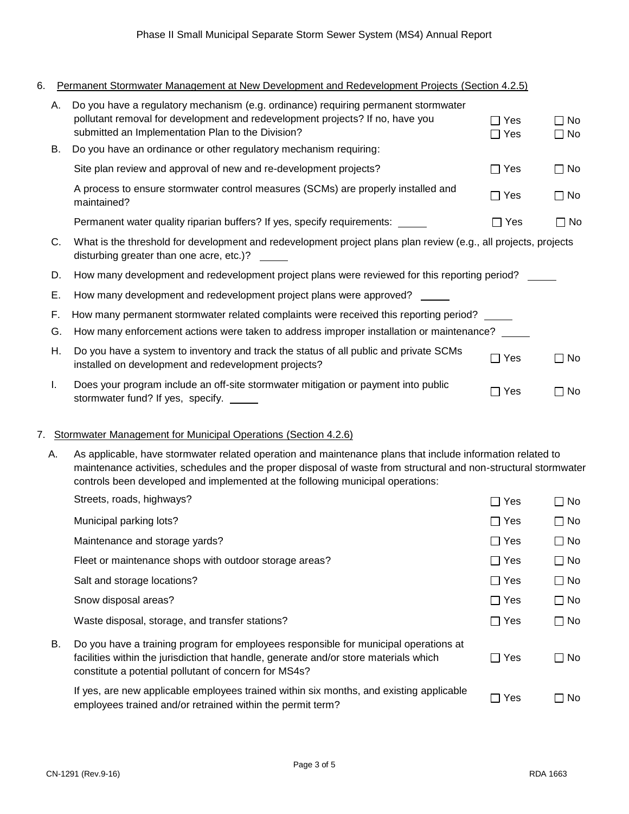## 6. Permanent Stormwater Management at New Development and Redevelopment Projects (Section 4.2.5)

| А.       | Do you have a regulatory mechanism (e.g. ordinance) requiring permanent stormwater<br>pollutant removal for development and redevelopment projects? If no, have you<br>submitted an Implementation Plan to the Division? | $\Box$ Yes<br>$\Box$ Yes        | $\Box$ No<br>$\square$ No |
|----------|--------------------------------------------------------------------------------------------------------------------------------------------------------------------------------------------------------------------------|---------------------------------|---------------------------|
| В.       | Do you have an ordinance or other regulatory mechanism requiring:                                                                                                                                                        |                                 |                           |
|          | Site plan review and approval of new and re-development projects?                                                                                                                                                        | $\Box$ Yes                      | $\Box$ No                 |
|          | A process to ensure stormwater control measures (SCMs) are properly installed and<br>maintained?                                                                                                                         | $\Box$ Yes                      | $\square$ No              |
|          | Permanent water quality riparian buffers? If yes, specify requirements: ______                                                                                                                                           | Yes<br>ΙI                       | $\Box$ No                 |
| C.       | What is the threshold for development and redevelopment project plans plan review (e.g., all projects, projects<br>disturbing greater than one acre, etc.)?                                                              |                                 |                           |
| D.       | How many development and redevelopment project plans were reviewed for this reporting period?                                                                                                                            |                                 |                           |
| Ε.       | How many development and redevelopment project plans were approved?                                                                                                                                                      |                                 |                           |
| F.<br>G. | How many permanent stormwater related complaints were received this reporting period? _____<br>How many enforcement actions were taken to address improper installation or maintenance?                                  |                                 |                           |
| Η.       | Do you have a system to inventory and track the status of all public and private SCMs<br>installed on development and redevelopment projects?                                                                            | $\Box$ Yes                      | $\Box$ No                 |
| L.       | Does your program include an off-site stormwater mitigation or payment into public<br>stormwater fund? If yes, specify. _____                                                                                            | Yes<br>$\overline{\phantom{a}}$ | П<br>No                   |

## 7. Stormwater Management for Municipal Operations (Section 4.2.6)

 A. As applicable, have stormwater related operation and maintenance plans that include information related to maintenance activities, schedules and the proper disposal of waste from structural and non-structural stormwater controls been developed and implemented at the following municipal operations:

| Streets, roads, highways?                                                                                                                                                                                                                    | $\Box$ Yes | $\Box$ No     |
|----------------------------------------------------------------------------------------------------------------------------------------------------------------------------------------------------------------------------------------------|------------|---------------|
| Municipal parking lots?                                                                                                                                                                                                                      | $\Box$ Yes | $\Box$ No     |
| Maintenance and storage yards?                                                                                                                                                                                                               | $\Box$ Yes | $\Box$ No     |
| Fleet or maintenance shops with outdoor storage areas?                                                                                                                                                                                       | $\Box$ Yes | $\Box$ No     |
| Salt and storage locations?                                                                                                                                                                                                                  | $\Box$ Yes | $\Box$ No     |
| Snow disposal areas?                                                                                                                                                                                                                         | $\Box$ Yes | $\square$ No  |
| Waste disposal, storage, and transfer stations?                                                                                                                                                                                              | $\Box$ Yes | $\Box$ No     |
| В.<br>Do you have a training program for employees responsible for municipal operations at<br>facilities within the jurisdiction that handle, generate and/or store materials which<br>constitute a potential pollutant of concern for MS4s? | $\Box$ Yes | $\Box$ No     |
| If yes, are new applicable employees trained within six months, and existing applicable<br>employees trained and/or retrained within the permit term?                                                                                        | Yes        | No.<br>$\Box$ |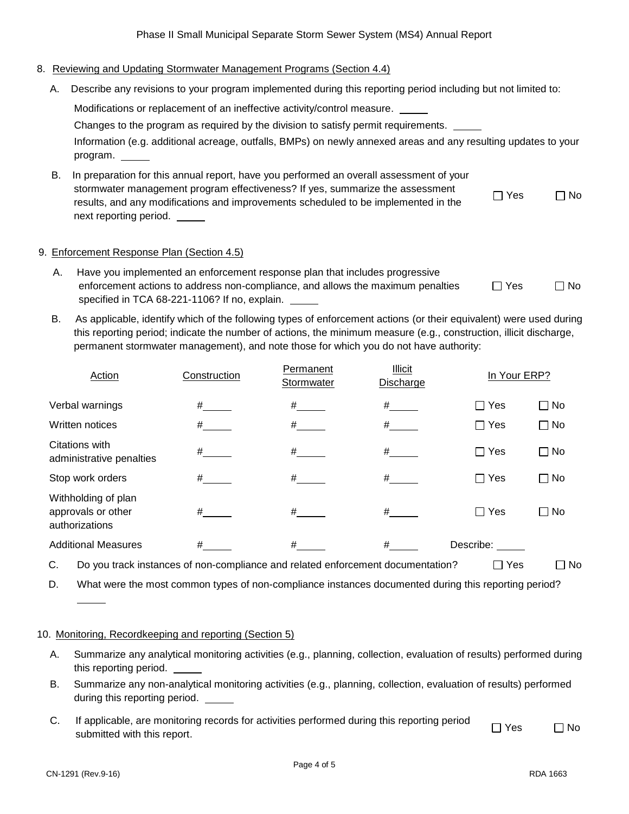## 8. Reviewing and Updating Stormwater Management Programs (Section 4.4)

A. Describe any revisions to your program implemented during this reporting period including but not limited to:

| Modifications or replacement of an ineffective activity/control measure.                                       |
|----------------------------------------------------------------------------------------------------------------|
| Changes to the program as required by the division to satisfy permit requirements.                             |
| Information (e.g. additional acreage, outfalls, BMPs) on newly annexed areas and any resulting updates to your |
| program. _____                                                                                                 |

 B. In preparation for this annual report, have you performed an overall assessment of your stormwater management program effectiveness? If yes, summarize the assessment results, and any modifications and improvements scheduled to be implemented in the next reporting period.

## 9. Enforcement Response Plan (Section 4.5)

- A. Have you implemented an enforcement response plan that includes progressive enforcement actions to address non-compliance, and allows the maximum penalties specified in TCA 68-221-1106? If no, explain.  $\Box$  Yes  $\Box$  No
- B. As applicable, identify which of the following types of enforcement actions (or their equivalent) were used during this reporting period; indicate the number of actions, the minimum measure (e.g., construction, illicit discharge, permanent stormwater management), and note those for which you do not have authority:

| Action                                                      | Construction | Permanent<br>Stormwater | <b>Illicit</b><br>Discharge | In Your ERP?  |             |
|-------------------------------------------------------------|--------------|-------------------------|-----------------------------|---------------|-------------|
| Verbal warnings                                             | #            | #                       | #                           | Yes           | $\Box$ No   |
| Written notices                                             | #            | #                       | #                           | Yes           | $\Box$ No   |
| Citations with<br>administrative penalties                  | #            | #                       | #                           | Yes           | $\Box$ No   |
| Stop work orders                                            | #            | #                       | #                           | Yes<br>$\Box$ | $\sqcap$ No |
| Withholding of plan<br>approvals or other<br>authorizations | #            | #                       | #                           | Yes           | ∩ No        |
| <b>Additional Measures</b>                                  | #            | #                       | #                           | Describe:     |             |

C. Do you track instances of non-compliance and related enforcement documentation?  $\square$  Yes  $\square$  No

D. What were the most common types of non-compliance instances documented during this reporting period?

## 10. Monitoring, Recordkeeping and reporting (Section 5)

- A. Summarize any analytical monitoring activities (e.g., planning, collection, evaluation of results) performed during this reporting period.
- B. Summarize any non-analytical monitoring activities (e.g., planning, collection, evaluation of results) performed during this reporting period.
- C. If applicable, are monitoring records for activities performed during this reporting period submitted with this report.  $\Box$  Yes  $\Box$  No

 $\Box$  Yes  $\Box$  No